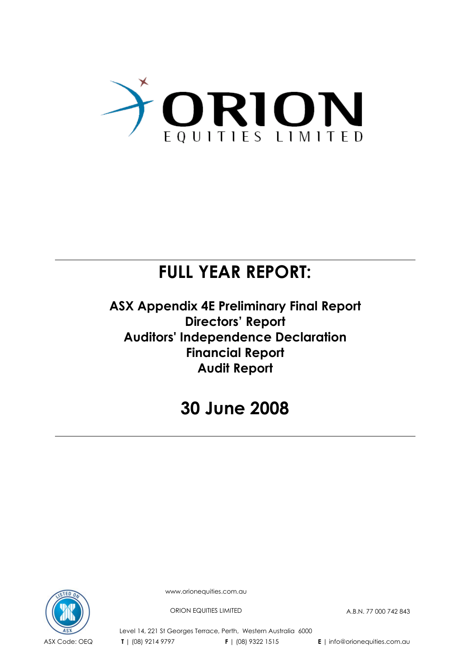

# **FULL YEAR REPORT:**

**ASX Appendix 4E Preliminary Final Report Directors' Report Auditors' Independence Declaration Financial Report Audit Report** 

# **30 June 2008**



www.orionequities.com.au

ORION EQUITIES LIMITED A.B.N. 77 000 742 843

Level 14, 221 St Georges Terrace, Perth, Western Australia 6000 ASX Code: OEQ **T** | (08) 9214 9797 **F** | (08) 9322 1515 **E** | info@orionequities.com.au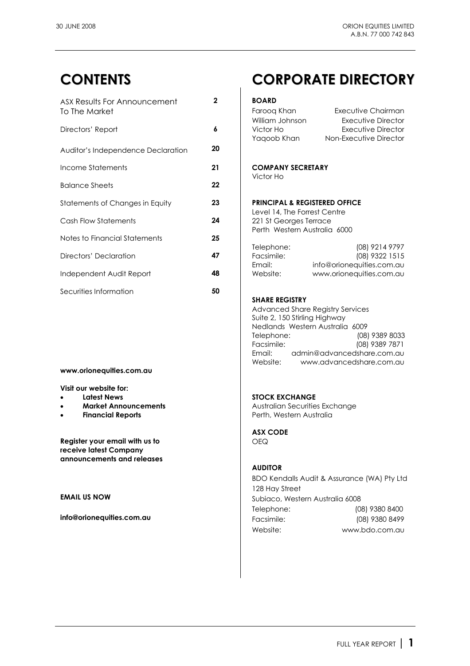| ASX Results For Announcement       | $\mathbf{2}$ | <b>BOARD</b>                                                                           |                                                                           |
|------------------------------------|--------------|----------------------------------------------------------------------------------------|---------------------------------------------------------------------------|
| To The Market                      |              | Faroog Khan                                                                            | Executive Chairman                                                        |
| Directors' Report                  | 6            | William Johnson<br>Victor Ho<br>Yaqoob Khan                                            | Executive Director<br><b>Executive Director</b><br>Non-Executive Director |
| Auditor's Independence Declaration | 20           |                                                                                        |                                                                           |
| Income Statements                  | 21           | <b>COMPANY SECRETARY</b>                                                               |                                                                           |
| <b>Balance Sheets</b>              | 22           | Victor Ho                                                                              |                                                                           |
| Statements of Changes in Equity    | 23           | <b>PRINCIPAL &amp; REGISTERED OFFICE</b>                                               |                                                                           |
| Cash Flow Statements               | 24           | Level 14, The Forrest Centre<br>221 St Georges Terrace<br>Perth Western Australia 6000 |                                                                           |
| Notes to Financial Statements      | 25           |                                                                                        |                                                                           |
| Directors' Declaration             | 47           | Telephone:<br>Facsimile:<br>Email:                                                     | (08) 9214 9797<br>(08) 9322 1515<br>info@orionequities.com.au             |
| Independent Audit Report           | 48           | Website:                                                                               | www.orionequities.com.au                                                  |
| Securities Information             | 50           |                                                                                        |                                                                           |

### **www.orionequities.com.au**

**Visit our website for:** 

- 
- 
- 

**Register your email with us to** <br>
OEQ **receive latest Company announcements and releases** 

## **CONTENTS CORPORATE DIRECTORY**

| Faroog Khan     | Executive Chairman     |
|-----------------|------------------------|
| William Johnson | Executive Director     |
| Victor Ho       | Executive Director     |
| Yagoob Khan     | Non-Executive Director |
|                 |                        |

### **PRINCIPAL & REGISTERED OFFICE**

| Telephone: | (08) 9214 9797            |
|------------|---------------------------|
| Facsimile: | (08) 9322 1515            |
| Email:     | info@orionequities.com.au |
| Website:   | www.orionequities.com.au  |

### **SHARE REGISTRY**

 Advanced Share Registry Services Suite 2, 150 Stirling Highway Nedlands Western Australia 6009 Telephone: (08) 9389 8033 Facsimile: (08) 9389 7871 Email: admin@advancedshare.com.au Website: www.advancedshare.com.au

### **Latest News Contract Contract Contract Contract Contract Contract Contract Contract Contract Contract Contract Contract Contract Contract Contract Contract Contract Contract Contract Contract Contract Contract Contract Co**

**Market Announcements Australian Securities Exchange Financial Reports Perth, Western Australia** 

**ASX CODE** 

### **AUDITOR**

 BDO Kendalls Audit & Assurance (WA) Pty Ltd 128 Hay Street **EMAIL US NOW CONSUMING THE SUBJECT SUBJECT SUBJECT AUSTRALIA 6008**  Telephone: (08) 9380 8400 **info@orionequities.com.au** Facsimile: (08) 9380 8499 Website: www.bdo.com.au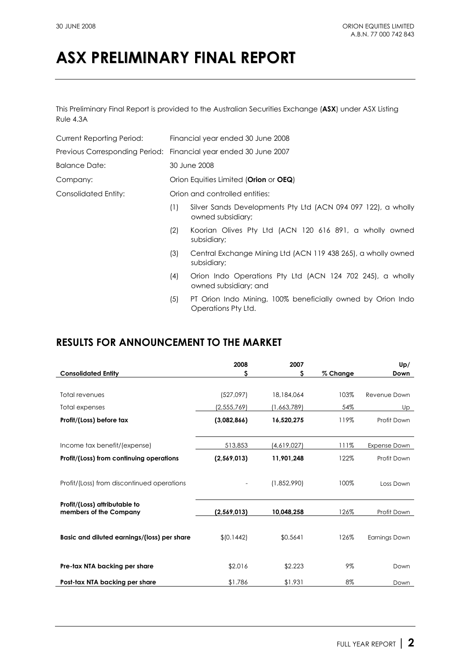This Preliminary Final Report is provided to the Australian Securities Exchange (**ASX**) under ASX Listing Rule 4.3A

| Current Reporting Period: |     | Financial year ended 30 June 2008                                                  |  |  |
|---------------------------|-----|------------------------------------------------------------------------------------|--|--|
|                           |     | Previous Corresponding Period: Financial year ended 30 June 2007                   |  |  |
| <b>Balance Date:</b>      |     | 30 June 2008                                                                       |  |  |
| Company:                  |     | Orion Equities Limited (Orion or OEQ)                                              |  |  |
| Consolidated Entity:      |     | Orion and controlled entities:                                                     |  |  |
|                           | (1) | Silver Sands Developments Pty Ltd (ACN 094 097 122), a wholly<br>owned subsidiary; |  |  |
|                           | (2) | Koorian Olives Pty Ltd (ACN 120 616 891, a wholly owned<br>subsidiary;             |  |  |
|                           | (3) | Central Exchange Mining Ltd (ACN 119 438 265), a wholly owned<br>subsidiary;       |  |  |
|                           | (4) | Orion Indo Operations Pty Ltd (ACN 124 702 245), a wholly<br>owned subsidiary; and |  |  |
|                           | (5) | PT Orion Indo Mining, 100% beneficially owned by Orion Indo<br>Operations Pty Ltd. |  |  |

## **RESULTS FOR ANNOUNCEMENT TO THE MARKET**

| 2008          | 2007                                 |                                   | Up/                  |
|---------------|--------------------------------------|-----------------------------------|----------------------|
| Ś             | s                                    | % Change                          | Down                 |
|               |                                      |                                   |                      |
| (527,097)     | 18,184,064                           | 103%                              | Revenue Down         |
| (2, 555, 769) | (1,663,789)                          | 54%                               | Up                   |
| (3,082,866)   | 16,520,275                           | 119%                              | Profit Down          |
|               |                                      |                                   |                      |
| 513,853       | (4,619,027)                          | 111%                              | Expense Down         |
| (2,569,013)   | 11,901,248                           | 122%                              | Profit Down          |
|               |                                      |                                   |                      |
|               | (1,852,990)                          | 100%                              | Loss Down            |
|               |                                      |                                   |                      |
|               |                                      |                                   |                      |
|               |                                      |                                   | Profit Down          |
|               |                                      |                                   |                      |
|               |                                      |                                   | <b>Earnings Down</b> |
|               |                                      |                                   |                      |
| \$2.016       | \$2.223                              | 9%                                | Down                 |
|               |                                      | 8%                                | Down                 |
|               | (2,569,013)<br>\$10.1442]<br>\$1.786 | 10,048,258<br>\$0.5641<br>\$1.931 | 126%<br>126%         |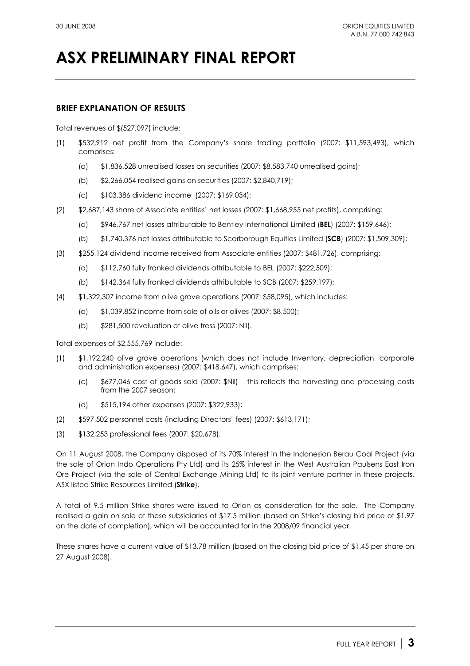## **BRIEF EXPLANATION OF RESULTS**

Total revenues of \$(527,097) include:

- (1) \$532,912 net profit from the Company's share trading portfolio (2007: \$11,593,493), which comprises:
	- (a) \$1,836,528 unrealised losses on securities (2007: \$8,583,740 unrealised gains);
	- (b) \$2,266,054 realised gains on securities (2007: \$2,840,719);
	- (c) \$103,386 dividend income (2007: \$169,034);
- (2) \$2,687,143 share of Associate entities' net losses (2007: \$1,668,955 net profits), comprising:
	- (a) \$946,767 net losses attributable to Bentley International Limited (**BEL**) (2007: \$159,646);
	- (b) \$1,740,376 net losses attributable to Scarborough Equities Limited (**SCB**) (2007: \$1,509,309);
- (3) \$255,124 dividend income received from Associate entities (2007: \$481,726), comprising:
	- (a) \$112,760 fully franked dividends attributable to BEL (2007: \$222,509);
	- (b) \$142,364 fully franked dividends attributable to SCB (2007: \$259,197);
- (4) \$1,322,307 income from olive grove operations (2007: \$58,095), which includes:
	- (a) \$1,039,852 income from sale of oils or olives (2007: \$8,500);
	- (b) \$281,500 revaluation of olive tress (2007: Nil).

Total expenses of \$2,555,769 include:

- (1) \$1,192,240 olive grove operations (which does not include Inventory, depreciation, corporate and administration expenses) (2007: \$418,647), which comprises:
	- (c) \$677,046 cost of goods sold (2007: \$Nil) this reflects the harvesting and processing costs from the 2007 season;
	- (d) \$515,194 other expenses (2007: \$322,933);
- (2) \$597,502 personnel costs (including Directors' fees) (2007: \$613,171);
- (3) \$132,253 professional fees (2007: \$20,678).

On 11 August 2008, the Company disposed of its 70% interest in the Indonesian Berau Coal Project (via the sale of Orion Indo Operations Pty Ltd) and its 25% interest in the West Australian Paulsens East Iron Ore Project (via the sale of Central Exchange Mining Ltd) to its joint venture partner in these projects, ASX listed Strike Resources Limited (**Strike**).

A total of 9.5 million Strike shares were issued to Orion as consideration for the sale. The Company realised a gain on sale of these subsidiaries of \$17.5 million (based on Strike's closing bid price of \$1.97 on the date of completion), which will be accounted for in the 2008/09 financial year.

These shares have a current value of \$13.78 million (based on the closing bid price of \$1.45 per share on 27 August 2008).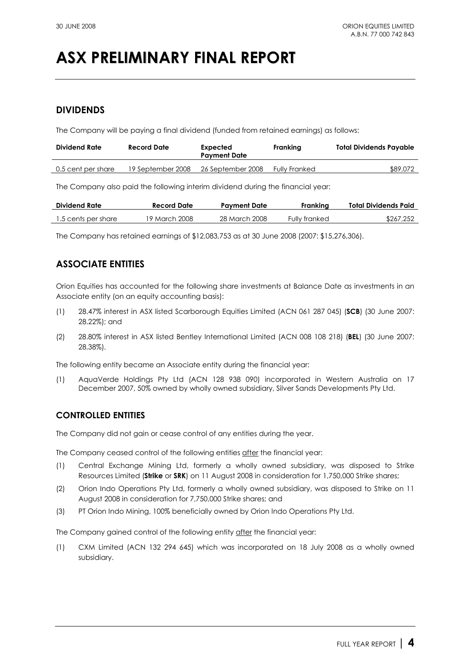## **DIVIDENDS**

The Company will be paying a final dividend (funded from retained earnings) as follows:

| Dividend Rate      | Record Date       | Expected<br><b>Payment Date</b> | Franking             | Total Dividends Payable |
|--------------------|-------------------|---------------------------------|----------------------|-------------------------|
| 0.5 cent per share | 19 September 2008 | 26 September 2008               | <b>Fully Franked</b> | \$89,072                |

The Company also paid the following interim dividend during the financial year:

| <b>Dividend Rate</b> | Record Date   | <b>Payment Date</b> | Frankina      | Total Dividends Paid |
|----------------------|---------------|---------------------|---------------|----------------------|
| 1.5 cents per share  | 19 March 2008 | 28 March 2008       | Fully franked | \$267,252            |

The Company has retained earnings of \$12,083,753 as at 30 June 2008 (2007: \$15,276,306).

## **ASSOCIATE ENTITIES**

Orion Equities has accounted for the following share investments at Balance Date as investments in an Associate entity (on an equity accounting basis):

- (1) 28.47% interest in ASX listed Scarborough Equities Limited (ACN 061 287 045) (**SCB**) (30 June 2007: 28.22%); and
- (2) 28.80% interest in ASX listed Bentley International Limited (ACN 008 108 218) (**BEL**) (30 June 2007: 28.38%).

The following entity became an Associate entity during the financial year:

(1) AquaVerde Holdings Pty Ltd (ACN 128 938 090) incorporated in Western Australia on 17 December 2007, 50% owned by wholly owned subsidiary, Silver Sands Developments Pty Ltd.

## **CONTROLLED ENTITIES**

The Company did not gain or cease control of any entities during the year.

The Company ceased control of the following entities after the financial year:

- (1) Central Exchange Mining Ltd, formerly a wholly owned subsidiary, was disposed to Strike Resources Limited (**Strike** or **SRK**) on 11 August 2008 in consideration for 1,750,000 Strike shares;
- (2) Orion Indo Operations Pty Ltd, formerly a wholly owned subsidiary, was disposed to Strike on 11 August 2008 in consideration for 7,750,000 Strike shares; and
- (3) PT Orion Indo Mining, 100% beneficially owned by Orion Indo Operations Pty Ltd.

The Company gained control of the following entity after the financial year:

(1) CXM Limited (ACN 132 294 645) which was incorporated on 18 July 2008 as a wholly owned subsidiary.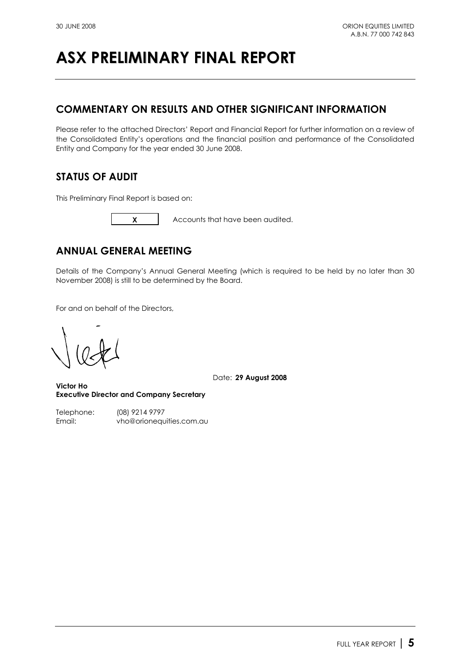## **COMMENTARY ON RESULTS AND OTHER SIGNIFICANT INFORMATION**

Please refer to the attached Directors' Report and Financial Report for further information on a review of the Consolidated Entity's operations and the financial position and performance of the Consolidated Entity and Company for the year ended 30 June 2008.

## **STATUS OF AUDIT**

This Preliminary Final Report is based on:



**X** Accounts that have been audited.

## **ANNUAL GENERAL MEETING**

Details of the Company's Annual General Meeting (which is required to be held by no later than 30 November 2008) is still to be determined by the Board.

For and on behalf of the Directors,

Date: **29 August 2008**

**Victor Ho Executive Director and Company Secretary** 

Telephone: (08) 9214 9797 Email: vho@orionequities.com.au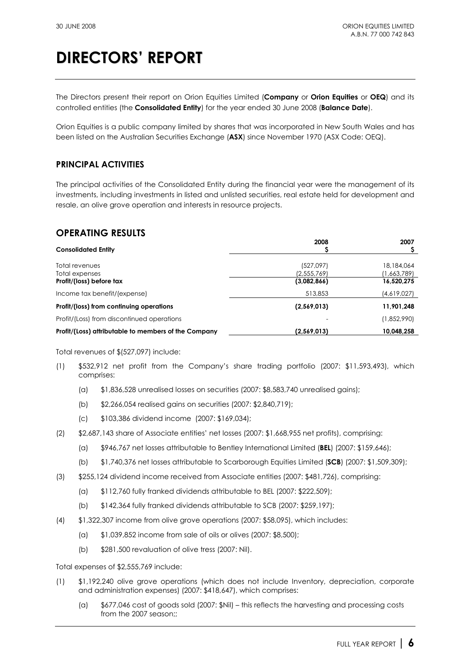The Directors present their report on Orion Equities Limited (**Company** or **Orion Equities** or **OEQ**) and its controlled entities (the **Consolidated Entity**) for the year ended 30 June 2008 (**Balance Date**).

Orion Equities is a public company limited by shares that was incorporated in New South Wales and has been listed on the Australian Securities Exchange (**ASX**) since November 1970 (ASX Code: OEQ).

## **PRINCIPAL ACTIVITIES**

The principal activities of the Consolidated Entity during the financial year were the management of its investments, including investments in listed and unlisted securities, real estate held for development and resale, an olive grove operation and interests in resource projects.

## **OPERATING RESULTS**

| <b>Consolidated Entity</b>                           | 2008                     | 2007                      |
|------------------------------------------------------|--------------------------|---------------------------|
| Total revenues<br>Total expenses                     | (527,097)<br>(2,555,769) | 18,184,064<br>(1,663,789) |
| Profit/(loss) before tax                             | (3,082,866)              | 16,520,275                |
| Income tax benefit/(expense)                         | 513,853                  | (4,619,027)               |
| Profit/(loss) from continuing operations             | (2,569,013)              | 11,901,248                |
| Profit/(Loss) from discontinued operations           |                          | (1,852,990)               |
| Profit/(Loss) attributable to members of the Company | (2,569,013)              | 10,048,258                |

Total revenues of \$(527,097) include:

- (1) \$532,912 net profit from the Company's share trading portfolio (2007: \$11,593,493), which comprises:
	- (a) \$1,836,528 unrealised losses on securities (2007: \$8,583,740 unrealised gains);
	- (b) \$2,266,054 realised gains on securities (2007: \$2,840,719);
	- (c) \$103,386 dividend income (2007: \$169,034);
- (2) \$2,687,143 share of Associate entities' net losses (2007: \$1,668,955 net profits), comprising:
	- (a) \$946,767 net losses attributable to Bentley International Limited (**BEL**) (2007: \$159,646);
	- (b) \$1,740,376 net losses attributable to Scarborough Equities Limited (**SCB**) (2007: \$1,509,309);
- (3) \$255,124 dividend income received from Associate entities (2007: \$481,726), comprising:
	- (a) \$112,760 fully franked dividends attributable to BEL (2007: \$222,509);
	- (b) \$142,364 fully franked dividends attributable to SCB (2007: \$259,197);
- (4) \$1,322,307 income from olive grove operations (2007: \$58,095), which includes:
	- (a) \$1,039,852 income from sale of oils or olives (2007: \$8,500);
	- (b) \$281,500 revaluation of olive tress (2007: Nil).

Total expenses of \$2,555,769 include:

- (1) \$1,192,240 olive grove operations (which does not include Inventory, depreciation, corporate and administration expenses) (2007: \$418,647), which comprises:
	- (a) \$677,046 cost of goods sold (2007: \$Nil) this reflects the harvesting and processing costs from the 2007 season::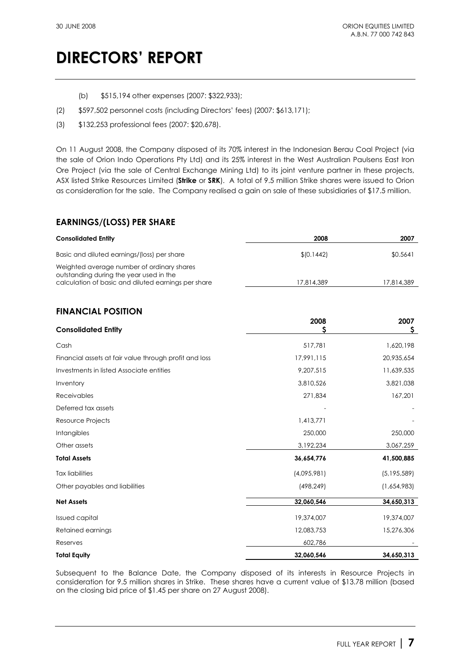- (b) \$515,194 other expenses (2007: \$322,933);
- (2) \$597,502 personnel costs (including Directors' fees) (2007: \$613,171);
- (3) \$132,253 professional fees (2007: \$20,678).

On 11 August 2008, the Company disposed of its 70% interest in the Indonesian Berau Coal Project (via the sale of Orion Indo Operations Pty Ltd) and its 25% interest in the West Australian Paulsens East Iron Ore Project (via the sale of Central Exchange Mining Ltd) to its joint venture partner in these projects, ASX listed Strike Resources Limited (**Strike** or **SRK**). A total of 9.5 million Strike shares were issued to Orion as consideration for the sale. The Company realised a gain on sale of these subsidiaries of \$17.5 million.

## **EARNINGS/(LOSS) PER SHARE**

| <b>Consolidated Entity</b>                                                            | 2008       | 2007       |
|---------------------------------------------------------------------------------------|------------|------------|
| Basic and diluted earnings/(loss) per share                                           | \$10.1442] | \$0.5641   |
| Weighted average number of ordinary shares<br>outstanding during the year used in the |            |            |
| calculation of basic and diluted earnings per share                                   | 17.814.389 | 17.814.389 |

## **FINANCIAL POSITION**

| <b>Consolidated Entity</b>                             | 2008<br>Ş   | 2007<br>\$  |
|--------------------------------------------------------|-------------|-------------|
| Cash                                                   | 517,781     | 1,620,198   |
| Financial assets at fair value through profit and loss | 17,991,115  | 20,935,654  |
| Investments in listed Associate entities               | 9,207,515   | 11,639,535  |
| Inventory                                              | 3,810,526   | 3,821,038   |
| Receivables                                            | 271,834     | 167,201     |
| Deferred tax assets                                    |             |             |
| Resource Projects                                      | 1,413,771   |             |
| Intangibles                                            | 250,000     | 250,000     |
| Other assets                                           | 3,192,234   | 3,067,259   |
| <b>Total Assets</b>                                    | 36,654,776  | 41,500,885  |
| <b>Tax liabilities</b>                                 | (4,095,981) | (5,195,589) |
| Other payables and liabilities                         | (498, 249)  | (1,654,983) |
| <b>Net Assets</b>                                      | 32,060,546  | 34,650,313  |
| Issued capital                                         | 19,374,007  | 19,374,007  |
| Retained earnings                                      | 12,083,753  | 15,276,306  |
| Reserves                                               | 602,786     |             |
| <b>Total Equity</b>                                    | 32,060,546  | 34,650,313  |

Subsequent to the Balance Date, the Company disposed of its interests in Resource Projects in consideration for 9.5 million shares in Strike. These shares have a current value of \$13.78 million (based on the closing bid price of \$1.45 per share on 27 August 2008).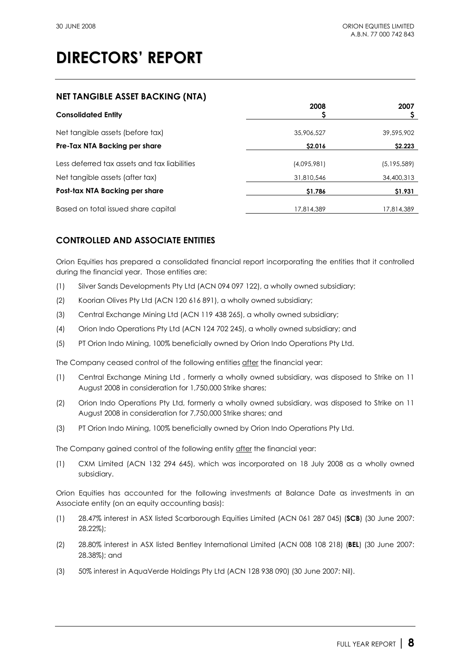## **NET TANGIBLE ASSET BACKING (NTA)**

| <b>Consolidated Entity</b>                   | 2008        | 2007          |
|----------------------------------------------|-------------|---------------|
| Net tangible assets (before tax)             | 35,906,527  | 39,595,902    |
| Pre-Tax NTA Backing per share                | \$2.016     | \$2.223       |
| Less deferred tax assets and tax liabilities | (4,095,981) | (5, 195, 589) |
| Net tangible assets (after tax)              | 31,810,546  | 34,400,313    |
| Post-tax NTA Backing per share               | \$1.786     | \$1.931       |
| Based on total issued share capital          | 17,814,389  | 17,814,389    |

## **CONTROLLED AND ASSOCIATE ENTITIES**

Orion Equities has prepared a consolidated financial report incorporating the entities that it controlled during the financial year. Those entities are:

- (1) Silver Sands Developments Pty Ltd (ACN 094 097 122), a wholly owned subsidiary;
- (2) Koorian Olives Pty Ltd (ACN 120 616 891), a wholly owned subsidiary;
- (3) Central Exchange Mining Ltd (ACN 119 438 265), a wholly owned subsidiary;
- (4) Orion Indo Operations Pty Ltd (ACN 124 702 245), a wholly owned subsidiary; and
- (5) PT Orion Indo Mining, 100% beneficially owned by Orion Indo Operations Pty Ltd.

The Company ceased control of the following entities after the financial year:

- (1) Central Exchange Mining Ltd , formerly a wholly owned subsidiary, was disposed to Strike on 11 August 2008 in consideration for 1,750,000 Strike shares;
- (2) Orion Indo Operations Pty Ltd, formerly a wholly owned subsidiary, was disposed to Strike on 11 August 2008 in consideration for 7,750,000 Strike shares; and
- (3) PT Orion Indo Mining, 100% beneficially owned by Orion Indo Operations Pty Ltd.

The Company gained control of the following entity after the financial year:

(1) CXM Limited (ACN 132 294 645), which was incorporated on 18 July 2008 as a wholly owned subsidiary.

Orion Equities has accounted for the following investments at Balance Date as investments in an Associate entity (on an equity accounting basis):

- (1) 28.47% interest in ASX listed Scarborough Equities Limited (ACN 061 287 045) (**SCB**) (30 June 2007: 28.22%);
- (2) 28.80% interest in ASX listed Bentley International Limited (ACN 008 108 218) (**BEL**) (30 June 2007: 28.38%); and
- (3) 50% interest in AquaVerde Holdings Pty Ltd (ACN 128 938 090) (30 June 2007: Nil).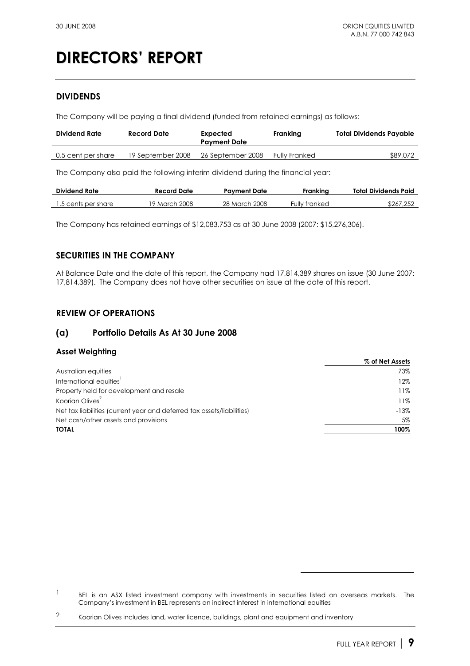## **DIVIDENDS**

The Company will be paying a final dividend (funded from retained earnings) as follows:

| Dividend Rate      | Record Date       | Expected<br><b>Payment Date</b> | Franking             | <b>Total Dividends Payable</b> |
|--------------------|-------------------|---------------------------------|----------------------|--------------------------------|
| 0.5 cent per share | 19 September 2008 | 26 September 2008               | <b>Fully Franked</b> | \$89,072                       |

The Company also paid the following interim dividend during the financial year:

| <b>Dividend Rate</b> | Record Date   | Pavment Date  | Frankina      | Total Dividends Paid |
|----------------------|---------------|---------------|---------------|----------------------|
| 1.5 cents per share  | 19 March 2008 | 28 March 2008 | Fully franked | \$267,252            |

The Company has retained earnings of \$12,083,753 as at 30 June 2008 (2007: \$15,276,306).

## **SECURITIES IN THE COMPANY**

At Balance Date and the date of this report, the Company had 17,814,389 shares on issue (30 June 2007: 17,814,389). The Company does not have other securities on issue at the date of this report.

## **REVIEW OF OPERATIONS**

## **(a) Portfolio Details As At 30 June 2008**

## **Asset Weighting**

|                                                                        | % of Net Assets |
|------------------------------------------------------------------------|-----------------|
| Australian equities                                                    | 73%             |
| International equities                                                 | 12%             |
| Property held for development and resale                               | 11%             |
| Koorian Olives <sup>2</sup>                                            | 11%             |
| Net tax liabilities (current year and deferred tax assets/liabilities) | $-13%$          |
| Net cash/other assets and provisions                                   | 5%              |
| <b>TOTAL</b>                                                           | 100%            |

 $\overline{a}$ 

<sup>&</sup>lt;sup>1</sup> BEL is an ASX listed investment company with investments in securities listed on overseas markets. The Company's investment in BEL represents an indirect interest in international equities

<sup>&</sup>lt;sup>2</sup> Koorian Olives includes land, water licence, buildings, plant and equipment and inventory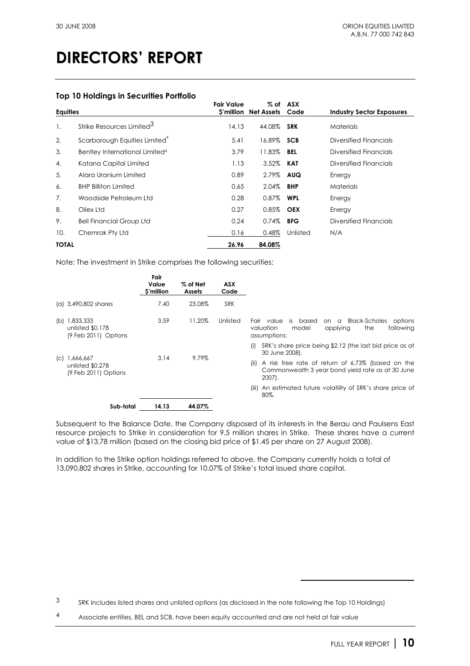### **Top 10 Holdings in Securities Portfolio**

| <b>Equities</b> |                                            | <b>Fair Value</b><br>S'million | % of<br><b>Net Assets</b> | ASX<br>Code | <b>Industry Sector Exposures</b> |
|-----------------|--------------------------------------------|--------------------------------|---------------------------|-------------|----------------------------------|
| 1.              | Strike Resources Limited <sup>3</sup>      | 14.13                          | 44.08%                    | <b>SRK</b>  | <b>Materials</b>                 |
| 2.              | Scarborough Equities Limited <sup>4</sup>  | 5.41                           | 16.89% SCB                |             | Diversified Financials           |
| 3.              | Bentley International Limited <sup>4</sup> | 3.79                           | 11.83% BEL                |             | Diversified Financials           |
| 4.              | Katana Capital Limited                     | 1.13                           | 3.52%                     | KAT         | Diversified Financials           |
| 5.              | Alara Uranium Limited                      | 0.89                           | 2.79%                     | AUQ         | Energy                           |
| 6.              | <b>BHP Billiton Limited</b>                | 0.65                           | 2.04%                     | <b>BHP</b>  | <b>Materials</b>                 |
| 7.              | Woodside Petroleum Ltd                     | 0.28                           | 0.87%                     | <b>WPL</b>  | Energy                           |
| 8.              | Oilex Ltd                                  | 0.27                           | 0.85%                     | <b>OEX</b>  | Energy                           |
| 9.              | <b>Bell Financial Group Ltd</b>            | 0.24                           | 0.74%                     | <b>BFG</b>  | Diversified Financials           |
| 10.             | Chemrok Pty Ltd                            | 0.16                           | 0.48%                     | Unlisted    | N/A                              |
| <b>TOTAL</b>    |                                            | 26.96                          | 84.08%                    |             |                                  |

Note: The investment in Strike comprises the following securities:

|     |                                                             | Fair<br>Value<br>\$'million | $%$ of Net<br><b>Assets</b> | ASX<br>Code |                                                                                                                                            |
|-----|-------------------------------------------------------------|-----------------------------|-----------------------------|-------------|--------------------------------------------------------------------------------------------------------------------------------------------|
|     | (a) 3,490,802 shares                                        | 7.40                        | 23.08%                      | <b>SRK</b>  |                                                                                                                                            |
| (b) | 1,833,333<br>unlisted \$0.178<br>$(9$ Feb 2011) Options     | 3.59                        | 11.20%                      | Unlisted    | <b>Black-Scholes</b><br>is based<br>options<br>value<br>Fair<br>on a<br>valuation<br>following<br>model<br>the<br>applying<br>assumptions: |
|     |                                                             |                             |                             |             | SRK's share price being \$2.12 (the last bid price as at<br>(i)<br>30 June 2008).                                                          |
|     | $ C $ 1,666,667<br>unlisted \$0.278<br>(9 Feb 2011) Options | 3.14                        | 9.79%                       |             | A risk free rate of return of 6.73% (based on the<br>(ii)<br>Commonwealth 3 year bond yield rate as at 30 June<br>2007).                   |
|     |                                                             |                             |                             |             | An estimated future volatility of SRK's share price of<br>(III)<br>80%.                                                                    |
|     | Sub-total                                                   | 14.13                       | 44.07%                      |             |                                                                                                                                            |

Subsequent to the Balance Date, the Company disposed of its interests in the Berau and Paulsens East resource projects to Strike in consideration for 9.5 million shares in Strike. These shares have a current value of \$13.78 million (based on the closing bid price of \$1.45 per share on 27 August 2008).

In addition to the Strike option holdings referred to above, the Company currently holds a total of 13,090,802 shares in Strike, accounting for 10.07% of Strike's total issued share capital.

 $\overline{a}$ 

<sup>3</sup> SRK includes listed shares and unlisted options (as disclosed in the note following the Top 10 Holdings)

<sup>4</sup> Associate entities, BEL and SCB, have been equity accounted and are not held at fair value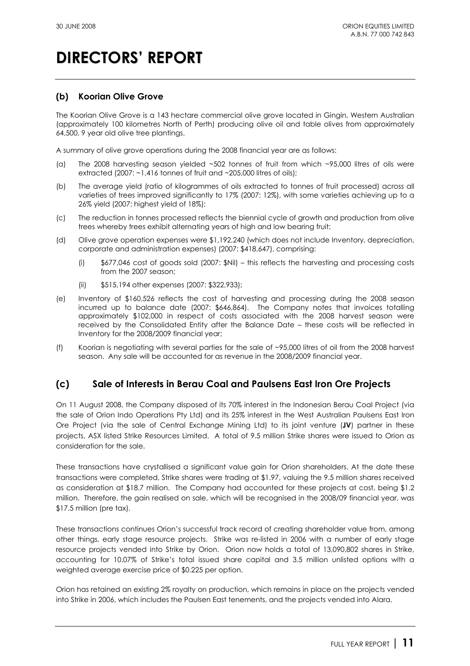## **(b) Koorian Olive Grove**

The Koorian Olive Grove is a 143 hectare commercial olive grove located in Gingin, Western Australian (approximately 100 kilometres North of Perth) producing olive oil and table olives from approximately 64,500, 9 year old olive tree plantings.

A summary of olive grove operations during the 2008 financial year are as follows:

- (a) The 2008 harvesting season yielded ~502 tonnes of fruit from which ~95,000 litres of oils were extracted (2007: ~1,416 tonnes of fruit and ~205,000 litres of oils);
- (b) The average yield (ratio of kilogrammes of oils extracted to tonnes of fruit processed) across all varieties of trees improved significantly to 17% (2007: 12%), with some varieties achieving up to a 26% yield (2007: highest yield of 18%);
- (c) The reduction in tonnes processed reflects the biennial cycle of growth and production from olive trees whereby trees exhibit alternating years of high and low bearing fruit;
- (d) Olive grove operation expenses were \$1,192,240 (which does not include Inventory, depreciation, corporate and administration expenses) (2007: \$418,647), comprising:
	- (i) \$677,046 cost of goods sold (2007: \$Nil) this reflects the harvesting and processing costs from the 2007 season;
	- (ii) \$515,194 other expenses (2007: \$322,933);
- (e) Inventory of \$160,526 reflects the cost of harvesting and processing during the 2008 season incurred up to balance date (2007: \$646,864). The Company notes that invoices totalling approximately \$102,000 in respect of costs associated with the 2008 harvest season were received by the Consolidated Entity after the Balance Date – these costs will be reflected in Inventory for the 2008/2009 financial year;
- (f) Koorian is negotiating with several parties for the sale of ~95,000 litres of oil from the 2008 harvest season. Any sale will be accounted for as revenue in the 2008/2009 financial year.

## **(c) Sale of Interests in Berau Coal and Paulsens East Iron Ore Projects**

On 11 August 2008, the Company disposed of its 70% interest in the Indonesian Berau Coal Project (via the sale of Orion Indo Operations Pty Ltd) and its 25% interest in the West Australian Paulsens East Iron Ore Project (via the sale of Central Exchange Mining Ltd) to its joint venture (**JV**) partner in these projects, ASX listed Strike Resources Limited. A total of 9.5 million Strike shares were issued to Orion as consideration for the sale.

These transactions have crystallised a significant value gain for Orion shareholders. At the date these transactions were completed, Strike shares were trading at \$1.97, valuing the 9.5 million shares received as consideration at \$18.7 million. The Company had accounted for these projects at cost, being \$1.2 million. Therefore, the gain realised on sale, which will be recognised in the 2008/09 financial year, was \$17.5 million (pre tax).

These transactions continues Orion's successful track record of creating shareholder value from, among other things, early stage resource projects. Strike was re-listed in 2006 with a number of early stage resource projects vended into Strike by Orion. Orion now holds a total of 13,090,802 shares in Strike, accounting for 10.07% of Strike's total issued share capital and 3.5 million unlisted options with a weighted average exercise price of \$0.225 per option.

Orion has retained an existing 2% royalty on production, which remains in place on the projects vended into Strike in 2006, which includes the Paulsen East tenements, and the projects vended into Alara.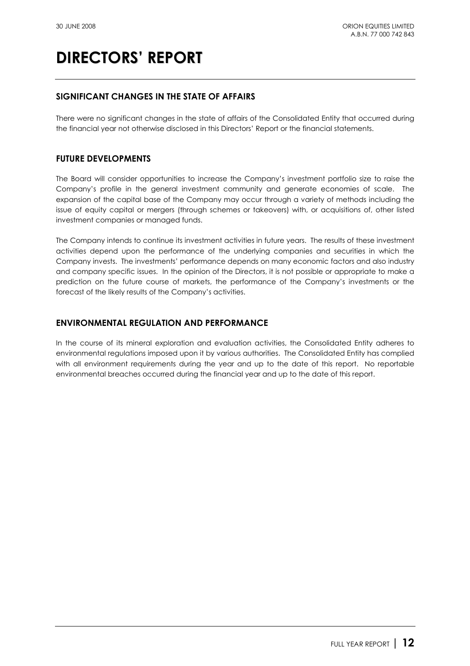## **SIGNIFICANT CHANGES IN THE STATE OF AFFAIRS**

There were no significant changes in the state of affairs of the Consolidated Entity that occurred during the financial year not otherwise disclosed in this Directors' Report or the financial statements.

## **FUTURE DEVELOPMENTS**

The Board will consider opportunities to increase the Company's investment portfolio size to raise the Company's profile in the general investment community and generate economies of scale. The expansion of the capital base of the Company may occur through a variety of methods including the issue of equity capital or mergers (through schemes or takeovers) with, or acquisitions of, other listed investment companies or managed funds.

The Company intends to continue its investment activities in future years. The results of these investment activities depend upon the performance of the underlying companies and securities in which the Company invests. The investments' performance depends on many economic factors and also industry and company specific issues. In the opinion of the Directors, it is not possible or appropriate to make a prediction on the future course of markets, the performance of the Company's investments or the forecast of the likely results of the Company's activities.

## **ENVIRONMENTAL REGULATION AND PERFORMANCE**

In the course of its mineral exploration and evaluation activities, the Consolidated Entity adheres to environmental regulations imposed upon it by various authorities. The Consolidated Entity has complied with all environment requirements during the year and up to the date of this report. No reportable environmental breaches occurred during the financial year and up to the date of this report.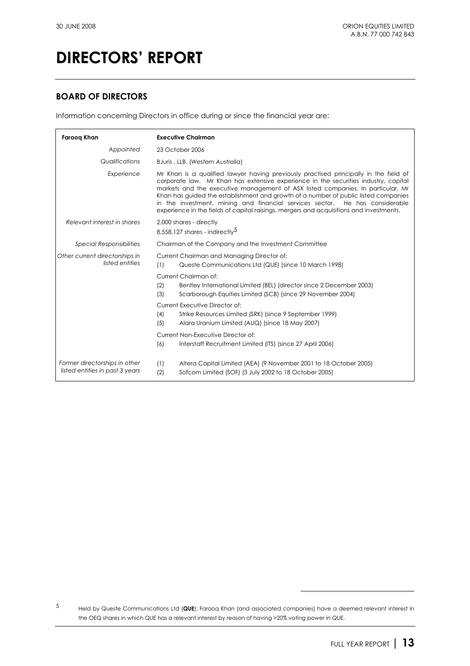## **BOARD OF DIRECTORS**

Information concerning Directors in office during or since the financial year are:

| Faroog Khan                                                      | <b>Executive Chairman</b>                                                                                                                                                                                                                                                                                                                                                                                                                                                                                                         |  |  |  |  |  |
|------------------------------------------------------------------|-----------------------------------------------------------------------------------------------------------------------------------------------------------------------------------------------------------------------------------------------------------------------------------------------------------------------------------------------------------------------------------------------------------------------------------------------------------------------------------------------------------------------------------|--|--|--|--|--|
| Appointed                                                        | 23 October 2006                                                                                                                                                                                                                                                                                                                                                                                                                                                                                                                   |  |  |  |  |  |
| Qualifications                                                   | BJuris, LLB. (Western Australia)                                                                                                                                                                                                                                                                                                                                                                                                                                                                                                  |  |  |  |  |  |
| Experience                                                       | Mr Khan is a qualified lawyer having previously practised principally in the field of<br>corporate law. Mr Khan has extensive experience in the securities industry, capital<br>markets and the executive management of ASX listed companies. In particular, Mr<br>Khan has guided the establishment and growth of a number of public listed companies<br>in the investment, mining and financial services sector. He has considerable<br>experience in the fields of capital raisings, mergers and acquisitions and investments. |  |  |  |  |  |
| Relevant interest in shares                                      | 2,000 shares - directly<br>8,558,127 shares - indirectly <sup>5</sup>                                                                                                                                                                                                                                                                                                                                                                                                                                                             |  |  |  |  |  |
| <b>Special Responsibilities</b>                                  | Chairman of the Company and the Investment Committee                                                                                                                                                                                                                                                                                                                                                                                                                                                                              |  |  |  |  |  |
| Other current directorships in<br>listed entities                | Current Chairman and Managing Director of:<br>(1)<br>Queste Communications Ltd (QUE) (since 10 March 1998)                                                                                                                                                                                                                                                                                                                                                                                                                        |  |  |  |  |  |
|                                                                  | Current Chairman of:<br>(2)<br>Bentley International Limited (BEL) (director since 2 December 2003)<br>(3)<br>Scarborough Equities Limited (SCB) (since 29 November 2004)                                                                                                                                                                                                                                                                                                                                                         |  |  |  |  |  |
|                                                                  | <b>Current Executive Director of:</b><br>(4)<br>Strike Resources Limited (SRK) (since 9 September 1999)<br>(5)<br>Alara Uranium Limited (AUQ) (since 18 May 2007)                                                                                                                                                                                                                                                                                                                                                                 |  |  |  |  |  |
|                                                                  | Current Non-Executive Director of:<br>(6)<br>Interstaff Recruitment Limited (ITS) (since 27 April 2006)                                                                                                                                                                                                                                                                                                                                                                                                                           |  |  |  |  |  |
| Former directorships in other<br>listed entities in past 3 years | Altera Capital Limited (AEA) (9 November 2001 to 18 October 2005)<br>(1)<br>(2)<br>Sofcom Limited (SOF) (3 July 2002 to 18 October 2005)                                                                                                                                                                                                                                                                                                                                                                                          |  |  |  |  |  |

 $\overline{a}$ 

<sup>5</sup> Held by Queste Communications Ltd (**QUE**); Farooq Khan (and associated companies) have a deemed relevant interest in the OEQ shares in which QUE has a relevant interest by reason of having >20% voting power in QUE.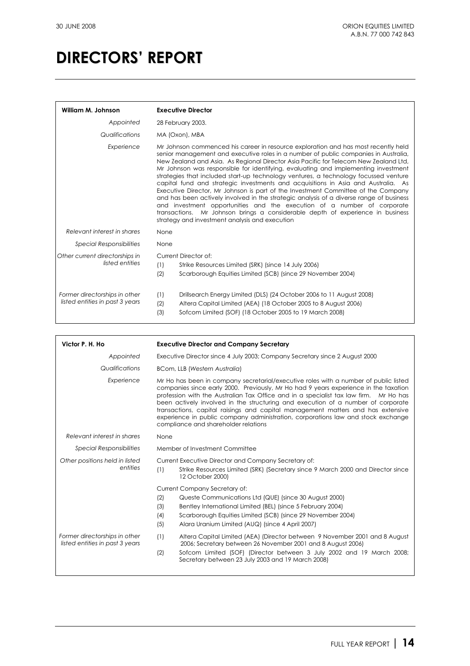| William M. Johnson                                               | <b>Executive Director</b>                                                                                                                                                                                                                                                                                                                                                                                                                                                                                                                                                                                                                                                                                                                                                                                                                                                                                                           |  |  |  |
|------------------------------------------------------------------|-------------------------------------------------------------------------------------------------------------------------------------------------------------------------------------------------------------------------------------------------------------------------------------------------------------------------------------------------------------------------------------------------------------------------------------------------------------------------------------------------------------------------------------------------------------------------------------------------------------------------------------------------------------------------------------------------------------------------------------------------------------------------------------------------------------------------------------------------------------------------------------------------------------------------------------|--|--|--|
| Appointed                                                        | 28 February 2003.                                                                                                                                                                                                                                                                                                                                                                                                                                                                                                                                                                                                                                                                                                                                                                                                                                                                                                                   |  |  |  |
| Qualifications                                                   | MA (Oxon), MBA                                                                                                                                                                                                                                                                                                                                                                                                                                                                                                                                                                                                                                                                                                                                                                                                                                                                                                                      |  |  |  |
| Experience                                                       | Mr Johnson commenced his career in resource exploration and has most recently held<br>senior management and executive roles in a number of public companies in Australia,<br>New Zealand and Asia. As Regional Director Asia Pacific for Telecom New Zealand Ltd,<br>Mr Johnson was responsible for identifying, evaluating and implementing investment<br>strategies that included start-up technology ventures, a technology focussed venture<br>capital fund and strategic investments and acquisitions in Asia and Australia. As<br>Executive Director, Mr Johnson is part of the Investment Committee of the Company<br>and has been actively involved in the strategic analysis of a diverse range of business<br>and investment opportunities and the execution of a number of corporate<br>transactions. Mr Johnson brings a considerable depth of experience in business<br>strategy and investment analysis and execution |  |  |  |
| Relevant interest in shares                                      | None                                                                                                                                                                                                                                                                                                                                                                                                                                                                                                                                                                                                                                                                                                                                                                                                                                                                                                                                |  |  |  |
| <b>Special Responsibilities</b>                                  | None                                                                                                                                                                                                                                                                                                                                                                                                                                                                                                                                                                                                                                                                                                                                                                                                                                                                                                                                |  |  |  |
| Other current directorships in<br>listed entities                | Current Director of:<br>(1)<br>Strike Resources Limited (SRK) (since 14 July 2006)<br>(2)<br>Scarborough Equities Limited (SCB) (since 29 November 2004)                                                                                                                                                                                                                                                                                                                                                                                                                                                                                                                                                                                                                                                                                                                                                                            |  |  |  |
| Former directorships in other<br>listed entities in past 3 years | Drillsearch Energy Limited (DLS) (24 October 2006 to 11 August 2008)<br>(1)<br>(2)<br>Altera Capital Limited (AEA) (18 October 2005 to 8 August 2006)<br>(3)<br>Sofcom Limited (SOF) (18 October 2005 to 19 March 2008)                                                                                                                                                                                                                                                                                                                                                                                                                                                                                                                                                                                                                                                                                                             |  |  |  |

| Victor P. H. Ho                                                  | <b>Executive Director and Company Secretary</b>                                                                                                                                                                                                                                                                                                                                                                                                                                                                                                                          |  |  |  |
|------------------------------------------------------------------|--------------------------------------------------------------------------------------------------------------------------------------------------------------------------------------------------------------------------------------------------------------------------------------------------------------------------------------------------------------------------------------------------------------------------------------------------------------------------------------------------------------------------------------------------------------------------|--|--|--|
| Appointed                                                        | Executive Director since 4 July 2003; Company Secretary since 2 August 2000                                                                                                                                                                                                                                                                                                                                                                                                                                                                                              |  |  |  |
| Qualifications                                                   | <b>BCom, LLB (Western Australia)</b>                                                                                                                                                                                                                                                                                                                                                                                                                                                                                                                                     |  |  |  |
| Experience                                                       | Mr Ho has been in company secretarial/executive roles with a number of public listed<br>companies since early 2000. Previously, Mr Ho had 9 years experience in the taxation<br>profession with the Australian Tax Office and in a specialist tax law firm. Mr Ho has<br>been actively involved in the structuring and execution of a number of corporate<br>transactions, capital raisings and capital management matters and has extensive<br>experience in public company administration, corporations law and stock exchange<br>compliance and shareholder relations |  |  |  |
| Relevant interest in shares                                      | None                                                                                                                                                                                                                                                                                                                                                                                                                                                                                                                                                                     |  |  |  |
| <b>Special Responsibilities</b>                                  | Member of Investment Committee                                                                                                                                                                                                                                                                                                                                                                                                                                                                                                                                           |  |  |  |
| Other positions held in listed<br>entities                       | Current Executive Director and Company Secretary of:<br>Strike Resources Limited (SRK) (Secretary since 9 March 2000 and Director since<br>(1)<br>12 October 2000)                                                                                                                                                                                                                                                                                                                                                                                                       |  |  |  |
|                                                                  | Current Company Secretary of:<br>(2)<br>Queste Communications Ltd (QUE) (since 30 August 2000)<br>(3)<br>Bentley International Limited (BEL) (since 5 February 2004)<br>Scarborough Equities Limited (SCB) (since 29 November 2004)<br>(4)<br>(5)<br>Alara Uranium Limited (AUQ) (since 4 April 2007)                                                                                                                                                                                                                                                                    |  |  |  |
| Former directorships in other<br>listed entities in past 3 years | (1)<br>Altera Capital Limited (AEA) (Director between 9 November 2001 and 8 August<br>2006; Secretary between 26 November 2001 and 8 August 2006)<br>(2)<br>Sofcom Limited (SOF) (Director between 3 July 2002 and 19 March 2008;<br>Secretary between 23 July 2003 and 19 March 2008)                                                                                                                                                                                                                                                                                   |  |  |  |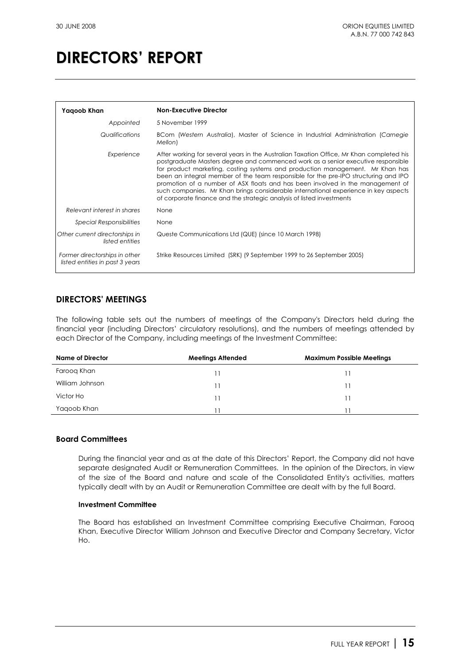| Yagoob Khan                                                      | <b>Non-Executive Director</b>                                                                                                                                                                                                                                                                                                                                                                                                                                                                                                                                                                          |
|------------------------------------------------------------------|--------------------------------------------------------------------------------------------------------------------------------------------------------------------------------------------------------------------------------------------------------------------------------------------------------------------------------------------------------------------------------------------------------------------------------------------------------------------------------------------------------------------------------------------------------------------------------------------------------|
| Appointed                                                        | 5 November 1999                                                                                                                                                                                                                                                                                                                                                                                                                                                                                                                                                                                        |
| Qualifications                                                   | BCom (Western Australia), Master of Science in Industrial Administration (Carnegie<br>Mellon)                                                                                                                                                                                                                                                                                                                                                                                                                                                                                                          |
| Experience                                                       | After working for several years in the Australian Taxation Office, Mr Khan completed his<br>postgraduate Masters degree and commenced work as a senior executive responsible<br>for product marketing, costing systems and production management. Mr Khan has<br>been an integral member of the team responsible for the pre-IPO structuring and IPO<br>promotion of a number of ASX floats and has been involved in the management of<br>such companies. Mr Khan brings considerable international experience in key aspects<br>of corporate finance and the strategic analysis of listed investments |
| Relevant interest in shares                                      | None                                                                                                                                                                                                                                                                                                                                                                                                                                                                                                                                                                                                   |
| <b>Special Responsibilities</b>                                  | None                                                                                                                                                                                                                                                                                                                                                                                                                                                                                                                                                                                                   |
| Other current directorships in<br>listed entities                | Queste Communications Ltd (QUE) (since 10 March 1998)                                                                                                                                                                                                                                                                                                                                                                                                                                                                                                                                                  |
| Former directorships in other<br>listed entities in past 3 years | Strike Resources Limited (SRK) (9 September 1999 to 26 September 2005)                                                                                                                                                                                                                                                                                                                                                                                                                                                                                                                                 |

## **DIRECTORS' MEETINGS**

The following table sets out the numbers of meetings of the Company's Directors held during the financial year (including Directors' circulatory resolutions), and the numbers of meetings attended by each Director of the Company, including meetings of the Investment Committee:

| Name of Director | <b>Meetings Attended</b> | <b>Maximum Possible Meetings</b> |
|------------------|--------------------------|----------------------------------|
| Faroog Khan      |                          |                                  |
| William Johnson  |                          |                                  |
| Victor Ho        |                          |                                  |
| Yagoob Khan      |                          |                                  |

## **Board Committees**

During the financial year and as at the date of this Directors' Report, the Company did not have separate designated Audit or Remuneration Committees. In the opinion of the Directors, in view of the size of the Board and nature and scale of the Consolidated Entity's activities, matters typically dealt with by an Audit or Remuneration Committee are dealt with by the full Board.

### **Investment Committee**

The Board has established an Investment Committee comprising Executive Chairman, Farooq Khan, Executive Director William Johnson and Executive Director and Company Secretary, Victor Ho.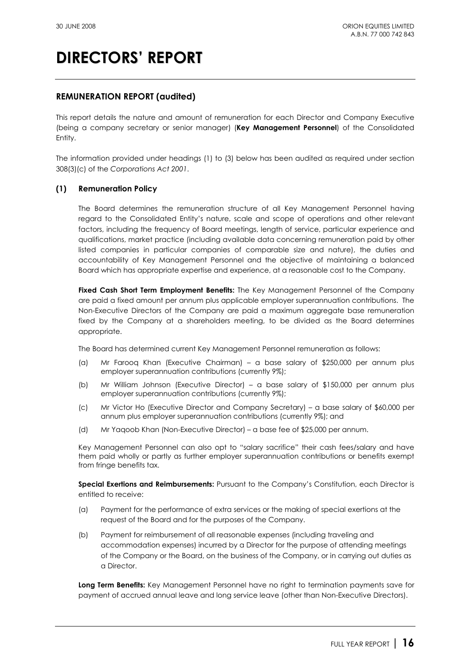## **REMUNERATION REPORT (audited)**

This report details the nature and amount of remuneration for each Director and Company Executive (being a company secretary or senior manager) (**Key Management Personnel**) of the Consolidated Entity.

The information provided under headings (1) to (3) below has been audited as required under section 308(3)(c) of the *Corporations Act 2001*.

## **(1) Remuneration Policy**

The Board determines the remuneration structure of all Key Management Personnel having regard to the Consolidated Entity's nature, scale and scope of operations and other relevant factors, including the frequency of Board meetings, length of service, particular experience and qualifications, market practice (including available data concerning remuneration paid by other listed companies in particular companies of comparable size and nature), the duties and accountability of Key Management Personnel and the objective of maintaining a balanced Board which has appropriate expertise and experience, at a reasonable cost to the Company.

**Fixed Cash Short Term Employment Benefits:** The Key Management Personnel of the Company are paid a fixed amount per annum plus applicable employer superannuation contributions. The Non-Executive Directors of the Company are paid a maximum aggregate base remuneration fixed by the Company at a shareholders meeting, to be divided as the Board determines appropriate.

The Board has determined current Key Management Personnel remuneration as follows:

- (a) Mr Farooq Khan (Executive Chairman) a base salary of \$250,000 per annum plus employer superannuation contributions (currently 9%);
- (b) Mr William Johnson (Executive Director) a base salary of \$150,000 per annum plus employer superannuation contributions (currently 9%);
- (c) Mr Victor Ho (Executive Director and Company Secretary) a base salary of \$60,000 per annum plus employer superannuation contributions (currently 9%); and
- (d) Mr Yaqoob Khan (Non-Executive Director) a base fee of \$25,000 per annum.

Key Management Personnel can also opt to "salary sacrifice" their cash fees/salary and have them paid wholly or partly as further employer superannuation contributions or benefits exempt from fringe benefits tax.

**Special Exertions and Reimbursements:** Pursuant to the Company's Constitution, each Director is entitled to receive:

- (a) Payment for the performance of extra services or the making of special exertions at the request of the Board and for the purposes of the Company.
- (b) Payment for reimbursement of all reasonable expenses (including traveling and accommodation expenses) incurred by a Director for the purpose of attending meetings of the Company or the Board, on the business of the Company, or in carrying out duties as a Director.

**Long Term Benefits:** Key Management Personnel have no right to termination payments save for payment of accrued annual leave and long service leave (other than Non-Executive Directors).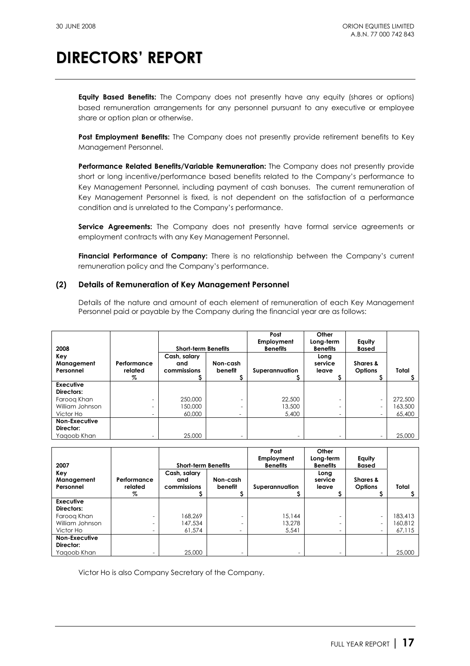**Equity Based Benefits:** The Company does not presently have any equity (shares or options) based remuneration arrangements for any personnel pursuant to any executive or employee share or option plan or otherwise.

**Post Employment Benefits:** The Company does not presently provide retirement benefits to Key Management Personnel.

**Performance Related Benefits/Variable Remuneration:** The Company does not presently provide short or long incentive/performance based benefits related to the Company's performance to Key Management Personnel, including payment of cash bonuses. The current remuneration of Key Management Personnel is fixed, is not dependent on the satisfaction of a performance condition and is unrelated to the Company's performance.

**Service Agreements:** The Company does not presently have formal service agreements or employment contracts with any Key Management Personnel.

**Financial Performance of Company:** There is no relationship between the Company's current remuneration policy and the Company's performance.

## **(2) Details of Remuneration of Key Management Personnel**

Details of the nature and amount of each element of remuneration of each Key Management Personnel paid or payable by the Company during the financial year are as follows:

| 2008                           |                        | <b>Short-term Benefits</b>         |                          | Post<br>Employment<br><b>Benefits</b> | Other<br>Long-term<br><b>Benefits</b> | Equity<br><b>Based</b>     |         |
|--------------------------------|------------------------|------------------------------------|--------------------------|---------------------------------------|---------------------------------------|----------------------------|---------|
| Key<br>Management<br>Personnel | Performance<br>related | Cash, salary<br>and<br>commissions | Non-cash<br>benefit      | Superannuation                        | Long<br>service<br>leave              | Shares &<br><b>Options</b> | Total   |
|                                | %                      |                                    |                          |                                       |                                       |                            |         |
| Executive<br>Directors:        |                        |                                    |                          |                                       |                                       |                            |         |
| Faroog Khan                    |                        | 250,000                            |                          | 22,500                                |                                       | $\overline{\phantom{0}}$   | 272,500 |
| William Johnson                |                        | 150,000                            |                          | 13,500                                |                                       | $\overline{\phantom{0}}$   | 163,500 |
| Victor Ho                      | -                      | 60,000                             | $\overline{\phantom{0}}$ | 5,400                                 |                                       | $\overline{\phantom{0}}$   | 65,400  |
| <b>Non-Executive</b>           |                        |                                    |                          |                                       |                                       |                            |         |
| Director:                      |                        |                                    |                          |                                       |                                       |                            |         |
| Yaaoob Khan                    | -                      | 25,000                             | -                        | $\overline{\phantom{0}}$              |                                       | -                          | 25,000  |

| 2007                           |                             | <b>Short-term Benefits</b>         |                     | Post<br>Employment<br><b>Benefits</b> | Other<br>Long-term<br><b>Benefits</b> | Equity<br><b>Based</b>     |         |
|--------------------------------|-----------------------------|------------------------------------|---------------------|---------------------------------------|---------------------------------------|----------------------------|---------|
| Key<br>Management<br>Personnel | Performance<br>related<br>% | Cash, salary<br>and<br>commissions | Non-cash<br>benefit | Superannuation                        | Long<br>service<br>leave              | Shares &<br><b>Options</b> | Total   |
| Executive                      |                             |                                    |                     |                                       |                                       |                            |         |
| Directors:                     |                             |                                    |                     |                                       |                                       |                            |         |
| Faroog Khan                    |                             | 168.269                            |                     | 15.144                                |                                       | -                          | 183,413 |
| William Johnson                | $\overline{\phantom{0}}$    | 147.534                            |                     | 13.278                                |                                       | Ξ.                         | 160.812 |
| Victor Ho                      | $\overline{\phantom{0}}$    | 61.574                             | -                   | 5,541                                 |                                       | ۰                          | 67.115  |
| Non-Executive                  |                             |                                    |                     |                                       |                                       |                            |         |
| Director:                      |                             |                                    |                     |                                       |                                       |                            |         |
| Yagoob Khan                    |                             | 25,000                             |                     | -                                     |                                       |                            | 25,000  |

Victor Ho is also Company Secretary of the Company.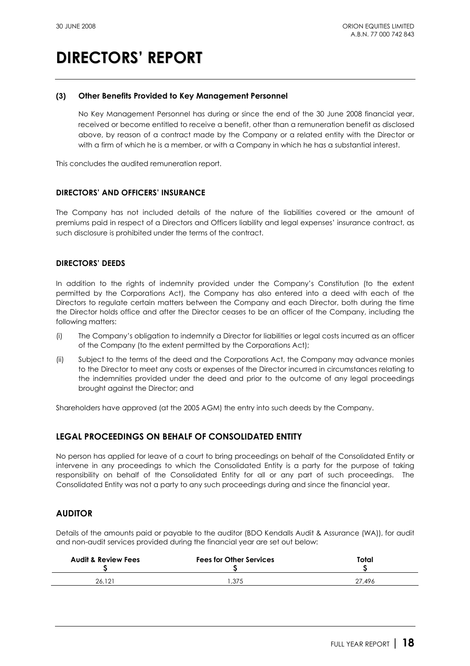### **(3) Other Benefits Provided to Key Management Personnel**

No Key Management Personnel has during or since the end of the 30 June 2008 financial year, received or become entitled to receive a benefit, other than a remuneration benefit as disclosed above, by reason of a contract made by the Company or a related entity with the Director or with a firm of which he is a member, or with a Company in which he has a substantial interest.

This concludes the audited remuneration report.

### **DIRECTORS' AND OFFICERS' INSURANCE**

The Company has not included details of the nature of the liabilities covered or the amount of premiums paid in respect of a Directors and Officers liability and legal expenses' insurance contract, as such disclosure is prohibited under the terms of the contract.

### **DIRECTORS' DEEDS**

In addition to the rights of indemnity provided under the Company's Constitution (to the extent permitted by the Corporations Act), the Company has also entered into a deed with each of the Directors to regulate certain matters between the Company and each Director, both during the time the Director holds office and after the Director ceases to be an officer of the Company, including the following matters:

- (i) The Company's obligation to indemnify a Director for liabilities or legal costs incurred as an officer of the Company (to the extent permitted by the Corporations Act);
- (ii) Subject to the terms of the deed and the Corporations Act, the Company may advance monies to the Director to meet any costs or expenses of the Director incurred in circumstances relating to the indemnities provided under the deed and prior to the outcome of any legal proceedings brought against the Director; and

Shareholders have approved (at the 2005 AGM) the entry into such deeds by the Company.

## **LEGAL PROCEEDINGS ON BEHALF OF CONSOLIDATED ENTITY**

No person has applied for leave of a court to bring proceedings on behalf of the Consolidated Entity or intervene in any proceedings to which the Consolidated Entity is a party for the purpose of taking responsibility on behalf of the Consolidated Entity for all or any part of such proceedings. The Consolidated Entity was not a party to any such proceedings during and since the financial year.

## **AUDITOR**

Details of the amounts paid or payable to the auditor (BDO Kendalls Audit & Assurance (WA)), for audit and non-audit services provided during the financial year are set out below:

| <b>Audit &amp; Review Fees</b> | <b>Fees for Other Services</b> | Total  |
|--------------------------------|--------------------------------|--------|
| 26.121                         | .375                           | 27.496 |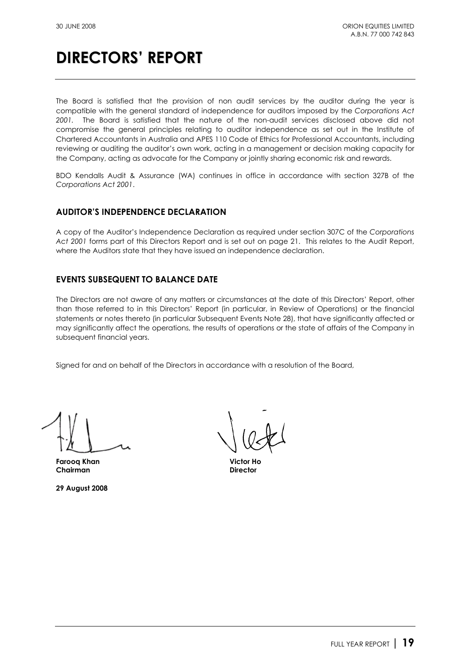The Board is satisfied that the provision of non audit services by the auditor during the year is compatible with the general standard of independence for auditors imposed by the *Corporations Act 2001.* The Board is satisfied that the nature of the non-audit services disclosed above did not compromise the general principles relating to auditor independence as set out in the Institute of Chartered Accountants in Australia and APES 110 Code of Ethics for Professional Accountants, including reviewing or auditing the auditor's own work, acting in a management or decision making capacity for the Company, acting as advocate for the Company or jointly sharing economic risk and rewards.

BDO Kendalls Audit & Assurance (WA) continues in office in accordance with section 327B of the *Corporations Act 2001*.

## **AUDITOR'S INDEPENDENCE DECLARATION**

A copy of the Auditor's Independence Declaration as required under section 307C of the *Corporations Act 2001* forms part of this Directors Report and is set out on page 21. This relates to the Audit Report, where the Auditors state that they have issued an independence declaration.

## **EVENTS SUBSEQUENT TO BALANCE DATE**

The Directors are not aware of any matters or circumstances at the date of this Directors' Report, other than those referred to in this Directors' Report (in particular, in Review of Operations) or the financial statements or notes thereto (in particular Subsequent Events Note 28), that have significantly affected or may significantly affect the operations, the results of operations or the state of affairs of the Company in subsequent financial years.

Signed for and on behalf of the Directors in accordance with a resolution of the Board,

**Farooq Khan Victor Ho Chairman Director** 

**29 August 2008**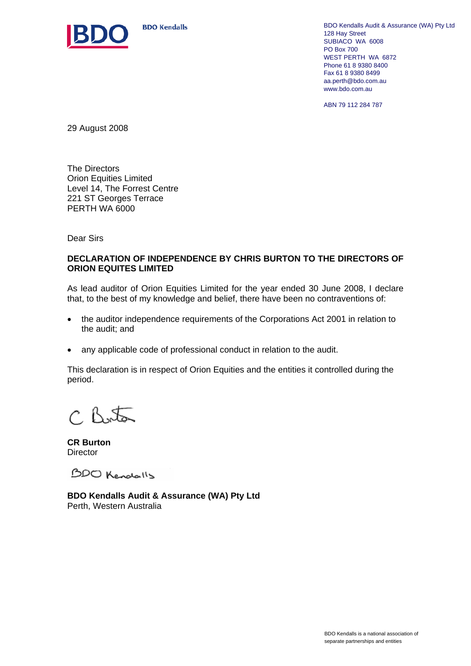

**BDO Kendalls** 

BDO Kendalls Audit & Assurance (WA) Pty Ltd 128 Hay Street SUBIACO WA 6008 PO Box 700 WEST PERTH WA 6872 Phone 61 8 9380 8400 Fax 61 8 9380 8499 aa.perth@bdo.com.au www.bdo.com.au

ABN 79 112 284 787

29 August 2008

The Directors Orion Equities Limited Level 14, The Forrest Centre 221 ST Georges Terrace PERTH WA 6000

Dear Sirs

## **DECLARATION OF INDEPENDENCE BY CHRIS BURTON TO THE DIRECTORS OF ORION EQUITES LIMITED**

As lead auditor of Orion Equities Limited for the year ended 30 June 2008, I declare that, to the best of my knowledge and belief, there have been no contraventions of:

- the auditor independence requirements of the Corporations Act 2001 in relation to the audit; and
- any applicable code of professional conduct in relation to the audit.

This declaration is in respect of Orion Equities and the entities it controlled during the period.

 $C$  Byto

**CR Burton Director** 

BDO Kendalls

**BDO Kendalls Audit & Assurance (WA) Pty Ltd**  Perth, Western Australia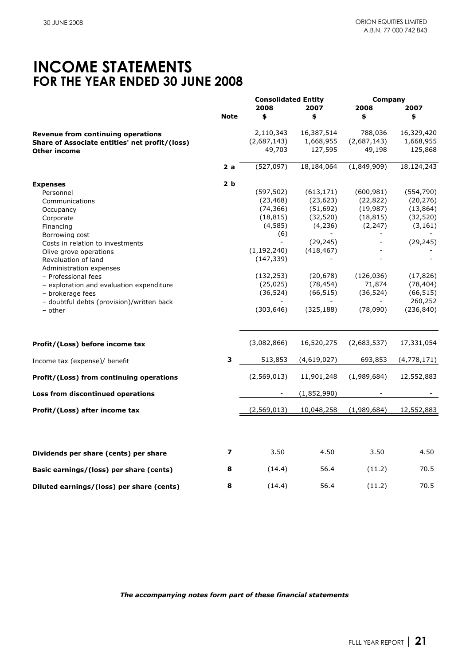## **INCOME STATEMENTS FOR THE YEAR ENDED 30 JUNE 2008**

|                                                |                | <b>Consolidated Entity</b> |             | Company     |             |
|------------------------------------------------|----------------|----------------------------|-------------|-------------|-------------|
|                                                |                | 2008                       | 2007        | 2008        | 2007        |
|                                                | <b>Note</b>    | \$                         | \$          | \$          | \$          |
| Revenue from continuing operations             |                | 2,110,343                  | 16,387,514  | 788,036     | 16,329,420  |
| Share of Associate entities' net profit/(loss) |                | (2,687,143)                | 1,668,955   | (2,687,143) | 1,668,955   |
| <b>Other income</b>                            |                | 49,703                     | 127,595     | 49,198      | 125,868     |
|                                                |                |                            |             |             |             |
|                                                | 2a             | (527,097)                  | 18,184,064  | (1,849,909) | 18,124,243  |
| <b>Expenses</b>                                | 2 <sub>b</sub> |                            |             |             |             |
| Personnel                                      |                | (597, 502)                 | (613, 171)  | (600, 981)  | (554, 790)  |
| Communications                                 |                | (23, 468)                  | (23, 623)   | (22, 822)   | (20, 276)   |
| Occupancy                                      |                | (74, 366)                  | (51, 692)   | (19, 987)   | (13, 864)   |
| Corporate                                      |                | (18, 815)                  | (32, 520)   | (18, 815)   | (32, 520)   |
| Financing                                      |                | (4, 585)                   | (4, 236)    | (2, 247)    | (3, 161)    |
| Borrowing cost                                 |                | (6)                        |             |             |             |
| Costs in relation to investments               |                |                            | (29, 245)   |             | (29, 245)   |
| Olive grove operations                         |                | (1, 192, 240)              | (418, 467)  |             |             |
| Revaluation of land                            |                | (147, 339)                 |             |             |             |
| Administration expenses                        |                |                            |             |             |             |
| - Professional fees                            |                | (132, 253)                 | (20, 678)   | (126, 036)  | (17, 826)   |
| - exploration and evaluation expenditure       |                | (25, 025)                  | (78, 454)   | 71,874      | (78, 404)   |
| - brokerage fees                               |                | (36, 524)                  | (66, 515)   | (36, 524)   | (66, 515)   |
| - doubtful debts (provision)/written back      |                |                            |             |             | 260,252     |
| - other                                        |                | (303, 646)                 | (325, 188)  | (78,090)    | (236, 840)  |
|                                                |                |                            |             |             |             |
| Profit/(Loss) before income tax                |                | (3,082,866)                | 16,520,275  | (2,683,537) | 17,331,054  |
| Income tax (expense)/ benefit                  | 3              | 513,853                    | (4,619,027) | 693,853     | (4,778,171) |
| Profit/(Loss) from continuing operations       |                | (2,569,013)                | 11,901,248  | (1,989,684) | 12,552,883  |
| Loss from discontinued operations              |                |                            | (1,852,990) |             |             |
| Profit/(Loss) after income tax                 |                | (2,569,013)                | 10,048,258  | (1,989,684) | 12,552,883  |
|                                                |                |                            |             |             |             |
| Dividends per share (cents) per share          | 7              | 3.50                       | 4.50        | 3.50        | 4.50        |
| Basic earnings/(loss) per share (cents)        | 8              | (14.4)                     | 56.4        | (11.2)      | 70.5        |
| Diluted earnings/(loss) per share (cents)      | 8              | (14.4)                     | 56.4        | (11.2)      | 70.5        |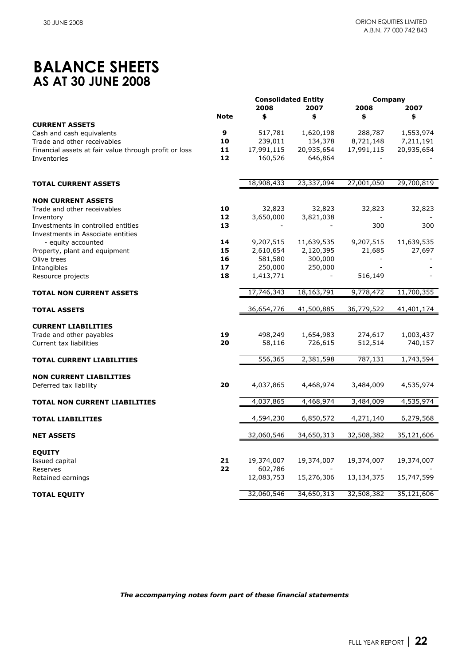## **BALANCE SHEETS AS AT 30 JUNE 2008**

|                                                          |             | <b>Consolidated Entity</b> |            | Company                  |            |
|----------------------------------------------------------|-------------|----------------------------|------------|--------------------------|------------|
|                                                          |             | 2008                       | 2007       | 2008                     | 2007       |
|                                                          | <b>Note</b> | \$                         | \$         | \$                       | \$         |
| <b>CURRENT ASSETS</b>                                    |             |                            |            |                          |            |
| Cash and cash equivalents                                | 9           | 517,781                    | 1,620,198  | 288,787                  | 1,553,974  |
| Trade and other receivables                              | 10          | 239,011                    | 134,378    | 8,721,148                | 7,211,191  |
| Financial assets at fair value through profit or loss    | 11          | 17,991,115                 | 20,935,654 | 17,991,115               | 20,935,654 |
| Inventories                                              | 12          | 160,526                    | 646,864    |                          |            |
|                                                          |             |                            |            |                          |            |
|                                                          |             | 18,908,433                 | 23,337,094 | 27,001,050               | 29,700,819 |
| <b>TOTAL CURRENT ASSETS</b>                              |             |                            |            |                          |            |
| <b>NON CURRENT ASSETS</b>                                |             |                            |            |                          |            |
| Trade and other receivables                              | 10          | 32,823                     | 32,823     | 32,823                   | 32,823     |
| Inventory                                                | 12          | 3,650,000                  | 3,821,038  |                          |            |
| Investments in controlled entities                       | 13          |                            |            | 300                      | 300        |
| Investments in Associate entities                        |             |                            |            |                          |            |
| - equity accounted                                       | 14          | 9,207,515                  | 11,639,535 | 9,207,515                | 11,639,535 |
| Property, plant and equipment                            | 15          | 2,610,654                  | 2,120,395  | 21,685                   | 27,697     |
| Olive trees                                              | 16          | 581,580                    | 300,000    | $\overline{\phantom{a}}$ |            |
| Intangibles                                              | 17          | 250,000                    | 250,000    |                          |            |
| Resource projects                                        | 18          | 1,413,771                  |            | 516,149                  |            |
|                                                          |             |                            |            |                          |            |
| <b>TOTAL NON CURRENT ASSETS</b>                          |             | 17,746,343                 | 18,163,791 | 9,778,472                | 11,700,355 |
| <b>TOTAL ASSETS</b>                                      |             | 36,654,776                 | 41,500,885 | 36,779,522               | 41,401,174 |
| <b>CURRENT LIABILITIES</b>                               |             |                            |            |                          |            |
| Trade and other payables                                 | 19          | 498,249                    | 1,654,983  | 274,617                  | 1,003,437  |
| Current tax liabilities                                  | 20          | 58,116                     | 726,615    | 512,514                  | 740,157    |
|                                                          |             |                            |            |                          |            |
| <b>TOTAL CURRENT LIABILITIES</b>                         |             | 556,365                    | 2,381,598  | 787,131                  | 1,743,594  |
|                                                          |             |                            |            |                          |            |
| <b>NON CURRENT LIABILITIES</b><br>Deferred tax liability | 20          | 4,037,865                  | 4,468,974  | 3,484,009                | 4,535,974  |
|                                                          |             |                            |            |                          |            |
| TOTAL NON CURRENT LIABILITIES                            |             | 4,037,865                  | 4,468,974  | 3,484,009                | 4,535,974  |
|                                                          |             | 4,594,230                  | 6,850,572  | 4,271,140                | 6,279,568  |
| <b>TOTAL LIABILITIES</b>                                 |             |                            |            |                          |            |
| <b>NET ASSETS</b>                                        |             | 32,060,546                 | 34,650,313 | 32,508,382               | 35,121,606 |
| <b>EQUITY</b>                                            |             |                            |            |                          |            |
| Issued capital                                           | 21          | 19,374,007                 | 19,374,007 | 19,374,007               | 19,374,007 |
| Reserves                                                 | 22          | 602,786                    |            |                          |            |
| Retained earnings                                        |             | 12,083,753                 | 15,276,306 | 13,134,375               | 15,747,599 |
|                                                          |             |                            |            |                          |            |
| <b>TOTAL EQUITY</b>                                      |             | 32,060,546                 | 34,650,313 | 32,508,382               | 35,121,606 |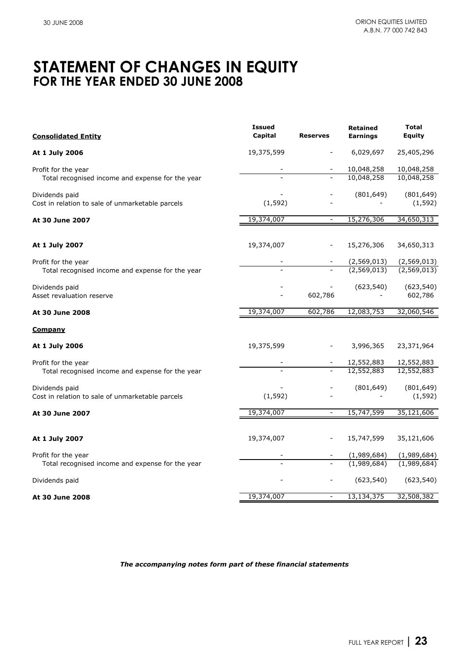## **STATEMENT OF CHANGES IN EQUITY FOR THE YEAR ENDED 30 JUNE 2008**

| <b>Consolidated Entity</b>                                         | <b>Issued</b><br>Capital | <b>Reserves</b>          | <b>Retained</b><br><b>Earnings</b> | <b>Total</b><br>Equity |
|--------------------------------------------------------------------|--------------------------|--------------------------|------------------------------------|------------------------|
| At 1 July 2006                                                     | 19,375,599               |                          | 6,029,697                          | 25,405,296             |
| Profit for the year                                                |                          |                          | 10,048,258                         | 10,048,258             |
| Total recognised income and expense for the year                   |                          |                          | 10,048,258                         | 10,048,258             |
| Dividends paid<br>Cost in relation to sale of unmarketable parcels | (1, 592)                 |                          | (801, 649)                         | (801, 649)<br>(1, 592) |
| At 30 June 2007                                                    | 19,374,007               | $\overline{\phantom{a}}$ | 15,276,306                         | 34,650,313             |
| At 1 July 2007                                                     | 19,374,007               |                          | 15,276,306                         | 34,650,313             |
| Profit for the year                                                |                          |                          | (2,569,013)                        | (2,569,013)            |
| Total recognised income and expense for the year                   |                          |                          | (2,569,013)                        | (2,569,013)            |
| Dividends paid<br>Asset revaluation reserve                        |                          | 602,786                  | (623, 540)                         | (623, 540)<br>602,786  |
| At 30 June 2008                                                    | 19,374,007               | 602,786                  | 12,083,753                         | 32,060,546             |
| <u>Company</u>                                                     |                          |                          |                                    |                        |
| At 1 July 2006                                                     | 19,375,599               |                          | 3,996,365                          | 23,371,964             |
| Profit for the year                                                |                          |                          | 12,552,883                         | 12,552,883             |
| Total recognised income and expense for the year                   |                          |                          | 12,552,883                         | 12,552,883             |
| Dividends paid<br>Cost in relation to sale of unmarketable parcels | (1, 592)                 |                          | (801, 649)                         | (801, 649)<br>(1, 592) |
| At 30 June 2007                                                    | 19,374,007               | $\overline{\phantom{a}}$ | 15,747,599                         | 35,121,606             |
|                                                                    |                          |                          |                                    |                        |
| At 1 July 2007                                                     | 19,374,007               |                          | 15,747,599                         | 35,121,606             |
| Profit for the year                                                |                          |                          | (1,989,684)                        | (1,989,684)            |
| Total recognised income and expense for the year                   |                          |                          | (1,989,684)                        | (1,989,684)            |
| Dividends paid                                                     |                          |                          | (623, 540)                         | (623, 540)             |
| At 30 June 2008                                                    | 19,374,007               | $\overline{\phantom{a}}$ | 13, 134, 375                       | 32,508,382             |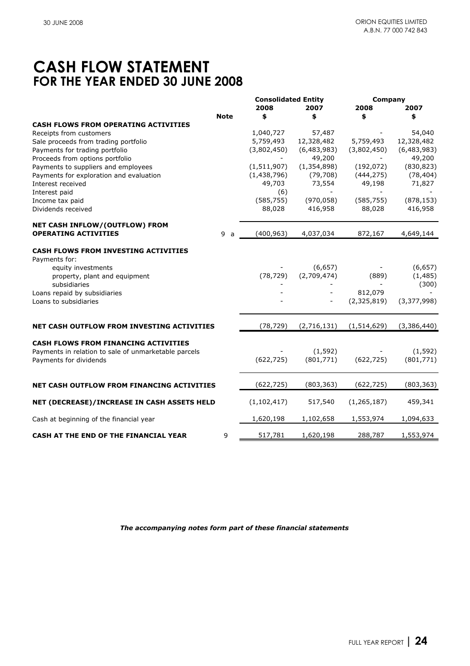## **CASH FLOW STATEMENT FOR THE YEAR ENDED 30 JUNE 2008**

|                                                      |                     | <b>Consolidated Entity</b> |               | Company       |             |
|------------------------------------------------------|---------------------|----------------------------|---------------|---------------|-------------|
|                                                      |                     | 2008                       | 2007          | 2008          | 2007        |
|                                                      | <b>Note</b>         | \$                         | \$            | \$            | \$          |
| <b>CASH FLOWS FROM OPERATING ACTIVITIES</b>          |                     |                            |               |               |             |
| Receipts from customers                              |                     | 1,040,727                  | 57,487        |               | 54,040      |
| Sale proceeds from trading portfolio                 |                     | 5,759,493                  | 12,328,482    | 5,759,493     | 12,328,482  |
| Payments for trading portfolio                       |                     | (3,802,450)                | (6,483,983)   | (3,802,450)   | (6,483,983) |
| Proceeds from options portfolio                      |                     |                            | 49,200        |               | 49,200      |
| Payments to suppliers and employees                  |                     | (1, 511, 907)              | (1, 354, 898) | (192, 072)    | (830, 823)  |
| Payments for exploration and evaluation              |                     | (1,438,796)                | (79, 708)     | (444, 275)    | (78, 404)   |
| Interest received                                    |                     | 49,703                     | 73,554        | 49,198        | 71,827      |
| Interest paid                                        |                     | (6)                        |               |               |             |
| Income tax paid                                      |                     | (585, 755)                 | (970, 058)    | (585, 755)    | (878, 153)  |
| Dividends received                                   |                     | 88,028                     | 416,958       | 88,028        | 416,958     |
| NET CASH INFLOW/(OUTFLOW) FROM                       |                     |                            |               |               |             |
| <b>OPERATING ACTIVITIES</b>                          | 9<br>$\overline{a}$ | (400, 963)                 | 4,037,034     | 872,167       | 4,649,144   |
| <b>CASH FLOWS FROM INVESTING ACTIVITIES</b>          |                     |                            |               |               |             |
| Payments for:                                        |                     |                            |               |               |             |
| equity investments                                   |                     |                            | (6, 657)      |               | (6, 657)    |
| property, plant and equipment                        |                     | (78, 729)                  | (2,709,474)   | (889)         | (1, 485)    |
| subsidiaries                                         |                     |                            |               |               | (300)       |
| Loans repaid by subsidiaries                         |                     |                            |               | 812,079       |             |
| Loans to subsidiaries                                |                     |                            |               | (2,325,819)   | (3,377,998) |
|                                                      |                     |                            |               |               |             |
| NET CASH OUTFLOW FROM INVESTING ACTIVITIES           |                     | (78, 729)                  | (2,716,131)   | (1, 514, 629) | (3,386,440) |
| <b>CASH FLOWS FROM FINANCING ACTIVITIES</b>          |                     |                            |               |               |             |
| Payments in relation to sale of unmarketable parcels |                     |                            | (1, 592)      |               | (1, 592)    |
| Payments for dividends                               |                     | (622, 725)                 | (801, 771)    | (622, 725)    | (801,771)   |
|                                                      |                     |                            |               |               |             |
| NET CASH OUTFLOW FROM FINANCING ACTIVITIES           |                     | (622, 725)                 | (803, 363)    | (622, 725)    | (803, 363)  |
| NET (DECREASE)/INCREASE IN CASH ASSETS HELD          |                     | (1, 102, 417)              | 517,540       | (1, 265, 187) | 459,341     |
|                                                      |                     |                            |               |               |             |
| Cash at beginning of the financial year              |                     | 1,620,198                  | 1,102,658     | 1,553,974     | 1,094,633   |
| CASH AT THE END OF THE FINANCIAL YEAR                | 9                   | 517,781                    | 1,620,198     | 288,787       | 1,553,974   |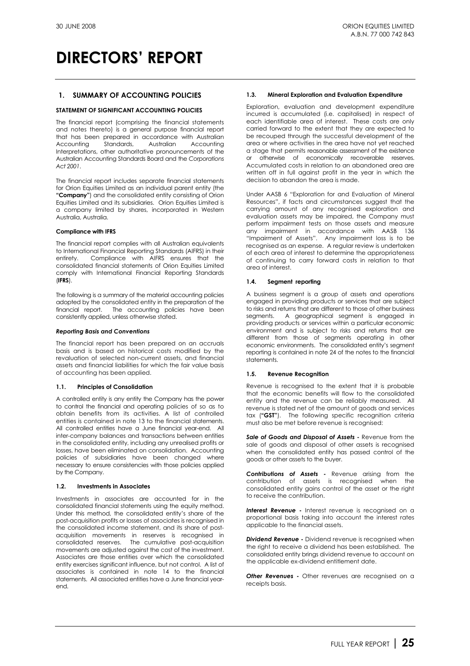### **1. SUMMARY OF ACCOUNTING POLICIES**

### **STATEMENT OF SIGNIFICANT ACCOUNTING POLICIES**

The financial report (comprising the financial statements and notes thereto) is a general purpose financial report that has been prepared in accordance with Australian<br>Accounting Standards, Australian Accounting Accounting Standards, Australian Accounting Interpretations, other authoritative pronouncements of the Australian Accounting Standards Board and the *Corporations Act 2001*.

The financial report includes separate financial statements for Orion Equities Limited as an individual parent entity (the **"Company"**) and the consolidated entity consisting of Orion Equities Limited and its subsidiaries. Orion Equities Limited is a company limited by shares, incorporated in Western Australia, Australia.

#### **Compliance with IFRS**

The financial report complies with all Australian equivalents to International Financial Reporting Standards (AIFRS) in their entirety. Compliance with AIFRS ensures that the consolidated financial statements of Orion Equities Limited comply with International Financial Reporting Standards (**IFRS**).

The following is a summary of the material accounting policies adopted by the consolidated entity in the preparation of the financial report. The accounting policies have been consistently applied, unless otherwise stated.

#### *Reporting Basis and Conventions*

The financial report has been prepared on an accruals basis and is based on historical costs modified by the revaluation of selected non-current assets, and financial assets and financial liabilities for which the fair value basis of accounting has been applied.

### **1.1. Principles of Consolidation**

A controlled entity is any entity the Company has the power to control the financial and operating policies of so as to obtain benefits from its activities. A list of controlled entities is contained in note 13 to the financial statements. All controlled entities have a June financial year-end. All inter-company balances and transactions between entities in the consolidated entity, including any unrealised profits or losses, have been eliminated on consolidation. Accounting policies of subsidiaries have been changed where necessary to ensure consistencies with those policies applied by the Company.

#### **1.2. Investments in Associates**

Investments in associates are accounted for in the consolidated financial statements using the equity method. Under this method, the consolidated entity's share of the post-acquisition profits or losses of associates is recognised in the consolidated income statement, and its share of postacquisition movements in reserves is recognised in consolidated reserves. The cumulative post-acquisition movements are adjusted against the cost of the investment. Associates are those entities over which the consolidated entity exercises significant influence, but not control. A list of associates is contained in note 14 to the financial statements. All associated entities have a June financial yearend.

### **1.3. Mineral Exploration and Evaluation Expenditure**

Exploration, evaluation and development expenditure incurred is accumulated (i.e. capitalised) in respect of each identifiable area of interest. These costs are only carried forward to the extent that they are expected to be recouped through the successful development of the area or where activities in the area have not yet reached a stage that permits reasonable assessment of the existence or otherwise of economically recoverable reserves. Accumulated costs in relation to an abandoned area are written off in full against profit in the year in which the decision to abandon the area is made.

Under AASB 6 "Exploration for and Evaluation of Mineral Resources", if facts and circumstances suggest that the carrying amount of any recognised exploration and evaluation assets may be impaired, the Company must perform impairment tests on those assets and measure any impairment in accordance with AASB 136 "Impairment of Assets". Any impairment loss is to be recognised as an expense. A regular review is undertaken of each area of interest to determine the appropriateness of continuing to carry forward costs in relation to that area of interest.

### **1.4. Segment reporting**

A business segment is a group of assets and operations engaged in providing products or services that are subject to risks and returns that are different to those of other business segments. A geographical segment is engaged in providing products or services within a particular economic environment and is subject to risks and returns that are different from those of segments operating in other economic environments. The consolidated entity's segment reporting is contained in note 24 of the notes to the financial statements.

### **1.5. Revenue Recognition**

Revenue is recognised to the extent that it is probable that the economic benefits will flow to the consolidated entity and the revenue can be reliably measured. All revenue is stated net of the amount of goods and services tax (**"GST"**). The following specific recognition criteria must also be met before revenue is recognised:

*Sale of Goods and Disposal of Assets* **-** Revenue from the sale of goods and disposal of other assets is recognised when the consolidated entity has passed control of the goods or other assets to the buyer.

*Contributions of Assets* **-** Revenue arising from the contribution of assets is recognised when the consolidated entity gains control of the asset or the right to receive the contribution.

*Interest Revenue* **-** Interest revenue is recognised on a proportional basis taking into account the interest rates applicable to the financial assets.

*Dividend Revenue* **-** Dividend revenue is recognised when the right to receive a dividend has been established. The consolidated entity brings dividend revenue to account on the applicable ex-dividend entitlement date.

**Other Revenues** - Other revenues are recognised on a receipts basis.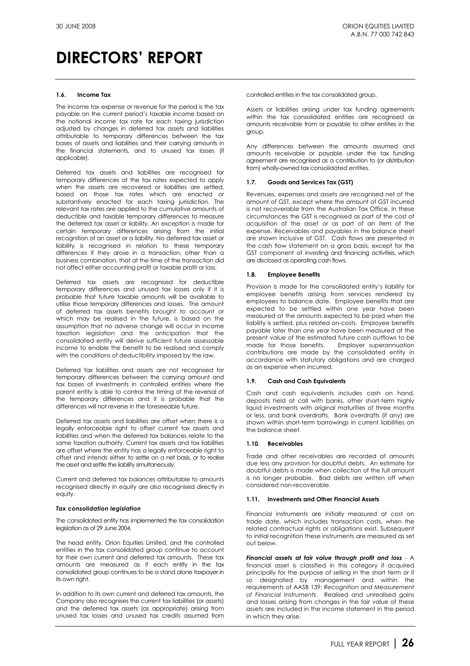#### **1.6. Income Tax**

The income tax expense or revenue for the period is the tax payable on the current period's taxable income based on the notional income tax rate for each taxing jurisdiction adjusted by changes in deferred tax assets and liabilities attributable to temporary differences between the tax bases of assets and liabilities and their carrying amounts in the financial statements, and to unused tax losses (if applicable).

Deferred tax assets and liabilities are recognised for temporary differences at the tax rates expected to apply when the assets are recovered or liabilities are settled, based on those tax rates which are enacted or substantively enacted for each taxing jurisdiction. The relevant tax rates are applied to the cumulative amounts of deductible and taxable temporary differences to measure the deferred tax asset or liability. An exception is made for certain temporary differences arising from the initial recognition of an asset or a liability. No deferred tax asset or liability is recognised in relation to these temporary differences if they arose in a transaction, other than a business combination, that at the time of the transaction did not affect either accounting profit or taxable profit or loss.

Deferred tax assets are recognised for deductible temporary differences and unused tax losses only if it is probable that future taxable amounts will be available to utilise those temporary differences and losses. The amount of deferred tax assets benefits brought to account or which may be realised in the future, is based on the assumption that no adverse change will occur in income taxation legislation and the anticipation that the consolidated entity will derive sufficient future assessable income to enable the benefit to be realised and comply with the conditions of deductibility imposed by the law.

Deferred tax liabilities and assets are not recognised for temporary differences between the carrying amount and tax bases of investments in controlled entities where the parent entity is able to control the timing of the reversal of the temporary differences and it is probable that the differences will not reverse in the foreseeable future.

Deferred tax assets and liabilities are offset when there is a legally enforceable right to offset current tax assets and liabilities and when the deferred tax balances relate to the same taxation authority. Current tax assets and tax liabilities are offset where the entity has a legally enforceable right to offset and intends either to settle on a net basis, or to realise the asset and settle the liability simultaneously.

Current and deferred tax balances attributable to amounts recognised directly in equity are also recognised directly in equity.

### *Tax consolidation legislation*

The consolidated entity has implemented the tax consolidation legislation as of 29 June 2004.

The head entity, Orion Equities Limited, and the controlled entities in the tax consolidated group continue to account for their own current and deferred tax amounts. These tax amounts are measured as if each entity in the tax consolidated group continues to be a stand alone taxpayer in its own right.

In addition to its own current and deferred tax amounts, the Company also recognises the current tax liabilities (or assets) and the deferred tax assets (as appropriate) arising from unused tax losses and unused tax credits assumed from controlled entities in the tax consolidated group.

Assets or liabilities arising under tax funding agreements within the tax consolidated entities are recognised as amounts receivable from or payable to other entities in the group.

Any differences between the amounts assumed and amounts receivable or payable under the tax funding agreement are recognised as a contribution to (or distribution from) wholly-owned tax consolidated entities.

### **1.7. Goods and Services Tax (GST)**

Revenues, expenses and assets are recognised net of the amount of GST, except where the amount of GST incurred is not recoverable from the Australian Tax Office. In these circumstances the GST is recognised as part of the cost of acquisition of the asset or as part of an item of the expense. Receivables and payables in the balance sheet are shown inclusive of GST. Cash flows are presented in the cash flow statement on a gross basis, except for the GST component of investing and financing activities, which are disclosed as operating cash flows.

### **1.8. Employee Benefits**

Provision is made for the consolidated entity's liability for employee benefits arising from services rendered by employees to balance date. Employee benefits that are expected to be settled within one year have been measured at the amounts expected to be paid when the liability is settled, plus related on-costs. Employee benefits payable later than one year have been measured at the present value of the estimated future cash outflows to be made for those benefits. Employer superannuation contributions are made by the consolidated entity in accordance with statutory obligations and are charged as an expense when incurred.

#### **1.9. Cash and Cash Equivalents**

Cash and cash equivalents includes cash on hand, deposits held at call with banks, other short-term highly liquid investments with original maturities of three months or less, and bank overdrafts. Bank overdrafts (if any) are shown within short-term borrowings in current liabilities on the balance sheet.

### **1.10. Receivables**

Trade and other receivables are recorded at amounts due less any provision for doubtful debts. An estimate for doubtful debts is made when collection of the full amount is no longer probable. Bad debts are written off when considered non-recoverable.

### **1.11. Investments and Other Financial Assets**

Financial instruments are initially measured at cost on trade date, which includes transaction costs, when the related contractual rights or obligations exist. Subsequent to initial recognition these instruments are measured as set out below.

*Financial assets at fair value through profit and loss* - A financial asset is classified in this category if acquired principally for the purpose of selling in the short term or if so designated by management and within the requirements of AASB 139: *Recognition and Measurement of Financial Instruments*. Realised and unrealised gains and losses arising from changes in the fair value of these assets are included in the income statement in the period in which they arise.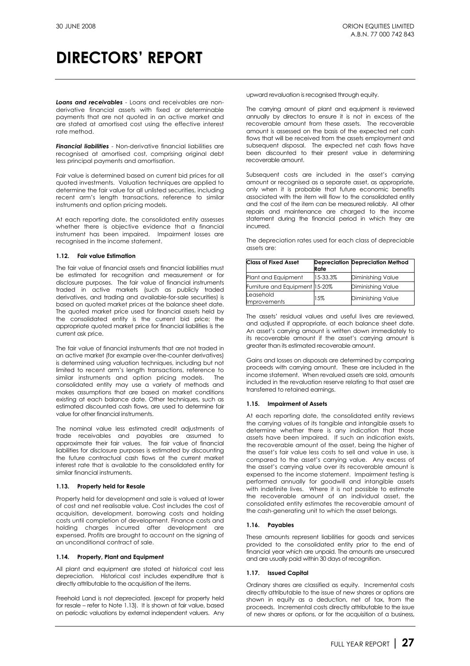*Loans and receivables* - Loans and receivables are nonderivative financial assets with fixed or determinable payments that are not quoted in an active market and are stated at amortised cost using the effective interest rate method.

**Financial liabilities** - Non-derivative financial liabilities are recognised at amortised cost, comprising original debt less principal payments and amortisation.

Fair value is determined based on current bid prices for all quoted investments. Valuation techniques are applied to determine the fair value for all unlisted securities, including recent arm's length transactions, reference to similar instruments and option pricing models.

At each reporting date, the consolidated entity assesses whether there is objective evidence that a financial instrument has been impaired. Impairment losses are recognised in the income statement.

### **1.12. Fair value Estimation**

The fair value of financial assets and financial liabilities must be estimated for recognition and measurement or for disclosure purposes. The fair value of financial instruments traded in active markets (such as publicly traded derivatives, and trading and available-for-sale securities) is based on quoted market prices at the balance sheet date. The quoted market price used for financial assets held by the consolidated entity is the current bid price; the appropriate quoted market price for financial liabilities is the current ask price.

The fair value of financial instruments that are not traded in an active market (for example over-the-counter derivatives) is determined using valuation techniques, including but not limited to recent arm's length transactions, reference to similar instruments and option pricing models. The consolidated entity may use a variety of methods and makes assumptions that are based on market conditions existing at each balance date. Other techniques, such as estimated discounted cash flows, are used to determine fair value for other financial instruments.

The nominal value less estimated credit adjustments of trade receivables and payables are assumed to approximate their fair values. The fair value of financial liabilities for disclosure purposes is estimated by discounting the future contractual cash flows at the current market interest rate that is available to the consolidated entity for similar financial instruments.

#### **1.13. Property held for Resale**

Property held for development and sale is valued at lower of cost and net realisable value. Cost includes the cost of acquisition, development, borrowing costs and holding costs until completion of development. Finance costs and holding charges incurred after development are expensed. Profits are brought to account on the signing of an unconditional contract of sale.

### **1.14. Property, Plant and Equipment**

All plant and equipment are stated at historical cost less depreciation. Historical cost includes expenditure that is directly attributable to the acquisition of the items.

Freehold Land is not depreciated. (except for property held for resale – refer to Note 1.13). It is shown at fair value, based on periodic valuations by external independent valuers. Any

upward revaluation is recognised through equity.

The carrying amount of plant and equipment is reviewed annually by directors to ensure it is not in excess of the recoverable amount from these assets. The recoverable amount is assessed on the basis of the expected net cash flows that will be received from the assets employment and subsequent disposal. The expected net cash flows have been discounted to their present value in determining recoverable amount.

Subsequent costs are included in the asset's carrying amount or recognised as a separate asset, as appropriate, only when it is probable that future economic benefits associated with the item will flow to the consolidated entity and the cost of the item can be measured reliably. All other repairs and maintenance are charged to the income statement during the financial period in which they are incurred.

The depreciation rates used for each class of depreciable assets are:

| <b>Class of Fixed Asset</b>    | Rate     | <b>Depreciation Depreciation Method</b> |
|--------------------------------|----------|-----------------------------------------|
| Plant and Equipment            | 15-33.3% | <b>Diminishing Value</b>                |
| Furniture and Equipment 15-20% |          | Diminishing Value                       |
| Leasehold<br>Improvements      | 15%      | <b>Diminishing Value</b>                |

The assets' residual values and useful lives are reviewed, and adjusted if appropriate, at each balance sheet date. An asset's carrying amount is written down immediately to its recoverable amount if the asset's carrying amount is greater than its estimated recoverable amount.

Gains and losses on disposals are determined by comparing proceeds with carrying amount. These are included in the income statement. When revalued assets are sold, amounts included in the revaluation reserve relating to that asset are transferred to retained earnings.

### **1.15. Impairment of Assets**

At each reporting date, the consolidated entity reviews the carrying values of its tangible and intangible assets to determine whether there is any indication that those assets have been impaired. If such an indication exists, the recoverable amount of the asset, being the higher of the asset's fair value less costs to sell and value in use, is compared to the asset's carrying value. Any excess of the asset's carrying value over its recoverable amount is expensed to the income statement. Impairment testing is performed annually for goodwill and intangible assets with indefinite lives. Where it is not possible to estimate the recoverable amount of an individual asset, the consolidated entity estimates the recoverable amount of the cash-generating unit to which the asset belongs.

### **1.16. Payables**

These amounts represent liabilities for goods and services provided to the consolidated entity prior to the end of financial year which are unpaid. The amounts are unsecured and are usually paid within 30 days of recognition.

### **1.17. Issued Capital**

Ordinary shares are classified as equity. Incremental costs directly attributable to the issue of new shares or options are shown in equity as a deduction, net of tax, from the proceeds. Incremental costs directly attributable to the issue of new shares or options, or for the acquisition of a business,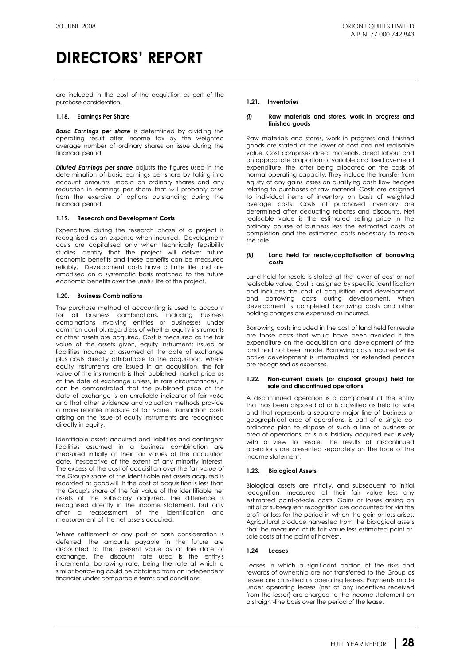are included in the cost of the acquisition as part of the purchase consideration.

#### **1.18. Earnings Per Share**

*Basic Earnings per share* is determined by dividing the operating result after income tax by the weighted average number of ordinary shares on issue during the financial period.

*Diluted Earnings per share* adjusts the figures used in the determination of basic earnings per share by taking into account amounts unpaid on ordinary shares and any reduction in earnings per share that will probably arise from the exercise of options outstanding during the financial period.

### **1.19. Research and Development Costs**

Expenditure during the research phase of a project is recognised as an expense when incurred. Development costs are capitalised only when technically feasibility studies identify that the project will deliver future economic benefits and these benefits can be measured reliably. Development costs have a finite life and are amortised on a systematic basis matched to the future economic benefits over the useful life of the project.

#### **1.20. Business Combinations**

The purchase method of accounting is used to account for all business combinations, including business combinations involving entities or businesses under common control, regardless of whether equity instruments or other assets are acquired. Cost is measured as the fair value of the assets given, equity instruments issued or liabilities incurred or assumed at the date of exchange plus costs directly attributable to the acquisition. Where equity instruments are issued in an acquisition, the fair value of the instruments is their published market price as at the date of exchange unless, in rare circumstances, it can be demonstrated that the published price at the date of exchange is an unreliable indicator of fair va6e and that other evidence and valuation methods provide a more reliable measure of fair value. Transaction costs arising on the issue of equity instruments are recognised directly in equity.

Identifiable assets acquired and liabilities and contingent liabilities assumed in a business combination are measured initially at their fair values at the acquisition date, irrespective of the extent of any minority interest. The excess of the cost of acquisition over the fair value of the Group's share of the identifiable net assets acquired is recorded as goodwill. If the cost of acquisition is less than the Group's share of the fair value of the identifiable net assets of the subsidiary acquired, the difference is recognised directly in the income statement, but only after a reassessment of the identification and measurement of the net assets acquired.

Where settlement of any part of cash consideration is deferred, the amounts payable in the future are discounted to their present value as at the date of exchange. The discount rate used is the entity's incremental borrowing rate, being the rate at which a similar borrowing could be obtained from an independent financier under comparable terms and conditions.

#### **1.21. Inventories**

#### *(i)* **Raw materials and stores, work in progress and finished goods**

Raw materials and stores, work in progress and finished goods are stated at the lower of cost and net realisable value. Cost comprises direct materials, direct labour and an appropriate proportion of variable and fixed overhead expenditure, the latter being allocated on the basis of normal operating capacity. They include the transfer from equity of any gains losses on qualifying cash flow hedges relating to purchases of raw material. Costs are assigned to individual items of inventory on basis of weighted average costs. Costs of purchased inventory are determined after deducting rebates and discounts. Net realisable value is the estimated selling price in the ordinary course of business less the estimated costs of completion and the estimated costs necessary to make the sale.

#### *(ii)* **Land held for resale/capitalisation of borrowing costs**

Land held for resale is stated at the lower of cost or net realisable value. Cost is assigned by specific identification and includes the cost of acquisition, and development and borrowing costs during development. When development is completed borrowing costs and other holding charges are expensed as incurred.

Borrowing costs included in the cost of land held for resale are those costs that would have been avoided if the expenditure on the acquisition and development of the land had not been made. Borrowing costs incurred while active development is interrupted for extended periods are recognised as expenses.

#### **1.22. Non-current assets (or disposal groups) held for sale and discontinued operations**

A discontinued operation is a component of the entity that has been disposed of or is classified as held for sale and that represents a separate major line of business or geographical area of operations, is part of a single coordinated plan to dispose of such a line of business or area of operations, or is a subsidiary acquired exclusively with a view to resale. The results of discontinued operations are presented separately on the face of the income statement.

### **1.23. Biological Assets**

Biological assets are initially, and subsequent to initial recognition, measured at their fair value less any estimated point-of-sale costs. Gains or losses arising on initial or subsequent recognition are accounted for via the profit or loss for the period in which the gain or loss arises. Agricultural produce harvested from the biological assets shall be measured at its fair value less estimated point-ofsale costs at the point of harvest.

### **1.24 Leases**

Leases in which a significant portion of the risks and rewards of ownership are not transferred to the Group as lessee are classified as operating leases. Payments made under operating leases (net of any incentives received from the lessor) are charged to the income statement on a straight-line basis over the period of the lease.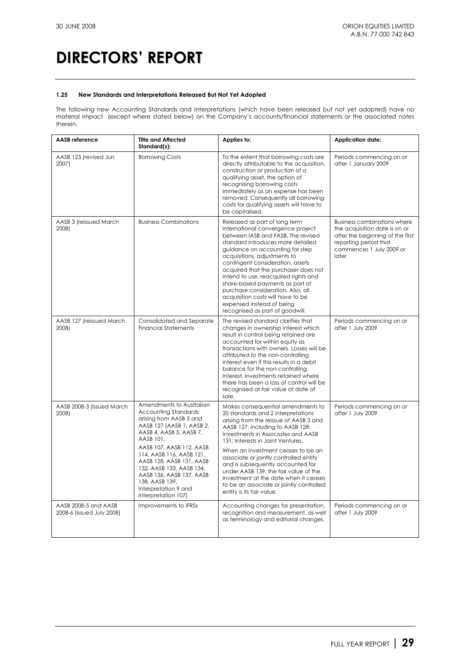### **1.25 New Standards and Interpretations Released But Not Yet Adopted**

The following new Accounting Standards and Interpretations (which have been released but not yet adopted) have no material impact (except where stated below) on the Company's accounts/financial statements or the associated notes therein.

| <b>AASB</b> reference                             | <b>Title and Affected</b><br>Standard(s):                                                                                                                                                                                                                                                                                                                            | Applies to:                                                                                                                                                                                                                                                                                                                                                                                                                                                                                                       | <b>Application date:</b>                                                                                                                                              |
|---------------------------------------------------|----------------------------------------------------------------------------------------------------------------------------------------------------------------------------------------------------------------------------------------------------------------------------------------------------------------------------------------------------------------------|-------------------------------------------------------------------------------------------------------------------------------------------------------------------------------------------------------------------------------------------------------------------------------------------------------------------------------------------------------------------------------------------------------------------------------------------------------------------------------------------------------------------|-----------------------------------------------------------------------------------------------------------------------------------------------------------------------|
| AASB 123 (revised Jun<br>2007)                    | <b>Borrowing Costs</b>                                                                                                                                                                                                                                                                                                                                               | To the extent that borrowing costs are<br>directly attributable to the acquisition,<br>construction or production of a<br>qualifying asset, the option of<br>recognising borrowing costs<br>immediately as an expense has been<br>removed. Consequently all borrowing<br>costs for qualifying assets will have to<br>be capitalised.                                                                                                                                                                              | Periods commencing on or<br>after 1 January 2009                                                                                                                      |
| AASB 3 (reissued March<br>2008)                   | <b>Business Combinations</b>                                                                                                                                                                                                                                                                                                                                         | Released as part of long term<br>international convergence project<br>between IASB and FASB. The revised<br>standard introduces more detailed<br>guidance on accounting for step<br>acquisitions, adjustments to<br>contingent consideration, assets<br>acquired that the purchaser does not<br>intend to use, reacquired rights and<br>share-based payments as part of<br>purchase consideration. Also, all<br>acquisition costs will have to be<br>expensed instead of being<br>recognised as part of goodwill. | <b>Business combinations where</b><br>the acquisition date is on or<br>after the beginning of the first<br>reporting period that<br>commences 1 July 2009 or<br>later |
| AASB 127 (reissued March<br>2008)                 | Consolidated and Separate<br><b>Financial Statements</b>                                                                                                                                                                                                                                                                                                             | The revised standard clarifies that<br>changes in ownership interest which<br>result in control being retained are<br>accounted for within equity as<br>transactions with owners. Losses will be<br>attributed to the non-controlling<br>interest even if this results in a debit<br>balance for the non-controlling<br>interest. Investments retained where<br>there has been a loss of control will be<br>recognised at fair value at date of<br>sale.                                                          | Periods commencing on or<br>after 1 July 2009                                                                                                                         |
| AASB 2008-3 (issued March<br>2008)                | Amendments to Australian<br><b>Accounting Standards</b><br>arising from AASB 3 and<br>AASB 127 [AASB 1, AASB 2,<br>AASB 4, AASB 5, AASB 7,<br>AASB 101,<br>AASB 107, AASB 112, AASB<br>114, AASB 116, AASB 121,<br>AASB 128, AASB 131, AASB<br>132, AASB 133, AASB 134,<br>AASB 136, AASB 137, AASB<br>138, AASB 139,<br>Interpretation 9 and<br>Interpretation 107] | Makes consequential amendments to<br>20 standards and 2 interpretations<br>arising from the reissue of AASB 3 and<br>AASB 127, including to AASB 128:<br>Investments in Associates and AASB<br>131: Interests in Joint Ventures.<br>When an investment ceases to be an<br>associate or jointly controlled entity<br>and is subsequently accounted for<br>under AASB 139, the fair value of the<br>investment at the date when it ceases<br>to be an associate or jointly controlled<br>entity is its fair value.  | Periods commencing on or<br>after 1 July 2009                                                                                                                         |
| AASB 2008-5 and AASB<br>2008-6 (issued July 2008) | Improvements to IFRSs                                                                                                                                                                                                                                                                                                                                                | Accounting changes for presentation,<br>recognition and measurement, as well<br>as terminology and editorial changes.                                                                                                                                                                                                                                                                                                                                                                                             | Periods commencing on or<br>after 1 July 2009                                                                                                                         |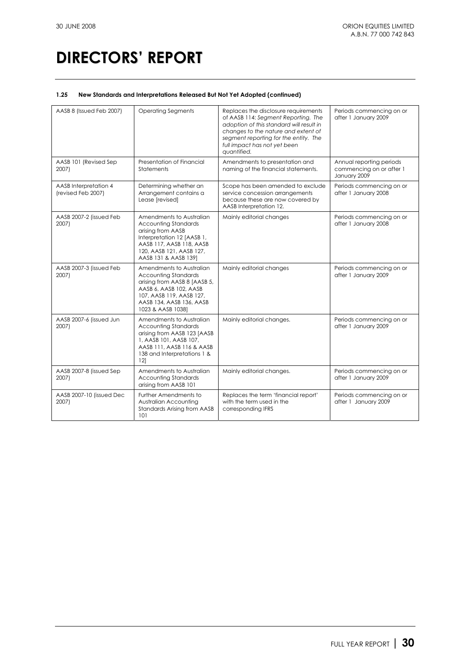### **1.25 New Standards and Interpretations Released But Not Yet Adopted (continued)**

| AASB 8 (Issued Feb 2007)                    | <b>Operating Segments</b>                                                                                                                                                                      | Replaces the disclosure requirements<br>of AASB 114: Segment Reporting. The<br>adoption of this standard will result in<br>changes to the nature and extent of<br>segment reporting for the entity. The<br>full impact has not yet been<br>quantified. | Periods commencing on or<br>after 1 January 2009                     |
|---------------------------------------------|------------------------------------------------------------------------------------------------------------------------------------------------------------------------------------------------|--------------------------------------------------------------------------------------------------------------------------------------------------------------------------------------------------------------------------------------------------------|----------------------------------------------------------------------|
| AASB 101 (Revised Sep<br>2007)              | Presentation of Financial<br><b>Statements</b>                                                                                                                                                 | Amendments to presentation and<br>naming of the financial statements.                                                                                                                                                                                  | Annual reporting periods<br>commencing on or after 1<br>January 2009 |
| AASB Interpretation 4<br>(revised Feb 2007) | Determining whether an<br>Arrangement contains a<br>Lease [revised]                                                                                                                            | Scope has been amended to exclude<br>service concession arrangements<br>because these are now covered by<br>AASB Interpretation 12.                                                                                                                    | Periods commencing on or<br>after 1 January 2008                     |
| AASB 2007-2 (issued Feb<br>2007)            | Amendments to Australian<br><b>Accounting Standards</b><br>arising from AASB<br>Interpretation 12 [AASB 1,<br>AASB 117, AASB 118, AASB<br>120, AASB 121, AASB 127,<br>AASB 131 & AASB 139]     | Mainly editorial changes                                                                                                                                                                                                                               | Periods commencing on or<br>after 1 January 2008                     |
| AASB 2007-3 (issued Feb<br>2007)            | Amendments to Australian<br><b>Accounting Standards</b><br>arising from AASB 8 [AASB 5,<br>AASB 6, AASB 102, AASB<br>107, AASB 119, AASB 127,<br>AASB 134, AASB 136, AASB<br>1023 & AASB 10381 | Mainly editorial changes                                                                                                                                                                                                                               | Periods commencing on or<br>after 1 January 2009                     |
| AASB 2007-6 (issued Jun<br>2007)            | Amendments to Australian<br><b>Accounting Standards</b><br>arising from AASB 123 [AASB<br>1, AASB 101, AASB 107,<br>AASB 111, AASB 116 & AASB<br>138 and Interpretations 1 &<br>121            | Mainly editorial changes.                                                                                                                                                                                                                              | Periods commencing on or<br>after 1 January 2009                     |
| AASB 2007-8 (issued Sep<br>2007)            | Amendments to Australian<br><b>Accounting Standards</b><br>arising from AASB 101                                                                                                               | Mainly editorial changes.                                                                                                                                                                                                                              | Periods commencing on or<br>after 1 January 2009                     |
| AASB 2007-10 (issued Dec<br>2007)           | Further Amendments to<br>Australian Accounting<br><b>Standards Arising from AASB</b><br>101                                                                                                    | Replaces the term 'financial report'<br>with the term used in the<br>corresponding IFRS                                                                                                                                                                | Periods commencing on or<br>after 1 January 2009                     |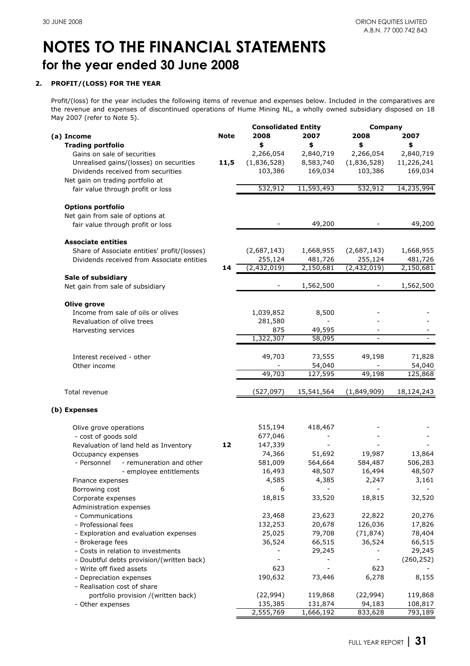## **2. PROFIT/(LOSS) FOR THE YEAR**

Profit/(loss) for the year includes the following items of revenue and expenses below. Included in the comparatives are the revenue and expenses of discontinued operations of Hume Mining NL, a wholly owned subsidiary disposed on 18 May 2007 (refer to Note 5).

|                                                |             | <b>Consolidated Entity</b> |            | Company     |            |
|------------------------------------------------|-------------|----------------------------|------------|-------------|------------|
| (a) Income                                     | <b>Note</b> | 2008                       | 2007       | 2008        | 2007       |
| <b>Trading portfolio</b>                       |             | \$                         | \$         | \$          | \$         |
| Gains on sale of securities                    |             | 2,266,054                  | 2,840,719  | 2,266,054   | 2,840,719  |
| Unrealised gains/(losses) on securities        | 11,5        | (1,836,528)                | 8,583,740  | (1,836,528) | 11,226,241 |
| Dividends received from securities             |             | 103,386                    | 169,034    | 103,386     | 169,034    |
| Net gain on trading portfolio at               |             |                            |            |             |            |
|                                                |             | 532,912                    | 11,593,493 | 532,912     | 14,235,994 |
| fair value through profit or loss              |             |                            |            |             |            |
| <b>Options portfolio</b>                       |             |                            |            |             |            |
|                                                |             |                            |            |             |            |
| Net gain from sale of options at               |             |                            |            |             |            |
| fair value through profit or loss              |             |                            | 49,200     |             | 49,200     |
| <b>Associate entities</b>                      |             |                            |            |             |            |
| Share of Associate entities' profit/(losses)   |             | (2,687,143)                | 1,668,955  | (2,687,143) | 1,668,955  |
| Dividends received from Associate entities     |             | 255,124                    | 481,726    | 255,124     | 481,726    |
|                                                | 14          | (2,432,019)                | 2,150,681  | (2,432,019) | 2,150,681  |
| Sale of subsidiary                             |             |                            |            |             |            |
| Net gain from sale of subsidiary               |             |                            | 1,562,500  |             | 1,562,500  |
|                                                |             |                            |            |             |            |
| Olive grove                                    |             |                            |            |             |            |
| Income from sale of oils or olives             |             | 1,039,852                  | 8,500      |             |            |
| Revaluation of olive trees                     |             | 281,580                    |            |             |            |
| Harvesting services                            |             | 875                        | 49,595     |             |            |
|                                                |             | 1,322,307                  | 58,095     |             |            |
|                                                |             |                            |            |             |            |
| Interest received - other                      |             | 49,703                     | 73,555     | 49,198      | 71,828     |
| Other income                                   |             |                            | 54,040     |             | 54,040     |
|                                                |             | 49,703                     | 127,595    | 49,198      | 125,868    |
|                                                |             |                            |            |             |            |
| Total revenue                                  |             | (527,097)                  | 15,541,564 | (1,849,909) | 18,124,243 |
|                                                |             |                            |            |             |            |
| (b) Expenses                                   |             |                            |            |             |            |
| Olive grove operations                         |             | 515,194                    | 418,467    |             |            |
| - cost of goods sold                           |             | 677,046                    |            |             |            |
| Revaluation of land held as Inventory          | 12          | 147,339                    |            |             |            |
|                                                |             | 74,366                     | 51,692     | 19,987      | 13,864     |
| Occupancy expenses<br>- remuneration and other |             |                            | 564,664    |             |            |
| - Personnel                                    |             | 581,009                    |            | 584,487     | 506,283    |
| - employee entitlements                        |             | 16,493                     | 48,507     | 16,494      | 48,507     |
| Finance expenses                               |             | 4,585                      | 4,385      | 2,247       | 3,161      |
| Borrowing cost                                 |             | 6                          |            |             |            |
| Corporate expenses                             |             | 18,815                     | 33,520     | 18,815      | 32,520     |
| Administration expenses                        |             |                            |            |             |            |
| - Communications                               |             | 23,468                     | 23,623     | 22,822      | 20,276     |
| - Professional fees                            |             | 132,253                    | 20,678     | 126,036     | 17,826     |
| - Exploration and evaluation expenses          |             | 25,025                     | 79,708     | (71, 874)   | 78,404     |
| - Brokerage fees                               |             | 36,524                     | 66,515     | 36,524      | 66,515     |
| - Costs in relation to investments             |             |                            | 29,245     |             | 29,245     |
| - Doubtful debts provision/(written back)      |             |                            |            |             | (260, 252) |
| - Write off fixed assets                       |             | 623                        |            | 623         |            |
| - Depreciation expenses                        |             | 190,632                    | 73,446     | 6,278       | 8,155      |
| - Realisation cost of share                    |             |                            |            |             |            |
| portfolio provision /(written back)            |             | (22, 994)                  | 119,868    | (22, 994)   | 119,868    |
| - Other expenses                               |             | 135,385                    | 131,874    | 94,183      | 108,817    |
|                                                |             | 2,555,769                  | 1,666,192  | 833,628     | 793,189    |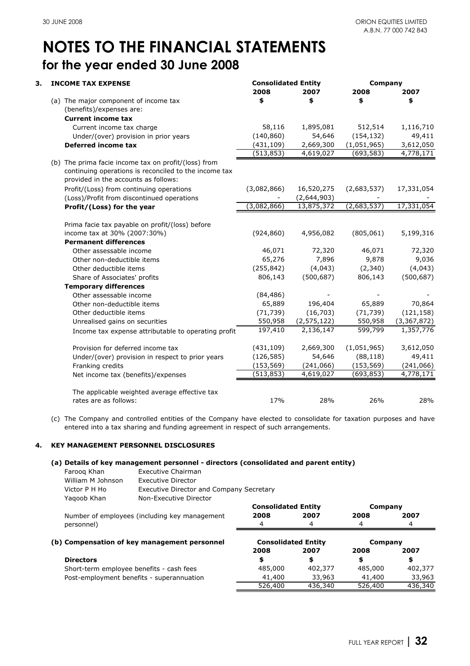| З. | <b>INCOME TAX EXPENSE</b>                                                                     |             | <b>Consolidated Entity</b> |             | Company     |  |
|----|-----------------------------------------------------------------------------------------------|-------------|----------------------------|-------------|-------------|--|
|    |                                                                                               | 2008        | 2007                       | 2008        | 2007        |  |
|    | (a) The major component of income tax                                                         | \$          | \$                         | \$          | \$          |  |
|    | (benefits)/expenses are:                                                                      |             |                            |             |             |  |
|    | <b>Current income tax</b>                                                                     |             |                            |             |             |  |
|    | Current income tax charge                                                                     | 58,116      | 1,895,081                  | 512,514     | 1,116,710   |  |
|    | Under/(over) provision in prior years                                                         | (140, 860)  | 54,646                     | (154, 132)  | 49,411      |  |
|    | <b>Deferred income tax</b>                                                                    | (431, 109)  | 2,669,300                  | (1,051,965) | 3,612,050   |  |
|    |                                                                                               | (513, 853)  | 4,619,027                  | (693, 583)  | 4,778,171   |  |
|    | (b) The prima facie income tax on profit/(loss) from                                          |             |                            |             |             |  |
|    | continuing operations is reconciled to the income tax<br>provided in the accounts as follows: |             |                            |             |             |  |
|    | Profit/(Loss) from continuing operations                                                      | (3,082,866) | 16,520,275                 | (2,683,537) | 17,331,054  |  |
|    | (Loss)/Profit from discontinued operations                                                    |             | (2,644,903)                |             |             |  |
|    | Profit/(Loss) for the year                                                                    | (3,082,866) | 13,875,372                 | (2,683,537) | 17,331,054  |  |
|    | Prima facie tax payable on profit/(loss) before                                               |             |                            |             |             |  |
|    | income tax at 30% (2007:30%)                                                                  | (924, 860)  | 4,956,082                  | (805, 061)  | 5,199,316   |  |
|    | <b>Permanent differences</b>                                                                  |             |                            |             |             |  |
|    | Other assessable income                                                                       | 46,071      | 72,320                     | 46,071      | 72,320      |  |
|    | Other non-deductible items                                                                    | 65,276      | 7,896                      | 9,878       | 9,036       |  |
|    | Other deductible items                                                                        | (255, 842)  | (4,043)                    | (2, 340)    | (4,043)     |  |
|    | Share of Associates' profits                                                                  | 806,143     | (500, 687)                 | 806,143     | (500, 687)  |  |
|    | <b>Temporary differences</b>                                                                  |             |                            |             |             |  |
|    | Other assessable income                                                                       | (84, 486)   |                            |             |             |  |
|    | Other non-deductible items                                                                    | 65,889      | 196,404                    | 65,889      | 70,864      |  |
|    | Other deductible items                                                                        | (71, 739)   | (16, 703)                  | (71, 739)   | (121, 158)  |  |
|    | Unrealised gains on securities                                                                | 550,958     | (2, 575, 122)              | 550,958     | (3,367,872) |  |
|    | Income tax expense attributable to operating profit                                           | 197,410     | 2,136,147                  | 599,799     | 1,357,776   |  |
|    | Provision for deferred income tax                                                             | (431, 109)  | 2,669,300                  | (1,051,965) | 3,612,050   |  |
|    | Under/(over) provision in respect to prior years                                              | (126, 585)  | 54,646                     | (88, 118)   | 49,411      |  |
|    | Franking credits                                                                              | (153, 569)  | (241,066)                  | (153, 569)  | (241,066)   |  |
|    | Net income tax (benefits)/expenses                                                            | (513, 853)  | 4,619,027                  | (693, 853)  | 4,778,171   |  |
|    | The applicable weighted average effective tax                                                 |             |                            |             |             |  |
|    | rates are as follows:                                                                         | 17%         | 28%                        | 26%         | 28%         |  |

(c) The Company and controlled entities of the Company have elected to consolidate for taxation purposes and have entered into a tax sharing and funding agreement in respect of such arrangements.

### **4. KEY MANAGEMENT PERSONNEL DISCLOSURES**

### **(a) Details of key management personnel - directors (consolidated and parent entity)**

| Faroog Khan       | Executive Chairman                       |
|-------------------|------------------------------------------|
| William M Johnson | Executive Director                       |
| Victor P H Ho     | Executive Director and Company Secretary |
| Yagoob Khan       | Non-Executive Director                   |
|                   | <b>Consolidated Entity</b>               |

Number of employees (including key management **2008** 2007 2008 2007 2008 2007 2008 2007 personnel)

| personnel)                                   | Δ                          | 4       |         | ⊿       |
|----------------------------------------------|----------------------------|---------|---------|---------|
| (b) Compensation of key management personnel | <b>Consolidated Entity</b> |         | Company |         |
|                                              | 2008                       | 2007    | 2008    | 2007    |
| <b>Directors</b>                             |                            |         |         | \$      |
| Short-term employee benefits - cash fees     | 485,000                    | 402,377 | 485,000 | 402,377 |
| Post-employment benefits - superannuation    | 41,400                     | 33,963  | 41,400  | 33,963  |
|                                              | 526,400                    | 436,340 | 526,400 | 436,340 |

**2008**

**Company**

**2007 2008**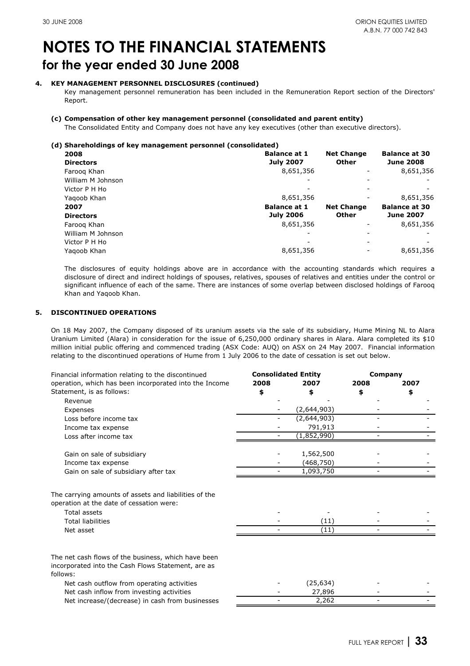### **4. KEY MANAGEMENT PERSONNEL DISCLOSURES (continued)**

Key management personnel remuneration has been included in the Remuneration Report section of the Directors' Report.

### **(c) Compensation of other key management personnel (consolidated and parent entity)**

The Consolidated Entity and Company does not have any key executives (other than executive directors).

### **(d) Shareholdings of key management personnel (consolidated)**

| 2008              | <b>Balance at 1</b> | <b>Net Change</b> | <b>Balance at 30</b> |
|-------------------|---------------------|-------------------|----------------------|
| <b>Directors</b>  | <b>July 2007</b>    | <b>Other</b>      | <b>June 2008</b>     |
| Faroog Khan       | 8,651,356           |                   | 8,651,356            |
| William M Johnson |                     |                   |                      |
| Victor P H Ho     |                     |                   |                      |
| Yagoob Khan       | 8,651,356           |                   | 8,651,356            |
| 2007              | <b>Balance at 1</b> | <b>Net Change</b> | <b>Balance at 30</b> |
| <b>Directors</b>  | <b>July 2006</b>    | <b>Other</b>      | <b>June 2007</b>     |
| Faroog Khan       | 8,651,356           |                   | 8,651,356            |
| William M Johnson |                     |                   |                      |
| Victor P H Ho     |                     |                   |                      |
| Yagoob Khan       | 8,651,356           |                   | 8,651,356            |

The disclosures of equity holdings above are in accordance with the accounting standards which requires a disclosure of direct and indirect holdings of spouses, relatives, spouses of relatives and entities under the control or significant influence of each of the same. There are instances of some overlap between disclosed holdings of Farooq Khan and Yaqoob Khan.

### **5. DISCONTINUED OPERATIONS**

On 18 May 2007, the Company disposed of its uranium assets via the sale of its subsidiary, Hume Mining NL to Alara Uranium Limited (Alara) in consideration for the issue of 6,250,000 ordinary shares in Alara. Alara completed its \$10 million initial public offering and commenced trading (ASX Code: AUQ) on ASX on 24 May 2007. Financial information relating to the discontinued operations of Hume from 1 July 2006 to the date of cessation is set out below.

| Financial information relating to the discontinued                                                |      | <b>Consolidated Entity</b> | <b>Company</b> |      |
|---------------------------------------------------------------------------------------------------|------|----------------------------|----------------|------|
| operation, which has been incorporated into the Income                                            | 2008 | 2007                       | 2008           | 2007 |
| Statement, is as follows:                                                                         |      |                            |                |      |
| Revenue                                                                                           |      |                            |                |      |
| Expenses                                                                                          |      | (2,644,903)                |                |      |
| Loss before income tax                                                                            |      | (2,644,903)                |                |      |
| Income tax expense                                                                                |      | 791,913                    |                |      |
| Loss after income tax                                                                             |      | (1,852,990)                |                |      |
| Gain on sale of subsidiary                                                                        |      | 1,562,500                  |                |      |
| Income tax expense                                                                                |      | (468,750)                  |                |      |
| Gain on sale of subsidiary after tax                                                              |      | 1,093,750                  |                |      |
| The carrying amounts of assets and liabilities of the<br>operation at the date of cessation were: |      |                            |                |      |
| Total assets                                                                                      |      |                            |                |      |
| <b>Total liabilities</b>                                                                          |      | (11)                       |                |      |
| Net asset                                                                                         |      | (11)                       |                |      |
| The net cash flows of the business, which have been                                               |      |                            |                |      |
| incorporated into the Cash Flows Statement, are as                                                |      |                            |                |      |
| follows:                                                                                          |      |                            |                |      |
| Net cash outflow from operating activities                                                        |      | (25, 634)                  |                |      |
| Net cash inflow from investing activities                                                         |      | 27,896                     |                |      |
| Net increase/(decrease) in cash from businesses                                                   |      | 2,262                      |                |      |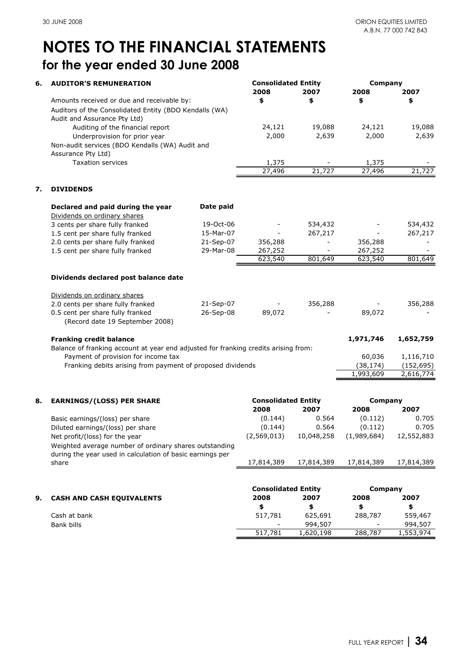| 6. | <b>AUDITOR'S REMUNERATION</b>                                                       |           | <b>Consolidated Entity</b><br>2008 | 2007                     | <b>Company</b><br>2008 | 2007                     |
|----|-------------------------------------------------------------------------------------|-----------|------------------------------------|--------------------------|------------------------|--------------------------|
|    | Amounts received or due and receivable by:                                          |           | \$                                 | \$                       | \$                     | \$                       |
|    | Auditors of the Consolidated Entity (BDO Kendalls (WA)                              |           |                                    |                          |                        |                          |
|    | Audit and Assurance Pty Ltd)                                                        |           |                                    |                          |                        |                          |
|    | Auditing of the financial report                                                    |           | 24,121                             | 19,088                   | 24,121                 | 19,088                   |
|    | Underprovision for prior year                                                       |           | 2,000                              | 2,639                    | 2,000                  | 2,639                    |
|    | Non-audit services (BDO Kendalls (WA) Audit and                                     |           |                                    |                          |                        |                          |
|    | Assurance Pty Ltd)                                                                  |           |                                    |                          |                        |                          |
|    | <b>Taxation services</b>                                                            |           | 1,375                              |                          | 1,375                  |                          |
|    |                                                                                     |           | 27,496                             | 21,727                   | 27,496                 | 21,727                   |
| 7. | <b>DIVIDENDS</b>                                                                    |           |                                    |                          |                        |                          |
|    | Declared and paid during the year                                                   | Date paid |                                    |                          |                        |                          |
|    | Dividends on ordinary shares                                                        |           |                                    |                          |                        |                          |
|    | 3 cents per share fully franked                                                     | 19-Oct-06 |                                    | 534,432                  |                        | 534,432                  |
|    | 1.5 cent per share fully franked                                                    | 15-Mar-07 |                                    | 267,217                  |                        | 267,217                  |
|    | 2.0 cents per share fully franked                                                   | 21-Sep-07 | 356,288                            | $\overline{\phantom{a}}$ | 356,288                | $\overline{\phantom{a}}$ |
|    | 1.5 cent per share fully franked                                                    | 29-Mar-08 | 267,252                            | $\blacksquare$           | 267,252                |                          |
|    |                                                                                     |           | 623,540                            | 801,649                  | 623,540                | 801,649                  |
|    | Dividends declared post balance date                                                |           |                                    |                          |                        |                          |
|    |                                                                                     |           |                                    |                          |                        |                          |
|    | Dividends on ordinary shares                                                        |           |                                    |                          |                        |                          |
|    | 2.0 cents per share fully franked                                                   | 21-Sep-07 |                                    | 356,288                  |                        | 356,288                  |
|    | 0.5 cent per share fully franked<br>(Record date 19 September 2008)                 | 26-Sep-08 | 89,072                             |                          | 89,072                 |                          |
|    | <b>Franking credit balance</b>                                                      |           |                                    |                          | 1,971,746              | 1,652,759                |
|    | Balance of franking account at year end adjusted for franking credits arising from: |           |                                    |                          |                        |                          |
|    | Payment of provision for income tax                                                 |           |                                    |                          | 60,036                 | 1,116,710                |
|    | Franking debits arising from payment of proposed dividends                          |           |                                    |                          | (38, 174)              | (152, 695)               |
|    |                                                                                     |           |                                    |                          | 1,993,609              | 2,616,774                |
|    |                                                                                     |           |                                    |                          |                        |                          |
| 8. | <b>EARNINGS/(LOSS) PER SHARE</b>                                                    |           | <b>Consolidated Entity</b>         |                          | Company                |                          |
|    |                                                                                     |           | 2008                               | 2007                     | 2008                   | 2007                     |
|    | Basic earnings/(loss) per share                                                     |           | (0.144)                            | 0.564                    | (0.112)                | 0.705                    |
|    | Diluted earnings/(loss) per share                                                   |           | (0.144)                            | 0.564                    | (0.112)                | 0.705                    |
|    | Net profit/(loss) for the year                                                      |           | (2,569,013)                        | 10,048,258               | (1,989,684)            | 12,552,883               |
|    | Weighted average number of ordinary shares outstanding                              |           |                                    |                          |                        |                          |
|    | during the year used in calculation of basic earnings per<br>share                  |           | 17,814,389                         | 17,814,389               | 17,814,389             | 17,814,389               |
|    |                                                                                     |           |                                    |                          |                        |                          |
|    |                                                                                     |           | <b>Consolidated Entity</b>         |                          | Company                |                          |
| 9. | <b>CASH AND CASH EQUIVALENTS</b>                                                    |           | 2008                               | 2007                     | 2008                   | 2007                     |
|    |                                                                                     |           | \$                                 | \$                       | \$                     | \$                       |
|    | Cash at bank                                                                        |           | 517,781                            | 625,691                  | 288,787                | 559,467                  |
|    | Bank bills                                                                          |           |                                    | 994,507                  |                        | 994,507                  |
|    |                                                                                     |           | 517,781                            | 1,620,198                | 288,787                | 1,553,974                |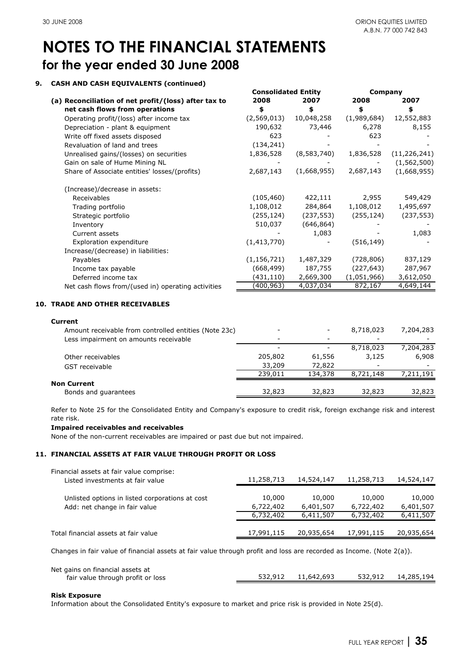### **9. CASH AND CASH EQUIVALENTS (continued)**

|                                                      | <b>Consolidated Entity</b> |             | Company     |                |
|------------------------------------------------------|----------------------------|-------------|-------------|----------------|
| (a) Reconciliation of net profit/(loss) after tax to | 2008                       | 2007        | 2008        | 2007           |
| net cash flows from operations                       | \$                         | \$          | \$          | \$             |
| Operating profit/(loss) after income tax             | (2,569,013)                | 10,048,258  | (1,989,684) | 12,552,883     |
| Depreciation - plant & equipment                     | 190,632                    | 73,446      | 6,278       | 8,155          |
| Write off fixed assets disposed                      | 623                        |             | 623         |                |
| Revaluation of land and trees                        | (134, 241)                 |             |             |                |
| Unrealised gains/(losses) on securities              | 1,836,528                  | (8,583,740) | 1,836,528   | (11, 226, 241) |
| Gain on sale of Hume Mining NL                       |                            |             |             | (1, 562, 500)  |
| Share of Associate entities' losses/(profits)        | 2,687,143                  | (1,668,955) | 2,687,143   | (1,668,955)    |
| (Increase)/decrease in assets:                       |                            |             |             |                |
| Receivables                                          | (105, 460)                 | 422,111     | 2,955       | 549,429        |
| Trading portfolio                                    | 1,108,012                  | 284,864     | 1,108,012   | 1,495,697      |
| Strategic portfolio                                  | (255, 124)                 | (237, 553)  | (255, 124)  | (237, 553)     |
| Inventory                                            | 510,037                    | (646, 864)  |             |                |
| Current assets                                       |                            | 1,083       |             | 1,083          |
| Exploration expenditure                              | (1,413,770)                |             | (516, 149)  |                |
| Increase/(decrease) in liabilities:                  |                            |             |             |                |
| Payables                                             | (1, 156, 721)              | 1,487,329   | (728, 806)  | 837,129        |
| Income tax payable                                   | (668, 499)                 | 187,755     | (227, 643)  | 287,967        |
| Deferred income tax                                  | (431,110)                  | 2,669,300   | (1,051,966) | 3,612,050      |
| Net cash flows from/(used in) operating activities   | (400,963)                  | 4,037,034   | 872,167     | 4,649,144      |
|                                                      |                            |             |             |                |

### **10. TRADE AND OTHER RECEIVABLES**

### **Current**

| Amount receivable from controlled entities (Note 23c) |         |         | 8,718,023 | 7,204,283 |
|-------------------------------------------------------|---------|---------|-----------|-----------|
| Less impairment on amounts receivable                 | -       |         |           |           |
|                                                       |         |         | 8,718,023 | 7,204,283 |
| Other receivables                                     | 205,802 | 61,556  | 3,125     | 6,908     |
| GST receivable                                        | 33,209  | 72,822  | -         |           |
|                                                       | 239,011 | 134,378 | 8,721,148 | 7,211,191 |
| <b>Non Current</b>                                    |         |         |           |           |
| Bonds and guarantees                                  | 32,823  | 32,823  | 32,823    | 32,823    |

Refer to Note 25 for the Consolidated Entity and Company's exposure to credit risk, foreign exchange risk and interest rate risk.

### **Impaired receivables and receivables**

None of the non-current receivables are impaired or past due but not impaired.

### **11. FINANCIAL ASSETS AT FAIR VALUE THROUGH PROFIT OR LOSS**

| Financial assets at fair value comprise:        |            |            |            |            |
|-------------------------------------------------|------------|------------|------------|------------|
| Listed investments at fair value                | 11,258,713 | 14,524,147 | 11,258,713 | 14,524,147 |
|                                                 |            |            |            |            |
| Unlisted options in listed corporations at cost | 10,000     | 10,000     | 10,000     | 10,000     |
| Add: net change in fair value                   | 6,722,402  | 6,401,507  | 6,722,402  | 6,401,507  |
|                                                 | 6,732,402  | 6,411,507  | 6,732,402  | 6,411,507  |
|                                                 |            |            |            |            |
| Total financial assets at fair value            | 17,991,115 | 20,935,654 | 17,991,115 | 20,935,654 |
|                                                 |            |            |            |            |

Changes in fair value of financial assets at fair value through profit and loss are recorded as Income. (Note 2(a)).

| Net gains on financial assets at  |                    |         |            |
|-----------------------------------|--------------------|---------|------------|
| fair value through profit or loss | 532.912 11.642.693 | 532,912 | 14,285,194 |
|                                   |                    |         |            |

### **Risk Exposure**

Information about the Consolidated Entity's exposure to market and price risk is provided in Note 25(d).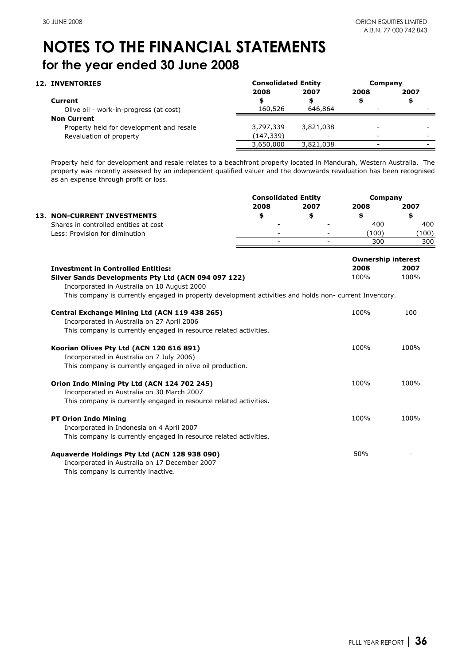| <b>12. INVENTORIES</b>                   | <b>Consolidated Entity</b> |           | Company                  |      |
|------------------------------------------|----------------------------|-----------|--------------------------|------|
|                                          | 2008                       | 2007      | 2008                     | 2007 |
| Current                                  |                            |           |                          | \$   |
| Olive oil - work-in-progress (at cost)   | 160,526                    | 646,864   |                          |      |
| <b>Non Current</b>                       |                            |           |                          |      |
| Property held for development and resale | 3,797,339                  | 3,821,038 |                          |      |
| Revaluation of property                  | (147,339)                  |           |                          | -    |
|                                          | 3,650,000                  | 3,821,038 | $\overline{\phantom{0}}$ |      |

Property held for development and resale relates to a beachfront property located in Mandurah, Western Australia. The property was recently assessed by an independent qualified valuer and the downwards revaluation has been recognised as an expense through profit or loss.

| 2008<br>\$ | 2007<br>\$                                                                                                                                                                                                  | 2008                                                                                                   | 2007  |
|------------|-------------------------------------------------------------------------------------------------------------------------------------------------------------------------------------------------------------|--------------------------------------------------------------------------------------------------------|-------|
|            |                                                                                                                                                                                                             |                                                                                                        |       |
|            |                                                                                                                                                                                                             | \$                                                                                                     | \$    |
|            |                                                                                                                                                                                                             | 400                                                                                                    | 400   |
|            |                                                                                                                                                                                                             | (100)                                                                                                  | (100) |
|            |                                                                                                                                                                                                             | 300                                                                                                    | 300   |
|            |                                                                                                                                                                                                             | <b>Ownership interest</b>                                                                              |       |
|            |                                                                                                                                                                                                             | 2008                                                                                                   | 2007  |
|            |                                                                                                                                                                                                             | 100%                                                                                                   | 100%  |
|            |                                                                                                                                                                                                             |                                                                                                        |       |
|            |                                                                                                                                                                                                             | This company is currently engaged in property development activities and holds non- current Inventory. |       |
|            |                                                                                                                                                                                                             | 100%                                                                                                   | 100   |
|            |                                                                                                                                                                                                             |                                                                                                        |       |
|            |                                                                                                                                                                                                             |                                                                                                        |       |
|            |                                                                                                                                                                                                             | 100%                                                                                                   | 100%  |
|            |                                                                                                                                                                                                             |                                                                                                        |       |
|            |                                                                                                                                                                                                             |                                                                                                        |       |
|            |                                                                                                                                                                                                             | 100%                                                                                                   | 100%  |
|            |                                                                                                                                                                                                             |                                                                                                        |       |
|            |                                                                                                                                                                                                             |                                                                                                        |       |
|            |                                                                                                                                                                                                             | 100%                                                                                                   | 100%  |
|            |                                                                                                                                                                                                             |                                                                                                        |       |
|            |                                                                                                                                                                                                             |                                                                                                        |       |
|            |                                                                                                                                                                                                             |                                                                                                        |       |
|            |                                                                                                                                                                                                             |                                                                                                        |       |
|            |                                                                                                                                                                                                             |                                                                                                        |       |
|            | This company is currently engaged in resource related activities.<br>This company is currently engaged in resource related activities.<br>This company is currently engaged in resource related activities. |                                                                                                        | 50%   |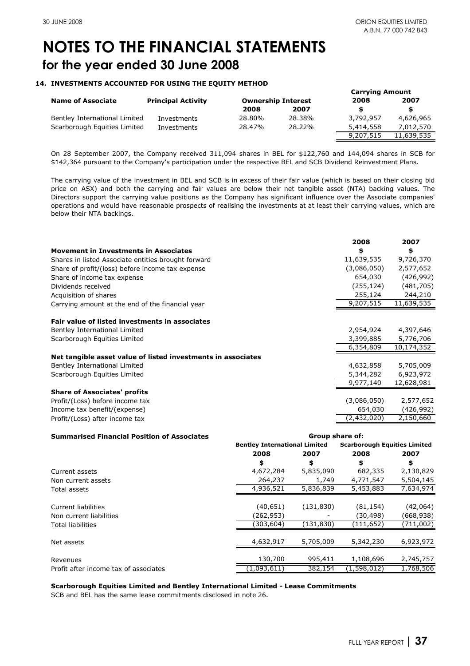### **14. INVESTMENTS ACCOUNTED FOR USING THE EQUITY METHOD**

|                               |                           |        |                           | <b>Carrying Amount</b> |            |
|-------------------------------|---------------------------|--------|---------------------------|------------------------|------------|
| <b>Name of Associate</b>      | <b>Principal Activity</b> |        | <b>Ownership Interest</b> | 2008                   | 2007       |
|                               |                           | 2008   | 2007                      |                        | S.         |
| Bentley International Limited | Investments               | 28.80% | 28.38%                    | 3,792,957              | 4,626,965  |
| Scarborough Equities Limited  | Investments               | 28.47% | 28.22%                    | 5,414,558              | 7,012,570  |
|                               |                           |        |                           | 9,207,515              | 11,639,535 |

On 28 September 2007, the Company received 311,094 shares in BEL for \$122,760 and 144,094 shares in SCB for \$142,364 pursuant to the Company's participation under the respective BEL and SCB Dividend Reinvestment Plans.

The carrying value of the investment in BEL and SCB is in excess of their fair value (which is based on their closing bid price on ASX) and both the carrying and fair values are below their net tangible asset (NTA) backing values. The Directors support the carrying value positions as the Company has significant influence over the Associate companies' operations and would have reasonable prospects of realising the investments at at least their carrying values, which are below their NTA backings.

|                                                              | 2008        | 2007       |
|--------------------------------------------------------------|-------------|------------|
| <b>Movement in Investments in Associates</b>                 | \$          | \$         |
| Shares in listed Associate entities brought forward          | 11,639,535  | 9,726,370  |
| Share of profit/(loss) before income tax expense             | (3,086,050) | 2,577,652  |
| Share of income tax expense                                  | 654,030     | (426, 992) |
| Dividends received                                           | (255, 124)  | (481, 705) |
| Acquisition of shares                                        | 255,124     | 244,210    |
| Carrying amount at the end of the financial year             | 9,207,515   | 11,639,535 |
|                                                              |             |            |
| Fair value of listed investments in associates               |             |            |
| Bentley International Limited                                | 2,954,924   | 4,397,646  |
| Scarborough Equities Limited                                 | 3,399,885   | 5,776,706  |
|                                                              | 6,354,809   | 10,174,352 |
| Net tangible asset value of listed investments in associates |             |            |
| Bentley International Limited                                | 4,632,858   | 5,705,009  |
| Scarborough Equities Limited                                 | 5,344,282   | 6,923,972  |
|                                                              | 9,977,140   | 12,628,981 |
| <b>Share of Associates' profits</b>                          |             |            |
| Profit/(Loss) before income tax                              | (3,086,050) | 2,577,652  |
| Income tax benefit/(expense)                                 | 654,030     | (426, 992) |
| Profit/(Loss) after income tax                               | (2,432,020) | 2,150,660  |

| <b>Summarised Financial Position of Associates</b> | Group share of:                      |            |                                     |           |  |
|----------------------------------------------------|--------------------------------------|------------|-------------------------------------|-----------|--|
|                                                    | <b>Bentley International Limited</b> |            | <b>Scarborough Equities Limited</b> |           |  |
|                                                    | 2008                                 | 2007       | 2008                                | 2007      |  |
|                                                    | \$                                   | \$         | \$                                  | \$        |  |
| Current assets                                     | 4,672,284                            | 5,835,090  | 682,335                             | 2,130,829 |  |
| Non current assets                                 | 264,237                              | 1,749      | 4,771,547                           | 5,504,145 |  |
| Total assets                                       | 4,936,521                            | 5,836,839  | 5,453,883                           | 7,634,974 |  |
|                                                    |                                      |            |                                     |           |  |
| Current liabilities                                | (40,651)                             | (131, 830) | (81,154)                            | (42,064)  |  |
| Non current liabilities                            | (262,953)                            |            | (30,498)                            | (668,938) |  |
| Total liabilities                                  | (303,604)                            | (131, 830) | (111,652)                           | (711,002) |  |
|                                                    |                                      |            |                                     |           |  |
| Net assets                                         | 4,632,917                            | 5,705,009  | 5,342,230                           | 6,923,972 |  |
|                                                    |                                      |            |                                     |           |  |
| Revenues                                           | 130,700                              | 995,411    | 1,108,696                           | 2,745,757 |  |
| Profit after income tax of associates              | (1,093,611)                          | 382,154    | (1,598,012)                         | 1,768,506 |  |

### **Scarborough Equities Limited and Bentley International Limited - Lease Commitments**

SCB and BEL has the same lease commitments disclosed in note 26.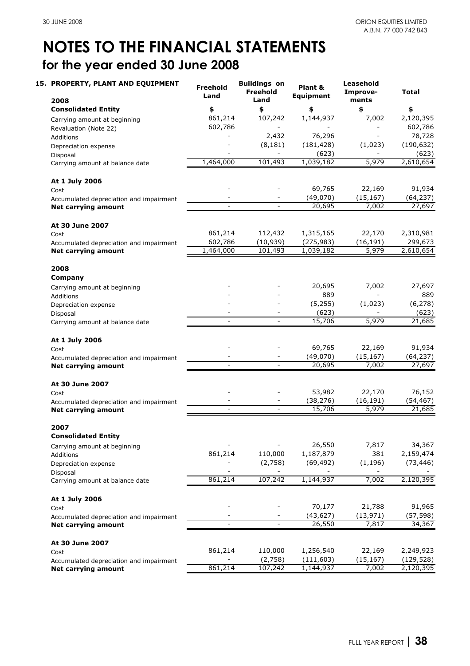| 15. PROPERTY, PLANT AND EQUIPMENT<br>2008       | Freehold<br>Land | <b>Buildings on</b><br><b>Freehold</b><br>Land | Plant &<br><b>Equipment</b> | Leasehold<br>Improve-<br>ments | Total      |
|-------------------------------------------------|------------------|------------------------------------------------|-----------------------------|--------------------------------|------------|
| <b>Consolidated Entity</b>                      | \$               | \$                                             | \$                          | \$                             | \$         |
| Carrying amount at beginning                    | 861,214          | 107,242                                        | 1,144,937                   | 7,002                          | 2,120,395  |
| Revaluation (Note 22)                           | 602,786          |                                                |                             |                                | 602,786    |
| Additions                                       |                  | 2,432                                          | 76,296                      |                                | 78,728     |
| Depreciation expense                            |                  | (8, 181)                                       | (181, 428)                  | (1,023)                        | (190, 632) |
| Disposal                                        |                  |                                                | (623)                       |                                | (623)      |
| Carrying amount at balance date                 | 1,464,000        | 101,493                                        | 1,039,182                   | 5,979                          | 2,610,654  |
| At 1 July 2006                                  |                  |                                                |                             |                                |            |
| Cost                                            |                  |                                                | 69,765                      | 22,169                         | 91,934     |
| Accumulated depreciation and impairment         |                  |                                                | (49,070)                    | (15, 167)                      | (64, 237)  |
| <b>Net carrying amount</b>                      |                  |                                                | 20,695                      | 7,002                          | 27,697     |
|                                                 |                  |                                                |                             |                                |            |
| At 30 June 2007                                 |                  |                                                |                             |                                |            |
| Cost                                            | 861,214          | 112,432                                        | 1,315,165                   | 22,170                         | 2,310,981  |
| Accumulated depreciation and impairment         | 602,786          | (10, 939)                                      | (275, 983)                  | (16, 191)                      | 299,673    |
| <b>Net carrying amount</b>                      | 1,464,000        | 101,493                                        | 1,039,182                   | 5,979                          | 2,610,654  |
| 2008                                            |                  |                                                |                             |                                |            |
| Company                                         |                  |                                                |                             |                                |            |
| Carrying amount at beginning                    |                  |                                                | 20,695                      | 7,002                          | 27,697     |
| Additions                                       |                  |                                                | 889                         |                                | 889        |
| Depreciation expense                            |                  |                                                | (5, 255)                    | (1,023)                        | (6, 278)   |
| Disposal                                        |                  |                                                | (623)                       |                                | (623)      |
| Carrying amount at balance date                 |                  |                                                | 15,706                      | 5,979                          | 21,685     |
| At 1 July 2006                                  |                  |                                                |                             |                                |            |
| Cost                                            |                  |                                                | 69,765                      | 22,169                         | 91,934     |
| Accumulated depreciation and impairment         |                  |                                                | (49,070)                    | (15, 167)                      | (64, 237)  |
| <b>Net carrying amount</b>                      |                  |                                                | 20,695                      | 7,002                          | 27,697     |
| At 30 June 2007                                 |                  |                                                |                             |                                |            |
| Cost                                            |                  |                                                | 53,982                      | 22,170                         | 76,152     |
| Accumulated depreciation and impairment         |                  |                                                | (38, 276)                   | (16, 191)                      | (54, 467)  |
| Net carrying amount                             | $\blacksquare$   | $\overline{\phantom{a}}$                       | 15,706                      | 5,979                          | 21,685     |
| 2007                                            |                  |                                                |                             |                                |            |
| <b>Consolidated Entity</b>                      |                  |                                                |                             |                                |            |
| Carrying amount at beginning                    |                  |                                                | 26,550                      | 7,817                          | 34,367     |
| Additions                                       | 861,214          | 110,000                                        | 1,187,879                   | 381                            | 2,159,474  |
| Depreciation expense                            |                  | (2,758)                                        | (69, 492)                   | (1, 196)                       | (73, 446)  |
| Disposal                                        |                  |                                                |                             |                                |            |
| Carrying amount at balance date                 | 861,214          | 107,242                                        | 1,144,937                   | 7,002                          | 2,120,395  |
| At 1 July 2006                                  |                  |                                                |                             |                                |            |
| Cost                                            |                  |                                                | 70,177                      | 21,788                         | 91,965     |
| Accumulated depreciation and impairment         |                  |                                                | (43, 627)                   | (13, 971)                      | (57, 598)  |
| <b>Net carrying amount</b>                      |                  |                                                | 26,550                      | 7,817                          | 34,367     |
|                                                 |                  |                                                |                             |                                |            |
| At 30 June 2007                                 | 861,214          | 110,000                                        | 1,256,540                   | 22,169                         | 2,249,923  |
| Cost<br>Accumulated depreciation and impairment |                  | (2,758)                                        | (111, 603)                  | (15, 167)                      | (129, 528) |
| Net carrying amount                             | 861,214          | 107,242                                        | 1,144,937                   | 7,002                          | 2,120,395  |
|                                                 |                  |                                                |                             |                                |            |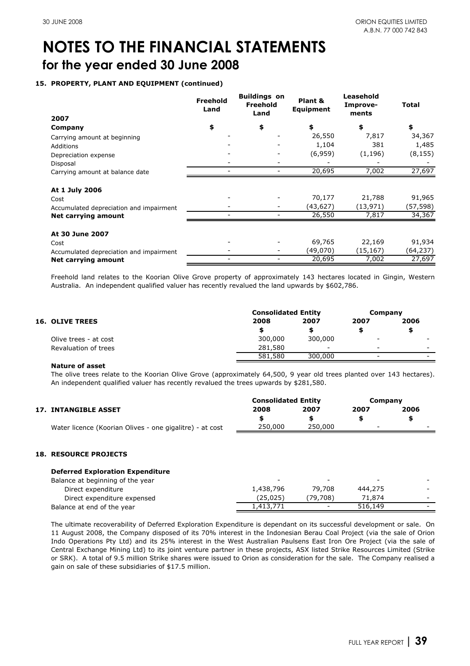### **15. PROPERTY, PLANT AND EQUIPMENT (continued)**

|                                         | <b>Freehold</b><br>Land | <b>Buildings on</b><br>Freehold<br>Land | Plant &<br><b>Equipment</b> | Leasehold<br>Improve-<br>ments | Total     |
|-----------------------------------------|-------------------------|-----------------------------------------|-----------------------------|--------------------------------|-----------|
| 2007                                    |                         |                                         |                             |                                |           |
| Company                                 | \$                      | \$                                      | \$                          | \$                             | \$        |
| Carrying amount at beginning            |                         |                                         | 26,550                      | 7,817                          | 34,367    |
| Additions                               |                         |                                         | 1,104                       | 381                            | 1,485     |
| Depreciation expense                    |                         |                                         | (6,959)                     | (1, 196)                       | (8, 155)  |
| Disposal                                |                         |                                         |                             |                                |           |
| Carrying amount at balance date         | -                       | $\overline{\phantom{a}}$                | 20,695                      | 7,002                          | 27,697    |
| At 1 July 2006                          |                         |                                         |                             |                                |           |
| Cost                                    |                         |                                         | 70,177                      | 21,788                         | 91,965    |
| Accumulated depreciation and impairment |                         |                                         | (43,627)                    | (13,971)                       | (57,598)  |
| Net carrying amount                     |                         |                                         | 26,550                      | 7,817                          | 34,367    |
| At 30 June 2007                         |                         |                                         |                             |                                |           |
| Cost                                    |                         |                                         | 69,765                      | 22,169                         | 91,934    |
| Accumulated depreciation and impairment |                         |                                         | (49,070)                    | (15,167)                       | (64, 237) |
| Net carrying amount                     |                         |                                         | 20,695                      | 7,002                          | 27,697    |

Freehold land relates to the Koorian Olive Grove property of approximately 143 hectares located in Gingin, Western Australia. An independent qualified valuer has recently revalued the land upwards by \$602,786.

|                        |                       | <b>Consolidated Entity</b><br>Company |                          |                          |   |
|------------------------|-----------------------|---------------------------------------|--------------------------|--------------------------|---|
| <b>16. OLIVE TREES</b> | 2008                  | 2007                                  | 2007                     | 2006                     |   |
|                        |                       |                                       |                          |                          |   |
|                        | Olive trees - at cost | 300,000                               | 300,000                  | $\overline{\phantom{a}}$ | - |
|                        | Revaluation of trees  | 281,580                               | $\overline{\phantom{0}}$ | $\overline{\phantom{0}}$ | - |
|                        |                       | 581,580                               | 300,000                  | -                        |   |

### **Nature of asset**

The olive trees relate to the Koorian Olive Grove (approximately 64,500, 9 year old trees planted over 143 hectares). An independent qualified valuer has recently revalued the trees upwards by \$281,580.

|                                                          | <b>Consolidated Entity</b> |         | Company |      |
|----------------------------------------------------------|----------------------------|---------|---------|------|
| <b>17. INTANGIBLE ASSET</b>                              | 2008                       | 2007    | 2007    | 2006 |
|                                                          |                            |         |         |      |
| Water licence (Koorian Olives - one gigalitre) - at cost | 250,000                    | 250,000 |         | -    |

### **18. RESOURCE PROJECTS**

| $\overline{\phantom{0}}$ | $\overline{\phantom{0}}$ | $\overline{\phantom{0}}$ | $\overline{\phantom{0}}$ |
|--------------------------|--------------------------|--------------------------|--------------------------|
| 1,438,796                | 79.708                   | 444,275                  | $\sim$                   |
| (25,025)                 | (79.708)                 | 71,874                   | $\sim$                   |
| 1,413,771                | $\overline{\phantom{0}}$ | 516,149                  | $\sim$                   |
|                          |                          |                          |                          |

The ultimate recoverability of Deferred Exploration Expenditure is dependant on its successful development or sale. On 11 August 2008, the Company disposed of its 70% interest in the Indonesian Berau Coal Project (via the sale of Orion Indo Operations Pty Ltd) and its 25% interest in the West Australian Paulsens East Iron Ore Project (via the sale of Central Exchange Mining Ltd) to its joint venture partner in these projects, ASX listed Strike Resources Limited (Strike or SRK). A total of 9.5 million Strike shares were issued to Orion as consideration for the sale. The Company realised a gain on sale of these subsidiaries of \$17.5 million.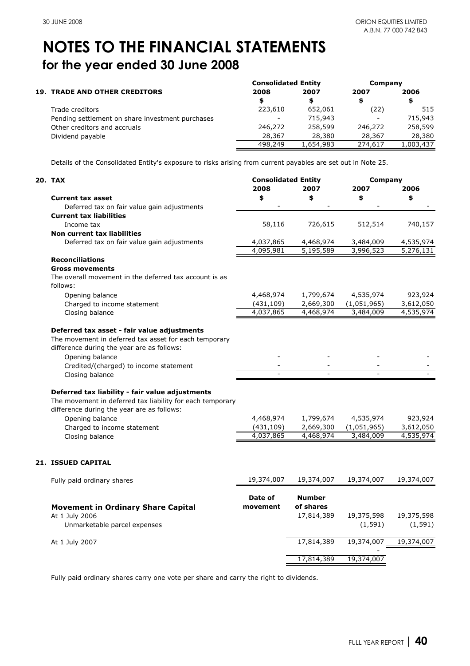|                                                  |                          | <b>Consolidated Entity</b> |         | Company   |
|--------------------------------------------------|--------------------------|----------------------------|---------|-----------|
| <b>19. TRADE AND OTHER CREDITORS</b>             | 2008                     | 2007                       | 2007    | 2006      |
|                                                  | S                        | \$                         |         | \$        |
| Trade creditors                                  | 223,610                  | 652.061                    | (22)    | 515       |
| Pending settlement on share investment purchases | $\overline{\phantom{a}}$ | 715,943                    |         | 715,943   |
| Other creditors and accruals                     | 246,272                  | 258,599                    | 246,272 | 258,599   |
| Dividend payable                                 | 28,367                   | 28,380                     | 28,367  | 28,380    |
|                                                  | 498,249                  | 1,654,983                  | 274,617 | 1,003,437 |

Details of the Consolidated Entity's exposure to risks arising from current payables are set out in Note 25.

| 20. TAX                                                                 | <b>Consolidated Entity</b> |               | Company     |            |
|-------------------------------------------------------------------------|----------------------------|---------------|-------------|------------|
|                                                                         | 2008                       | 2007          | 2007        | 2006       |
| <b>Current tax asset</b><br>Deferred tax on fair value gain adjustments | \$                         | \$            | \$          | \$         |
| <b>Current tax liabilities</b>                                          |                            |               |             |            |
| Income tax                                                              | 58,116                     | 726,615       | 512,514     | 740,157    |
| Non current tax liabilities                                             |                            |               |             |            |
| Deferred tax on fair value gain adjustments                             | 4,037,865                  | 4,468,974     | 3,484,009   | 4,535,974  |
|                                                                         | 4,095,981                  | 5,195,589     | 3,996,523   | 5,276,131  |
| <b>Reconciliations</b>                                                  |                            |               |             |            |
| <b>Gross movements</b>                                                  |                            |               |             |            |
| The overall movement in the deferred tax account is as                  |                            |               |             |            |
| follows:                                                                |                            |               |             |            |
| Opening balance                                                         | 4,468,974                  | 1,799,674     | 4,535,974   | 923,924    |
| Charged to income statement                                             | (431, 109)                 | 2,669,300     | (1,051,965) | 3,612,050  |
| Closing balance                                                         | 4,037,865                  | 4,468,974     | 3,484,009   | 4,535,974  |
|                                                                         |                            |               |             |            |
| Deferred tax asset - fair value adjustments                             |                            |               |             |            |
| The movement in deferred tax asset for each temporary                   |                            |               |             |            |
| difference during the year are as follows:                              |                            |               |             |            |
| Opening balance                                                         |                            |               |             |            |
| Credited/(charged) to income statement                                  |                            |               |             |            |
| Closing balance                                                         |                            |               |             |            |
| Deferred tax liability - fair value adjustments                         |                            |               |             |            |
| The movement in deferred tax liability for each temporary               |                            |               |             |            |
| difference during the year are as follows:                              |                            |               |             |            |
| Opening balance                                                         | 4,468,974                  | 1,799,674     | 4,535,974   | 923,924    |
| Charged to income statement                                             | (431, 109)                 | 2,669,300     | (1,051,965) | 3,612,050  |
| Closing balance                                                         | 4,037,865                  | 4,468,974     | 3,484,009   | 4,535,974  |
|                                                                         |                            |               |             |            |
|                                                                         |                            |               |             |            |
| <b>21. ISSUED CAPITAL</b>                                               |                            |               |             |            |
| Fully paid ordinary shares                                              | 19,374,007                 | 19,374,007    | 19,374,007  | 19,374,007 |
|                                                                         | Date of                    | <b>Number</b> |             |            |
| <b>Movement in Ordinary Share Capital</b>                               | movement                   | of shares     |             |            |
| At 1 July 2006                                                          |                            | 17,814,389    | 19,375,598  | 19,375,598 |
| Unmarketable parcel expenses                                            |                            |               | (1, 591)    | (1, 591)   |
|                                                                         |                            |               |             |            |
| At 1 July 2007                                                          |                            | 17,814,389    | 19,374,007  | 19,374,007 |
|                                                                         |                            |               | 19,374,007  |            |
|                                                                         |                            | 17,814,389    |             |            |

Fully paid ordinary shares carry one vote per share and carry the right to dividends.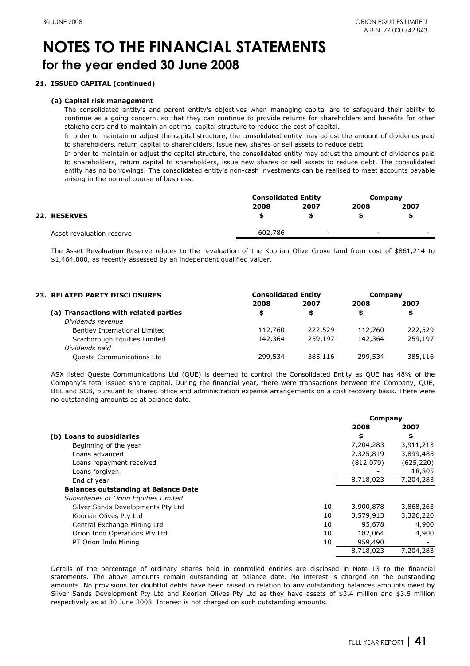## **21. ISSUED CAPITAL (continued)**

### **(a) Capital risk management**

The consolidated entity's and parent entity's objectives when managing capital are to safeguard their ability to continue as a going concern, so that they can continue to provide returns for shareholders and benefits for other stakeholders and to maintain an optimal capital structure to reduce the cost of capital.

In order to maintain or adjust the capital structure, the consolidated entity may adjust the amount of dividends paid to shareholders, return capital to shareholders, issue new shares or sell assets to reduce debt.

In order to maintain or adjust the capital structure, the consolidated entity may adjust the amount of dividends paid to shareholders, return capital to shareholders, issue new shares or sell assets to reduce debt. The consolidated entity has no borrowings. The consolidated entity's non-cash investments can be realised to meet accounts payable arising in the normal course of business.

|                           | <b>Consolidated Entity</b> |                          | Company                  |                          |
|---------------------------|----------------------------|--------------------------|--------------------------|--------------------------|
|                           | 2008                       | 2007                     | 2008                     | 2007                     |
| 22. RESERVES              | \$                         |                          |                          | S                        |
| Asset revaluation reserve | 602,786                    | $\overline{\phantom{0}}$ | $\overline{\phantom{0}}$ | $\overline{\phantom{0}}$ |

The Asset Revaluation Reserve relates to the revaluation of the Koorian Olive Grove land from cost of \$861,214 to \$1,464,000, as recently assessed by an independent qualified valuer.

| <b>23. RELATED PARTY DISCLOSURES</b>  | <b>Consolidated Entity</b> | Company |         |         |
|---------------------------------------|----------------------------|---------|---------|---------|
|                                       | 2008                       | 2007    | 2008    | 2007    |
| (a) Transactions with related parties | \$                         | \$      | \$.     | \$      |
| Dividends revenue                     |                            |         |         |         |
| Bentley International Limited         | 112,760                    | 222,529 | 112,760 | 222,529 |
| Scarborough Equities Limited          | 142,364                    | 259,197 | 142,364 | 259,197 |
| Dividends paid                        |                            |         |         |         |
| <b>Queste Communications Ltd</b>      | 299,534                    | 385,116 | 299,534 | 385,116 |

ASX listed Queste Communications Ltd (QUE) is deemed to control the Consolidated Entity as QUE has 48% of the Company's total issued share capital. During the financial year, there were transactions between the Company, QUE, BEL and SCB, pursuant to shared office and administration expense arrangements on a cost recovery basis. There were no outstanding amounts as at balance date.

|                                             |    | Company   |            |
|---------------------------------------------|----|-----------|------------|
|                                             |    | 2008      | 2007       |
| (b) Loans to subsidiaries                   |    | \$        | \$         |
| Beginning of the year                       |    | 7,204,283 | 3,911,213  |
| Loans advanced                              |    | 2,325,819 | 3,899,485  |
| Loans repayment received                    |    | (812,079) | (625, 220) |
| Loans forgiven                              |    |           | 18,805     |
| End of year                                 |    | 8,718,023 | 7,204,283  |
| <b>Balances outstanding at Balance Date</b> |    |           |            |
| Subsidiaries of Orion Equities Limited      |    |           |            |
| Silver Sands Developments Pty Ltd           | 10 | 3,900,878 | 3,868,263  |
| Koorian Olives Pty Ltd                      | 10 | 3,579,913 | 3,326,220  |
| Central Exchange Mining Ltd                 | 10 | 95,678    | 4,900      |
| Orion Indo Operations Pty Ltd               | 10 | 182,064   | 4,900      |
| PT Orion Indo Mining                        | 10 | 959,490   |            |
|                                             |    | 8,718,023 | 7,204,283  |

Details of the percentage of ordinary shares held in controlled entities are disclosed in Note 13 to the financial statements. The above amounts remain outstanding at balance date. No interest is charged on the outstanding amounts. No provisions for doubtful debts have been raised in relation to any outstanding balances amounts owed by Silver Sands Development Pty Ltd and Koorian Olives Pty Ltd as they have assets of \$3.4 million and \$3.6 million respectively as at 30 June 2008. Interest is not charged on such outstanding amounts.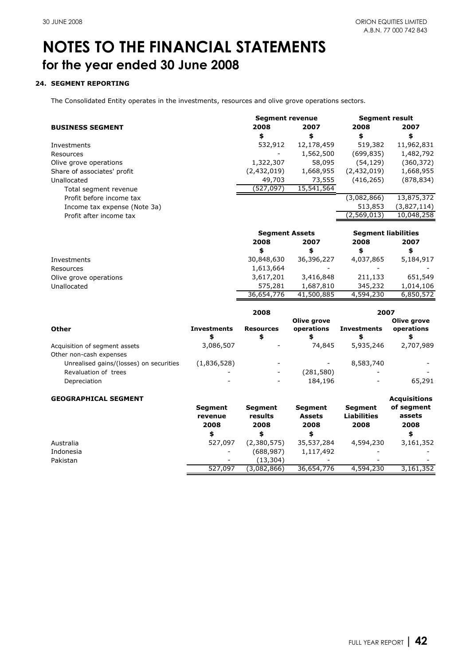## **24. SEGMENT REPORTING**

The Consolidated Entity operates in the investments, resources and olive grove operations sectors.

|                              | <b>Segment revenue</b> |            | <b>Segment result</b> |             |
|------------------------------|------------------------|------------|-----------------------|-------------|
| <b>BUSINESS SEGMENT</b>      | 2008                   | 2007       | 2008                  | 2007        |
|                              | \$                     | \$         | \$                    | \$          |
| Investments                  | 532,912                | 12,178,459 | 519,382               | 11,962,831  |
| Resources                    |                        | 1,562,500  | (699, 835)            | 1,482,792   |
| Olive grove operations       | 1,322,307              | 58,095     | (54,129)              | (360,372)   |
| Share of associates' profit  | (2,432,019)            | 1,668,955  | (2,432,019)           | 1,668,955   |
| Unallocated                  | 49,703                 | 73,555     | (416, 265)            | (878, 834)  |
| Total segment revenue        | (527,097)              | 15,541,564 |                       |             |
| Profit before income tax     |                        |            | (3,082,866)           | 13,875,372  |
| Income tax expense (Note 3a) |                        |            | 513,853               | (3,827,114) |
| Profit after income tax      |                        |            | (2,569,013)           | 10,048,258  |
|                              |                        |            |                       |             |

|                        | <b>Segment Assets</b> |            | <b>Segment liabilities</b> |           |
|------------------------|-----------------------|------------|----------------------------|-----------|
|                        | 2008                  | 2007       | 2008                       | 2007      |
|                        |                       | S          | S                          | \$        |
| Investments            | 30,848,630            | 36,396,227 | 4,037,865                  | 5,184,917 |
| Resources              | 1,613,664             |            |                            |           |
| Olive grove operations | 3,617,201             | 3,416,848  | 211.133                    | 651,549   |
| Unallocated            | 575,281               | 1,687,810  | 345,232                    | 1,014,106 |
|                        | 36,654,776            | 41,500,885 | 4,594,230                  | 6,850,572 |

|                                         |                          | 2008                     |                           | 2007                     |                           |
|-----------------------------------------|--------------------------|--------------------------|---------------------------|--------------------------|---------------------------|
| Other                                   | <b>Investments</b><br>\$ | <b>Resources</b><br>\$   | Olive grove<br>operations | <b>Investments</b><br>\$ | Olive grove<br>operations |
| Acquisition of segment assets           | 3,086,507                |                          | 74,845                    | 5,935,246                | 2,707,989                 |
| Other non-cash expenses                 |                          |                          |                           |                          |                           |
| Unrealised gains/(losses) on securities | (1,836,528)              |                          | -                         | 8,583,740                |                           |
| Revaluation of trees                    |                          | $\overline{\phantom{a}}$ | (281, 580)                |                          |                           |
| Depreciation                            | -                        | $\overline{\phantom{0}}$ | 184,196                   |                          | 65,291                    |
| CEOCRADUICAL CECMENIT                   |                          |                          |                           |                          | $A = 1.141414$            |

| <b>GEOGRAPHICAL SEGMENT</b> |                                   |                                   |                                         |                                       | <b>Acquisitions</b>          |
|-----------------------------|-----------------------------------|-----------------------------------|-----------------------------------------|---------------------------------------|------------------------------|
|                             | <b>Segment</b><br>revenue<br>2008 | <b>Segment</b><br>results<br>2008 | <b>Segment</b><br><b>Assets</b><br>2008 | Segment<br><b>Liabilities</b><br>2008 | of segment<br>assets<br>2008 |
|                             | \$                                |                                   | \$                                      |                                       | \$                           |
| Australia                   | 527,097                           | (2,380,575)                       | 35,537,284                              | 4,594,230                             | 3,161,352                    |
| Indonesia                   |                                   | (688,987)                         | 1,117,492                               |                                       |                              |
| Pakistan                    |                                   | (13,304)                          | -                                       |                                       |                              |
|                             | 527,097                           | (3,082,866)                       | 36,654,776                              | 4,594,230                             | 3,161,352                    |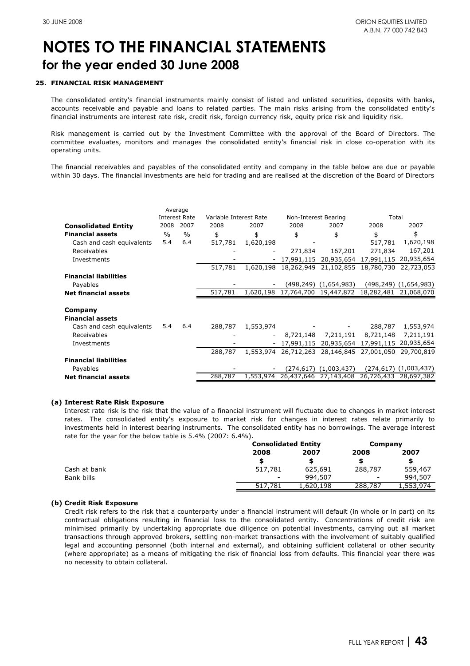### **25. FINANCIAL RISK MANAGEMENT**

The consolidated entity's financial instruments mainly consist of listed and unlisted securities, deposits with banks, accounts receivable and payable and loans to related parties. The main risks arising from the consolidated entity's financial instruments are interest rate risk, credit risk, foreign currency risk, equity price risk and liquidity risk.

Risk management is carried out by the Investment Committee with the approval of the Board of Directors. The committee evaluates, monitors and manages the consolidated entity's financial risk in close co-operation with its operating units.

The financial receivables and payables of the consolidated entity and company in the table below are due or payable within 30 days. The financial investments are held for trading and are realised at the discretion of the Board of Directors

|                              | Average       |                      |                        |                          |            |                              |            |                              |
|------------------------------|---------------|----------------------|------------------------|--------------------------|------------|------------------------------|------------|------------------------------|
|                              |               | <b>Interest Rate</b> | Variable Interest Rate |                          |            | Non-Interest Bearing         |            | Total                        |
| <b>Consolidated Entity</b>   | 2008          | 2007                 | 2008                   | 2007                     | 2008       | 2007                         | 2008       | 2007                         |
| <b>Financial assets</b>      | $\frac{0}{0}$ | $\frac{0}{0}$        | \$                     | \$                       | \$         | \$                           | \$         | \$                           |
| Cash and cash equivalents    | 5.4           | 6.4                  | 517,781                | 1,620,198                |            |                              | 517,781    | 1,620,198                    |
| Receivables                  |               |                      |                        | $\overline{\phantom{a}}$ | 271,834    | 167,201                      | 271,834    | 167,201                      |
| Investments                  |               |                      |                        | $\overline{\phantom{a}}$ | 17,991,115 | 20,935,654                   | 17,991,115 | 20,935,654                   |
|                              |               |                      | 517,781                | 1,620,198                | 18,262,949 | 21,102,855                   | 18,780,730 | 22,723,053                   |
| <b>Financial liabilities</b> |               |                      |                        |                          |            |                              |            |                              |
| Payables                     |               |                      |                        |                          |            | (498,249) (1,654,983)        |            | $(498, 249)$ $(1, 654, 983)$ |
| <b>Net financial assets</b>  |               |                      | 517,781                | 1,620,198                | 17,764,700 | 19,447,872                   | 18,282,481 | 21,068,070                   |
|                              |               |                      |                        |                          |            |                              |            |                              |
| Company                      |               |                      |                        |                          |            |                              |            |                              |
| <b>Financial assets</b>      |               |                      |                        |                          |            |                              |            |                              |
| Cash and cash equivalents    | 5.4           | 6.4                  | 288,787                | 1,553,974                |            |                              | 288,787    | 1,553,974                    |
| Receivables                  |               |                      |                        | $\overline{\phantom{a}}$ | 8,721,148  | 7,211,191                    | 8,721,148  | 7,211,191                    |
| Investments                  |               |                      |                        | $\overline{\phantom{a}}$ | 17,991,115 | 20,935,654                   | 17,991,115 | 20,935,654                   |
|                              |               |                      | 288,787                | 1,553,974                | 26,712,263 | 28,146,845                   | 27,001,050 | 29,700,819                   |
| <b>Financial liabilities</b> |               |                      |                        |                          |            |                              |            |                              |
| Payables                     |               |                      |                        |                          |            | $(274, 617)$ $(1, 003, 437)$ |            | $(274,617)$ $(1,003,437)$    |
| <b>Net financial assets</b>  |               |                      | 288,787                | 1,553,974                | 26,437,646 | 27,143,408                   | 26,726,433 | 28,697,382                   |
|                              |               |                      |                        |                          |            |                              |            |                              |

### **(a) Interest Rate Risk Exposure**

Interest rate risk is the risk that the value of a financial instrument will fluctuate due to changes in market interest rates. The consolidated entity's exposure to market risk for changes in interest rates relate primarily to investments held in interest bearing instruments. The consolidated entity has no borrowings. The average interest rate for the year for the below table is 5.4% (2007: 6.4%).

|              |         | <b>Consolidated Entity</b> |                          | Company   |
|--------------|---------|----------------------------|--------------------------|-----------|
|              | 2008    | 2007                       | 2008                     | 2007      |
|              |         |                            |                          | \$        |
| Cash at bank | 517,781 | 625,691                    | 288,787                  | 559,467   |
| Bank bills   | -       | 994,507                    | $\overline{\phantom{a}}$ | 994,507   |
|              | 517,781 | 1,620,198                  | 288,787                  | 1,553,974 |
|              |         |                            |                          |           |

### **(b) Credit Risk Exposure**

Credit risk refers to the risk that a counterparty under a financial instrument will default (in whole or in part) on its contractual obligations resulting in financial loss to the consolidated entity. Concentrations of credit risk are minimised primarily by undertaking appropriate due diligence on potential investments, carrying out all market transactions through approved brokers, settling non-market transactions with the involvement of suitably qualified legal and accounting personnel (both internal and external), and obtaining sufficient collateral or other security (where appropriate) as a means of mitigating the risk of financial loss from defaults. This financial year there was no necessity to obtain collateral.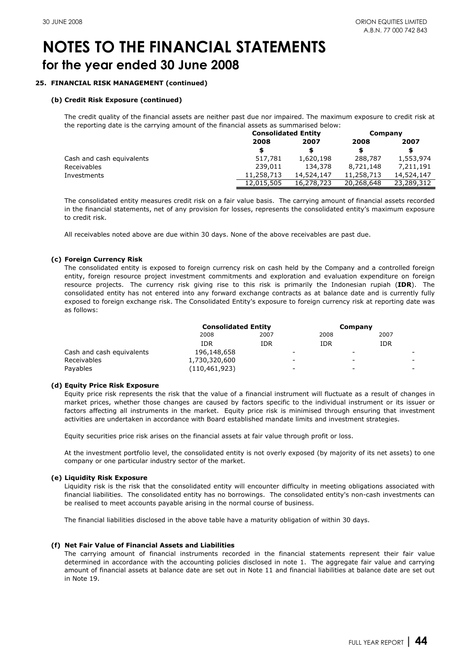### **25. FINANCIAL RISK MANAGEMENT (continued)**

### **(b) Credit Risk Exposure (continued)**

The credit quality of the financial assets are neither past due nor impaired. The maximum exposure to credit risk at the reporting date is the carrying amount of the financial assets as summarised below:

|                           |            | <b>Consolidated Entity</b> |            | Company    |  |
|---------------------------|------------|----------------------------|------------|------------|--|
|                           | 2008       | 2007                       |            | 2007       |  |
|                           | \$.        |                            | S          | \$.        |  |
| Cash and cash equivalents | 517,781    | 1,620,198                  | 288,787    | 1,553,974  |  |
| Receivables               | 239.011    | 134,378                    | 8,721,148  | 7,211,191  |  |
| Investments               | 11,258,713 | 14,524,147                 | 11,258,713 | 14,524,147 |  |
|                           | 12,015,505 | 16,278,723                 | 20,268,648 | 23,289,312 |  |

The consolidated entity measures credit risk on a fair value basis. The carrying amount of financial assets recorded in the financial statements, net of any provision for losses, represents the consolidated entity's maximum exposure to credit risk.

All receivables noted above are due within 30 days. None of the above receivables are past due.

### **(c) Foreign Currency Risk**

The consolidated entity is exposed to foreign currency risk on cash held by the Company and a controlled foreign entity, foreign resource project investment commitments and exploration and evaluation expenditure on foreign resource projects. The currency risk giving rise to this risk is primarily the Indonesian rupiah (**IDR**). The consolidated entity has not entered into any forward exchange contracts as at balance date and is currently fully exposed to foreign exchange risk. The Consolidated Entity's exposure to foreign currency risk at reporting date was as follows:

|                           |                 | <b>Consolidated Entity</b> |   | Company |                          |      |   |
|---------------------------|-----------------|----------------------------|---|---------|--------------------------|------|---|
|                           | 2008            | 2007                       |   | 2008    |                          | 2007 |   |
|                           | IDR             | IDR                        |   | IDR     |                          | IDR  |   |
| Cash and cash equivalents | 196,148,658     |                            | - |         | $\overline{\phantom{0}}$ |      | - |
| Receivables               | 1,730,320,600   |                            | - |         | -                        |      | - |
| Payables                  | (110, 461, 923) |                            | - |         | -                        |      | - |

### **(d) Equity Price Risk Exposure**

Equity price risk represents the risk that the value of a financial instrument will fluctuate as a result of changes in market prices, whether those changes are caused by factors specific to the individual instrument or its issuer or factors affecting all instruments in the market. Equity price risk is minimised through ensuring that investment activities are undertaken in accordance with Board established mandate limits and investment strategies.

Equity securities price risk arises on the financial assets at fair value through profit or loss.

At the investment portfolio level, the consolidated entity is not overly exposed (by majority of its net assets) to one company or one particular industry sector of the market.

### **(e) Liquidity Risk Exposure**

Liquidity risk is the risk that the consolidated entity will encounter difficulty in meeting obligations associated with financial liabilities. The consolidated entity has no borrowings. The consolidated entity's non-cash investments can be realised to meet accounts payable arising in the normal course of business.

The financial liabilities disclosed in the above table have a maturity obligation of within 30 days.

### **(f) Net Fair Value of Financial Assets and Liabilities**

The carrying amount of financial instruments recorded in the financial statements represent their fair value determined in accordance with the accounting policies disclosed in note 1. The aggregate fair value and carrying amount of financial assets at balance date are set out in Note 11 and financial liabilities at balance date are set out in Note 19.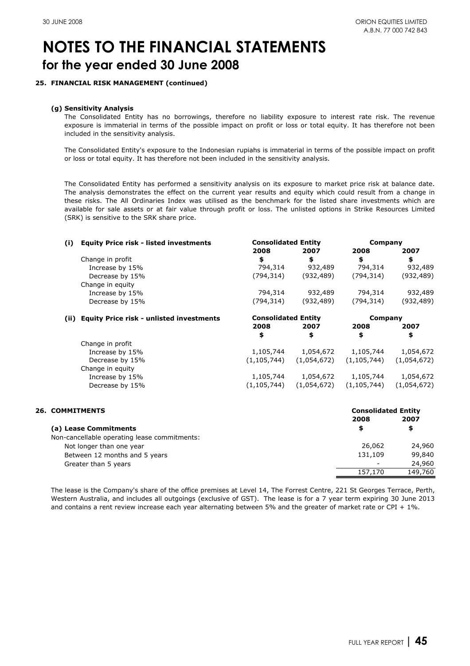### **25. FINANCIAL RISK MANAGEMENT (continued)**

### **(g) Sensitivity Analysis**

The Consolidated Entity has no borrowings, therefore no liability exposure to interest rate risk. The revenue exposure is immaterial in terms of the possible impact on profit or loss or total equity. It has therefore not been included in the sensitivity analysis.

The Consolidated Entity's exposure to the Indonesian rupiahs is immaterial in terms of the possible impact on profit or loss or total equity. It has therefore not been included in the sensitivity analysis.

The Consolidated Entity has performed a sensitivity analysis on its exposure to market price risk at balance date. The analysis demonstrates the effect on the current year results and equity which could result from a change in these risks. The All Ordinaries Index was utilised as the benchmark for the listed share investments which are available for sale assets or at fair value through profit or loss. The unlisted options in Strike Resources Limited (SRK) is sensitive to the SRK share price.

| (i) | <b>Equity Price risk - listed investments</b> | <b>Consolidated Entity</b> |             | Company       |             |  |
|-----|-----------------------------------------------|----------------------------|-------------|---------------|-------------|--|
|     |                                               | 2008                       | 2007        | 2008          | 2007        |  |
|     | Change in profit                              | \$                         | \$          | \$            | \$          |  |
|     | Increase by 15%                               | 794,314                    | 932,489     | 794,314       | 932,489     |  |
|     | Decrease by 15%                               | (794, 314)                 | (932, 489)  | (794, 314)    | (932, 489)  |  |
|     | Change in equity                              |                            |             |               |             |  |
|     | Increase by 15%                               | 794,314                    | 932,489     | 794,314       | 932,489     |  |
|     | Decrease by 15%                               | (794,314)                  | (932, 489)  | (794, 314)    | (932, 489)  |  |
|     | (ii) Equity Price risk - unlisted investments | <b>Consolidated Entity</b> |             | Company       |             |  |
|     |                                               | 2008                       | 2007        | 2008          | 2007        |  |
|     |                                               | \$                         | \$          | \$            | \$          |  |
|     | Change in profit                              |                            |             |               |             |  |
|     | Increase by 15%                               | 1,105,744                  | 1,054,672   | 1,105,744     | 1,054,672   |  |
|     | Decrease by 15%                               | (1, 105, 744)              | (1,054,672) | (1, 105, 744) | (1,054,672) |  |
|     | Change in equity                              |                            |             |               |             |  |
|     | Increase by 15%                               | 1,105,744                  | 1,054,672   | 1,105,744     | 1,054,672   |  |
|     | Decrease by 15%                               | (1, 105, 744)              | (1,054,672) | (1, 105, 744) | (1,054,672) |  |
|     |                                               |                            |             |               |             |  |

| <b>26. COMMITMENTS</b> |
|------------------------|
|------------------------|

| CONSONAUGU ENGL          |         |  |  |
|--------------------------|---------|--|--|
| 2008                     | 2007    |  |  |
| S                        | \$      |  |  |
|                          |         |  |  |
| 26,062                   | 24,960  |  |  |
| 131,109                  | 99,840  |  |  |
| $\overline{\phantom{0}}$ | 24,960  |  |  |
| 157,170                  | 149,760 |  |  |
|                          |         |  |  |

The lease is the Company's share of the office premises at Level 14, The Forrest Centre, 221 St Georges Terrace, Perth, Western Australia, and includes all outgoings (exclusive of GST). The lease is for a 7 year term expiring 30 June 2013 and contains a rent review increase each year alternating between 5% and the greater of market rate or CPI + 1%.

**Consolidated Entity**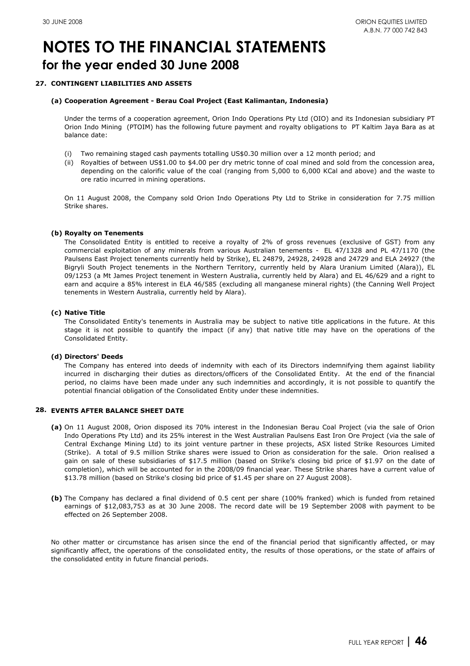### **27. CONTINGENT LIABILITIES AND ASSETS**

### **(a) Cooperation Agreement - Berau Coal Project (East Kalimantan, Indonesia)**

Under the terms of a cooperation agreement, Orion Indo Operations Pty Ltd (OIO) and its Indonesian subsidiary PT Orion Indo Mining (PTOIM) has the following future payment and royalty obligations to PT Kaltim Jaya Bara as at balance date:

- (i) Two remaining staged cash payments totalling US\$0.30 million over a 12 month period; and
- (ii) Royalties of between US\$1.00 to \$4.00 per dry metric tonne of coal mined and sold from the concession area, depending on the calorific value of the coal (ranging from 5,000 to 6,000 KCal and above) and the waste to ore ratio incurred in mining operations.

On 11 August 2008, the Company sold Orion Indo Operations Pty Ltd to Strike in consideration for 7.75 million Strike shares.

### **(b) Royalty on Tenements**

The Consolidated Entity is entitled to receive a royalty of 2% of gross revenues (exclusive of GST) from any commercial exploitation of any minerals from various Australian tenements - EL 47/1328 and PL 47/1170 (the Paulsens East Project tenements currently held by Strike), EL 24879, 24928, 24928 and 24729 and ELA 24927 (the Bigryli South Project tenements in the Northern Territory, currently held by Alara Uranium Limited (Alara)), EL 09/1253 (a Mt James Project tenement in Western Australia, currently held by Alara) and EL 46/629 and a right to earn and acquire a 85% interest in ELA 46/585 (excluding all manganese mineral rights) (the Canning Well Project tenements in Western Australia, currently held by Alara).

### **(c) Native Title**

The Consolidated Entity's tenements in Australia may be subject to native title applications in the future. At this stage it is not possible to quantify the impact (if any) that native title may have on the operations of the Consolidated Entity.

### **(d) Directors' Deeds**

The Company has entered into deeds of indemnity with each of its Directors indemnifying them against liability incurred in discharging their duties as directors/officers of the Consolidated Entity. At the end of the financial period, no claims have been made under any such indemnities and accordingly, it is not possible to quantify the potential financial obligation of the Consolidated Entity under these indemnities.

### **28. EVENTS AFTER BALANCE SHEET DATE**

- **(a)** On 11 August 2008, Orion disposed its 70% interest in the Indonesian Berau Coal Project (via the sale of Orion Indo Operations Pty Ltd) and its 25% interest in the West Australian Paulsens East Iron Ore Project (via the sale of Central Exchange Mining Ltd) to its joint venture partner in these projects, ASX listed Strike Resources Limited (Strike). A total of 9.5 million Strike shares were issued to Orion as consideration for the sale. Orion realised a gain on sale of these subsidiaries of \$17.5 million (based on Strike's closing bid price of \$1.97 on the date of completion), which will be accounted for in the 2008/09 financial year. These Strike shares have a current value of \$13.78 million (based on Strike's closing bid price of \$1.45 per share on 27 August 2008).
- **(b)** The Company has declared a final dividend of 0.5 cent per share (100% franked) which is funded from retained earnings of \$12,083,753 as at 30 June 2008. The record date will be 19 September 2008 with payment to be effected on 26 September 2008.

No other matter or circumstance has arisen since the end of the financial period that significantly affected, or may significantly affect, the operations of the consolidated entity, the results of those operations, or the state of affairs of the consolidated entity in future financial periods.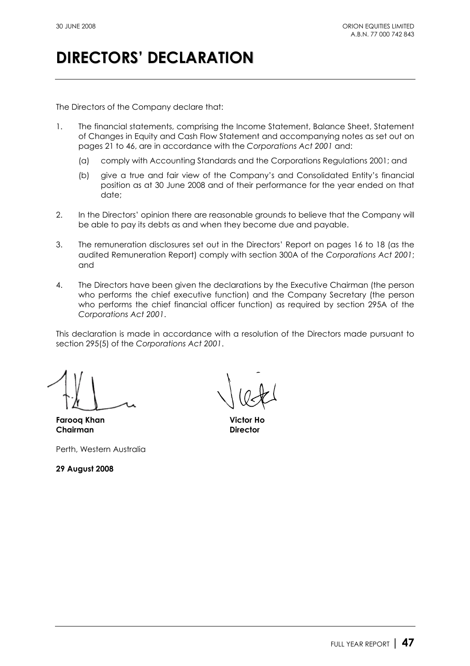# **DIRECTORS' DECLARATION**

The Directors of the Company declare that:

- 1. The financial statements, comprising the Income Statement, Balance Sheet, Statement of Changes in Equity and Cash Flow Statement and accompanying notes as set out on pages 21 to 46, are in accordance with the *Corporations Act 2001* and:
	- (a) comply with Accounting Standards and the Corporations Regulations 2001; and
	- (b) give a true and fair view of the Company's and Consolidated Entity's financial position as at 30 June 2008 and of their performance for the year ended on that date;
- 2. In the Directors' opinion there are reasonable grounds to believe that the Company will be able to pay its debts as and when they become due and payable.
- 3. The remuneration disclosures set out in the Directors' Report on pages 16 to 18 (as the audited Remuneration Report) comply with section 300A of the *Corporations Act 2001*; and
- 4. The Directors have been given the declarations by the Executive Chairman (the person who performs the chief executive function) and the Company Secretary (the person who performs the chief financial officer function) as required by section 295A of the *Corporations Act 2001*.

This declaration is made in accordance with a resolution of the Directors made pursuant to section 295(5) of the *Corporations Act 2001*.

**Farooq Khan Victor Ho Chairman Director** 

Perth, Western Australia

**29 August 2008**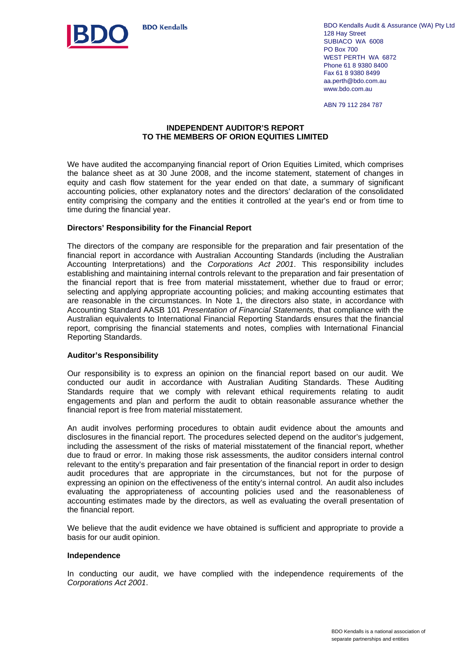

BDO Kendalls Audit & Assurance (WA) Pty Ltd 128 Hay Street SUBIACO WA 6008 PO Box 700 WEST PERTH WA 6872 Phone 61 8 9380 8400 Fax 61 8 9380 8499 aa.perth@bdo.com.au www.bdo.com.au

ABN 79 112 284 787

### **INDEPENDENT AUDITOR'S REPORT TO THE MEMBERS OF ORION EQUITIES LIMITED**

We have audited the accompanying financial report of Orion Equities Limited, which comprises the balance sheet as at 30 June 2008, and the income statement, statement of changes in equity and cash flow statement for the year ended on that date, a summary of significant accounting policies, other explanatory notes and the directors' declaration of the consolidated entity comprising the company and the entities it controlled at the year's end or from time to time during the financial year.

### **Directors' Responsibility for the Financial Report**

The directors of the company are responsible for the preparation and fair presentation of the financial report in accordance with Australian Accounting Standards (including the Australian Accounting Interpretations) and the *Corporations Act 2001*. This responsibility includes establishing and maintaining internal controls relevant to the preparation and fair presentation of the financial report that is free from material misstatement, whether due to fraud or error; selecting and applying appropriate accounting policies; and making accounting estimates that are reasonable in the circumstances. In Note 1, the directors also state, in accordance with Accounting Standard AASB 101 *Presentation of Financial Statements,* that compliance with the Australian equivalents to International Financial Reporting Standards ensures that the financial report, comprising the financial statements and notes, complies with International Financial Reporting Standards.

### **Auditor's Responsibility**

Our responsibility is to express an opinion on the financial report based on our audit. We conducted our audit in accordance with Australian Auditing Standards. These Auditing Standards require that we comply with relevant ethical requirements relating to audit engagements and plan and perform the audit to obtain reasonable assurance whether the financial report is free from material misstatement.

An audit involves performing procedures to obtain audit evidence about the amounts and disclosures in the financial report. The procedures selected depend on the auditor's judgement, including the assessment of the risks of material misstatement of the financial report, whether due to fraud or error. In making those risk assessments, the auditor considers internal control relevant to the entity's preparation and fair presentation of the financial report in order to design audit procedures that are appropriate in the circumstances, but not for the purpose of expressing an opinion on the effectiveness of the entity's internal control. An audit also includes evaluating the appropriateness of accounting policies used and the reasonableness of accounting estimates made by the directors, as well as evaluating the overall presentation of the financial report.

We believe that the audit evidence we have obtained is sufficient and appropriate to provide a basis for our audit opinion.

### **Independence**

In conducting our audit, we have complied with the independence requirements of the *Corporations Act 2001*.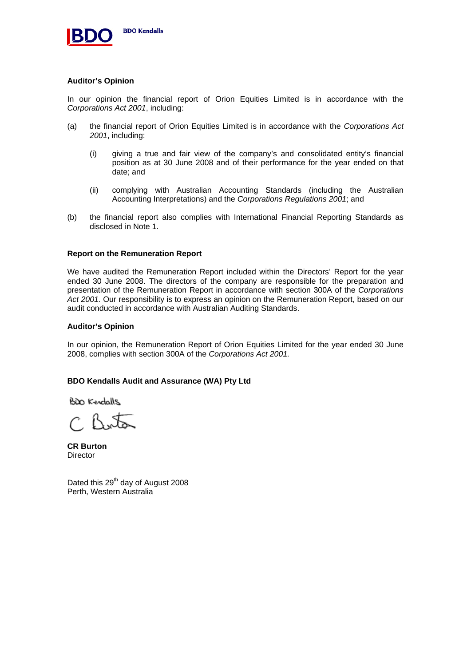

### **Auditor's Opinion**

In our opinion the financial report of Orion Equities Limited is in accordance with the *Corporations Act 2001*, including:

- (a) the financial report of Orion Equities Limited is in accordance with the *Corporations Act 2001*, including:
	- (i) giving a true and fair view of the company's and consolidated entity's financial position as at 30 June 2008 and of their performance for the year ended on that date; and
	- (ii) complying with Australian Accounting Standards (including the Australian Accounting Interpretations) and the *Corporations Regulations 2001*; and
- (b) the financial report also complies with International Financial Reporting Standards as disclosed in Note 1.

### **Report on the Remuneration Report**

We have audited the Remuneration Report included within the Directors' Report for the year ended 30 June 2008. The directors of the company are responsible for the preparation and presentation of the Remuneration Report in accordance with section 300A of the *Corporations Act 2001.* Our responsibility is to express an opinion on the Remuneration Report, based on our audit conducted in accordance with Australian Auditing Standards.

### **Auditor's Opinion**

In our opinion, the Remuneration Report of Orion Equities Limited for the year ended 30 June 2008, complies with section 300A of the *Corporations Act 2001.* 

### **BDO Kendalls Audit and Assurance (WA) Pty Ltd**

BDO Kendalls

 $CRA$ 

**CR Burton Director** 

Dated this 29<sup>th</sup> day of August 2008 Perth, Western Australia